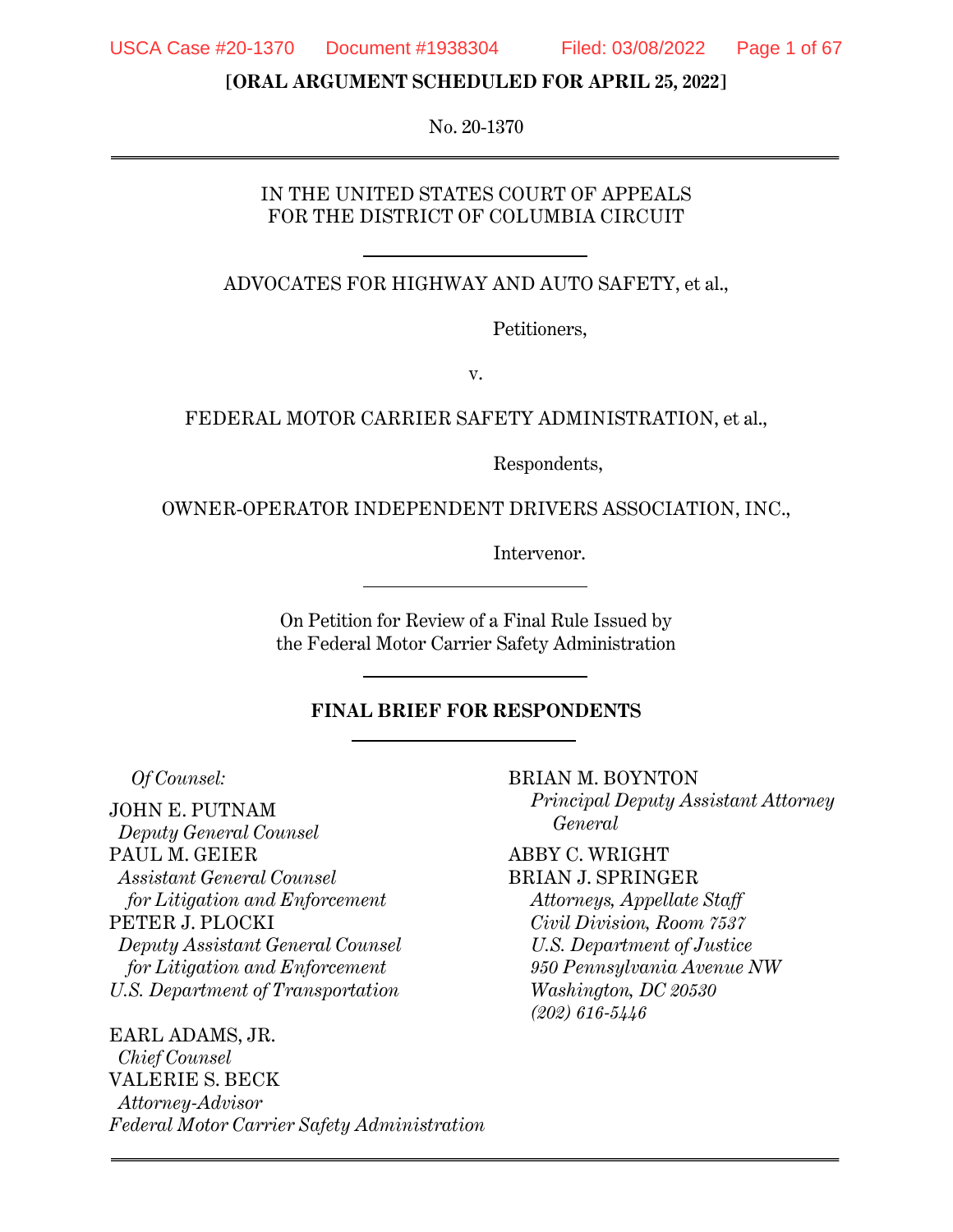**[ORAL ARGUMENT SCHEDULED FOR APRIL 25, 2022]** 

No. 20-1370

#### IN THE UNITED STATES COURT OF APPEALS FOR THE DISTRICT OF COLUMBIA CIRCUIT

ADVOCATES FOR HIGHWAY AND AUTO SAFETY, et al.,

Petitioners,

v.

FEDERAL MOTOR CARRIER SAFETY ADMINISTRATION, et al.,

Respondents,

OWNER-OPERATOR INDEPENDENT DRIVERS ASSOCIATION, INC.,

Intervenor.

On Petition for Review of a Final Rule Issued by the Federal Motor Carrier Safety Administration

#### **FINAL BRIEF FOR RESPONDENTS**

*Of Counsel:* 

JOHN E. PUTNAM *Deputy General Counsel*  PAUL M. GEIER *Assistant General Counsel for Litigation and Enforcement* PETER J. PLOCKI *Deputy Assistant General Counsel for Litigation and Enforcement U.S. Department of Transportation* 

EARL ADAMS, JR. *Chief Counsel*  VALERIE S. BECK *Attorney-Advisor Federal Motor Carrier Safety Administration* BRIAN M. BOYNTON *Principal Deputy Assistant Attorney General* 

ABBY C. WRIGHT BRIAN J. SPRINGER

*Attorneys, Appellate Staff Civil Division, Room 7537 U.S. Department of Justice 950 Pennsylvania Avenue NW Washington, DC 20530 (202) 616-5446*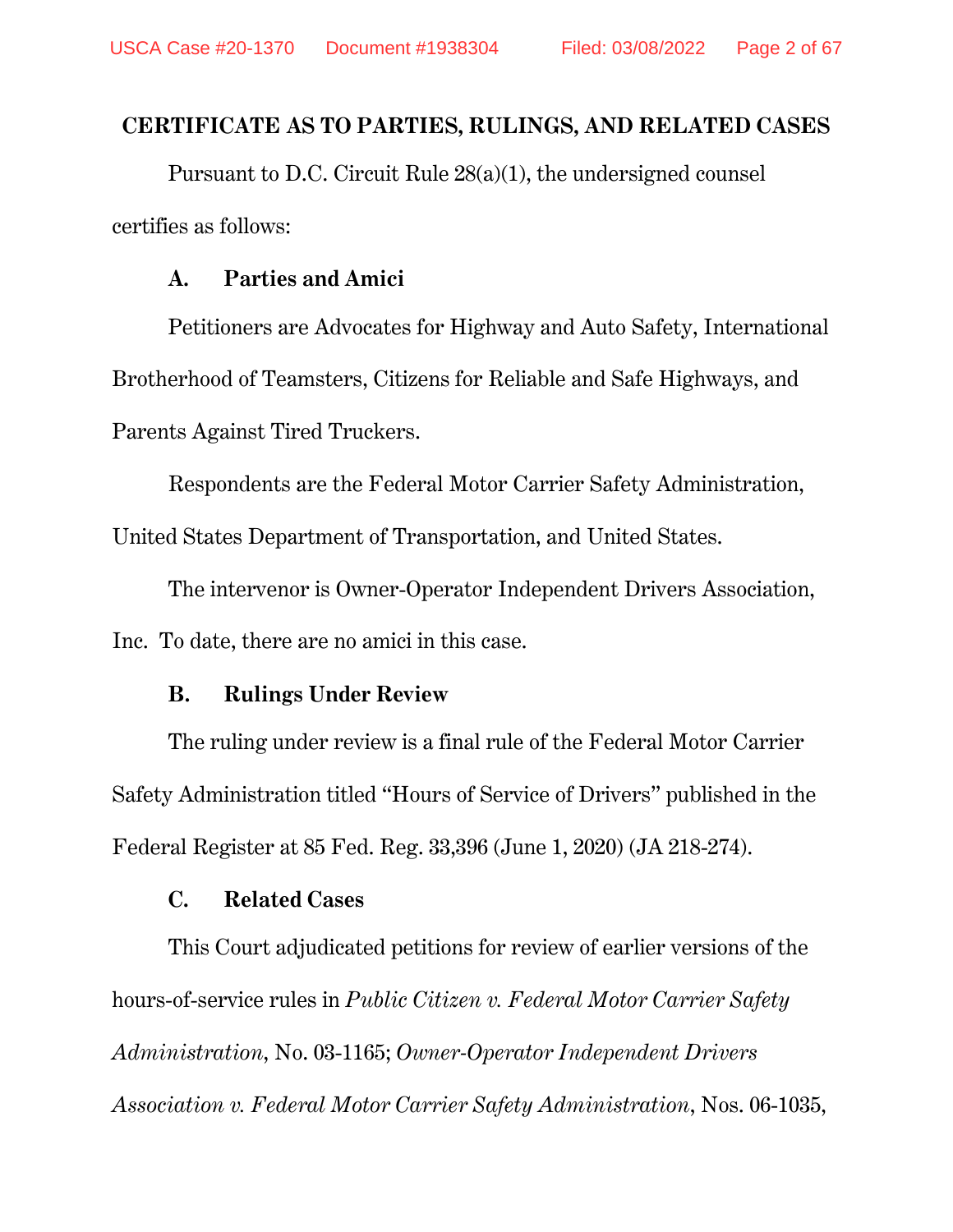## **CERTIFICATE AS TO PARTIES, RULINGS, AND RELATED CASES**

Pursuant to D.C. Circuit Rule 28(a)(1), the undersigned counsel certifies as follows:

### **A. Parties and Amici**

Petitioners are Advocates for Highway and Auto Safety, International Brotherhood of Teamsters, Citizens for Reliable and Safe Highways, and Parents Against Tired Truckers.

Respondents are the Federal Motor Carrier Safety Administration,

United States Department of Transportation, and United States.

The intervenor is Owner-Operator Independent Drivers Association, Inc. To date, there are no amici in this case.

### **B. Rulings Under Review**

The ruling under review is a final rule of the Federal Motor Carrier Safety Administration titled "Hours of Service of Drivers" published in the Federal Register at 85 Fed. Reg. 33,396 (June 1, 2020) (JA 218-274).

### **C. Related Cases**

This Court adjudicated petitions for review of earlier versions of the hours-of-service rules in *Public Citizen v. Federal Motor Carrier Safety Administration*, No. 03-1165; *Owner-Operator Independent Drivers Association v. Federal Motor Carrier Safety Administration*, Nos. 06-1035,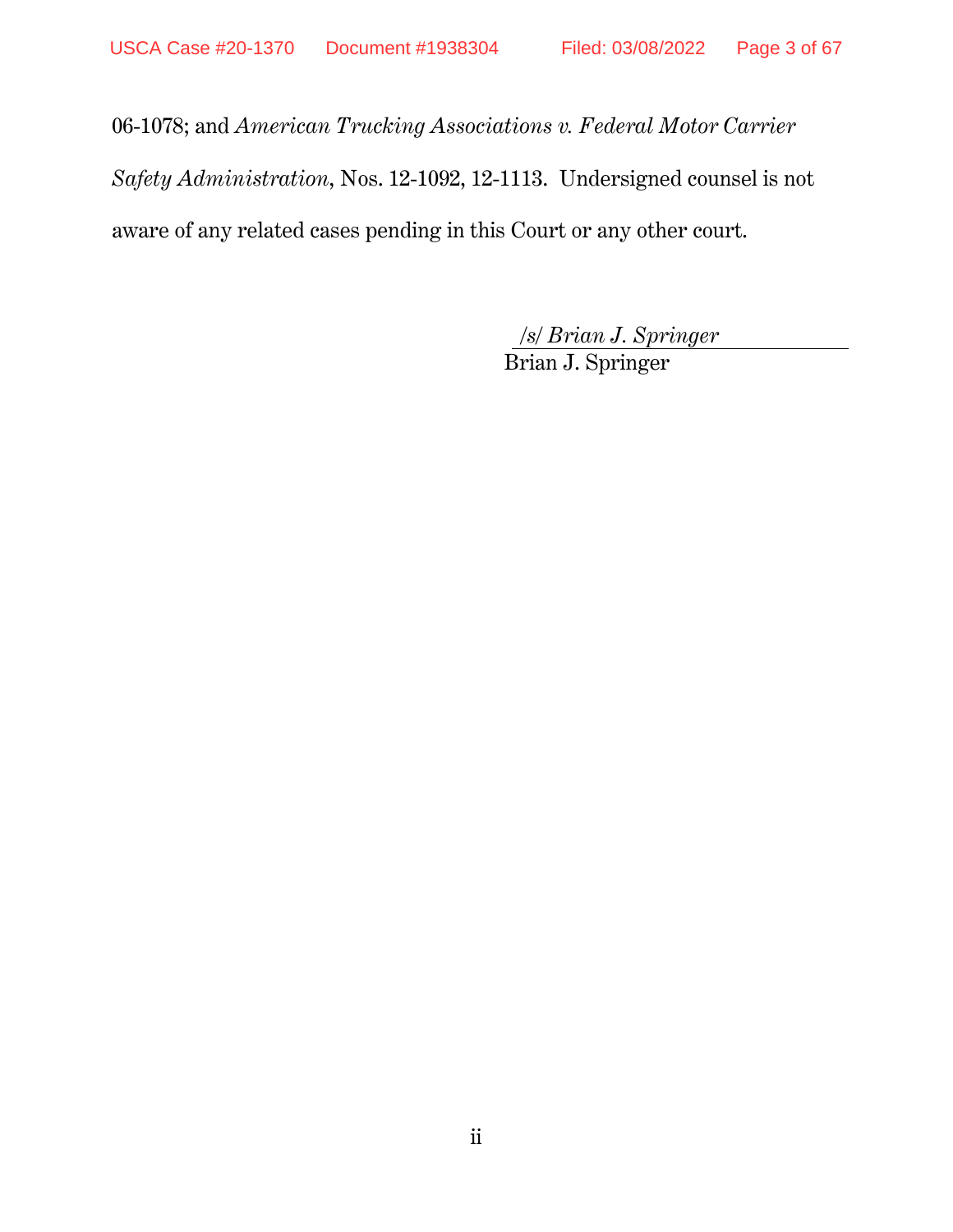06-1078; and *American Trucking Associations v. Federal Motor Carrier* 

*Safety Administration*, Nos. 12-1092, 12-1113. Undersigned counsel is not

aware of any related cases pending in this Court or any other court.

*/s/ Brian J. Springer*  Brian J. Springer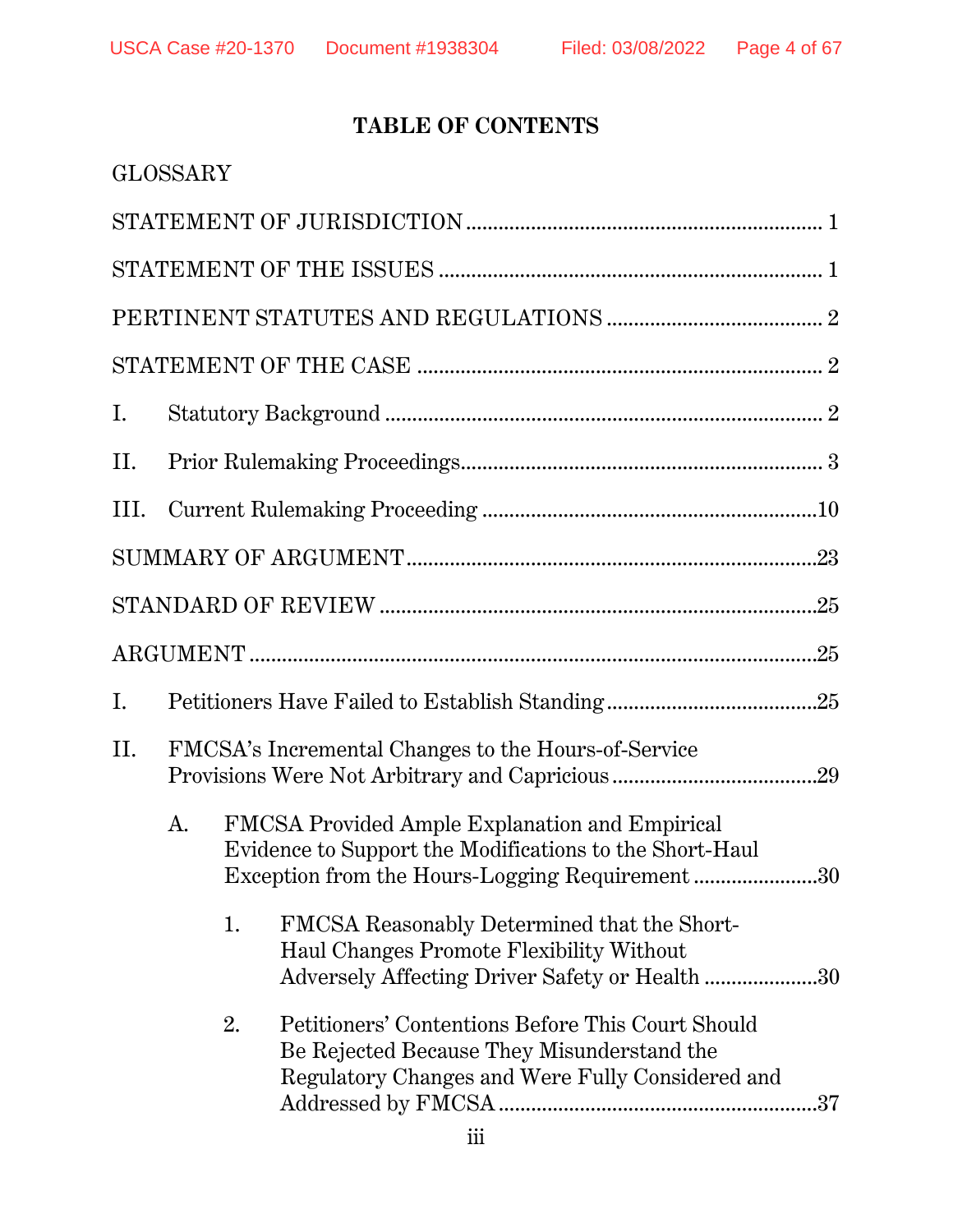# **TABLE OF CONTENTS**

|                                                                                                                 | <b>GLOSSARY</b>                                     |    |                                                                                                                                                                                                                                                                                                                                                                                                                                                                                                                                       |
|-----------------------------------------------------------------------------------------------------------------|-----------------------------------------------------|----|---------------------------------------------------------------------------------------------------------------------------------------------------------------------------------------------------------------------------------------------------------------------------------------------------------------------------------------------------------------------------------------------------------------------------------------------------------------------------------------------------------------------------------------|
|                                                                                                                 |                                                     |    |                                                                                                                                                                                                                                                                                                                                                                                                                                                                                                                                       |
|                                                                                                                 |                                                     |    |                                                                                                                                                                                                                                                                                                                                                                                                                                                                                                                                       |
|                                                                                                                 |                                                     |    |                                                                                                                                                                                                                                                                                                                                                                                                                                                                                                                                       |
|                                                                                                                 |                                                     |    | $\begin{minipage}{.4\linewidth} \textbf{STATEMENT OF THE CASE} \end{minipage} \begin{minipage}{.4\linewidth} \textbf{0} \end{minipage} \begin{minipage}{.4\linewidth} \textbf{0} \end{minipage} \begin{minipage}{.4\linewidth} \textbf{0} \end{minipage} \begin{minipage}{.4\linewidth} \textbf{0} \end{minipage} \begin{minipage}{.4\linewidth} \textbf{0} \end{minipage} \begin{minipage}{.4\linewidth} \textbf{0} \end{minipage} \begin{minipage}{.4\linewidth} \textbf{0} \end{minipage} \begin{minipage}{.4\linewidth} \textbf{$ |
| Ι.                                                                                                              |                                                     |    |                                                                                                                                                                                                                                                                                                                                                                                                                                                                                                                                       |
| П.                                                                                                              |                                                     |    |                                                                                                                                                                                                                                                                                                                                                                                                                                                                                                                                       |
| III.                                                                                                            |                                                     |    |                                                                                                                                                                                                                                                                                                                                                                                                                                                                                                                                       |
|                                                                                                                 |                                                     |    |                                                                                                                                                                                                                                                                                                                                                                                                                                                                                                                                       |
|                                                                                                                 |                                                     |    |                                                                                                                                                                                                                                                                                                                                                                                                                                                                                                                                       |
|                                                                                                                 |                                                     |    |                                                                                                                                                                                                                                                                                                                                                                                                                                                                                                                                       |
| Ι.                                                                                                              |                                                     |    |                                                                                                                                                                                                                                                                                                                                                                                                                                                                                                                                       |
| II.                                                                                                             | FMCSA's Incremental Changes to the Hours-of-Service |    |                                                                                                                                                                                                                                                                                                                                                                                                                                                                                                                                       |
| A.<br>FMCSA Provided Ample Explanation and Empirical<br>Evidence to Support the Modifications to the Short-Haul |                                                     |    | Exception from the Hours-Logging Requirement30                                                                                                                                                                                                                                                                                                                                                                                                                                                                                        |
|                                                                                                                 |                                                     | 1. | FMCSA Reasonably Determined that the Short-<br>Haul Changes Promote Flexibility Without<br>Adversely Affecting Driver Safety or Health 30                                                                                                                                                                                                                                                                                                                                                                                             |
|                                                                                                                 |                                                     | 2. | Petitioners' Contentions Before This Court Should<br>Be Rejected Because They Misunderstand the<br>Regulatory Changes and Were Fully Considered and                                                                                                                                                                                                                                                                                                                                                                                   |
|                                                                                                                 |                                                     |    |                                                                                                                                                                                                                                                                                                                                                                                                                                                                                                                                       |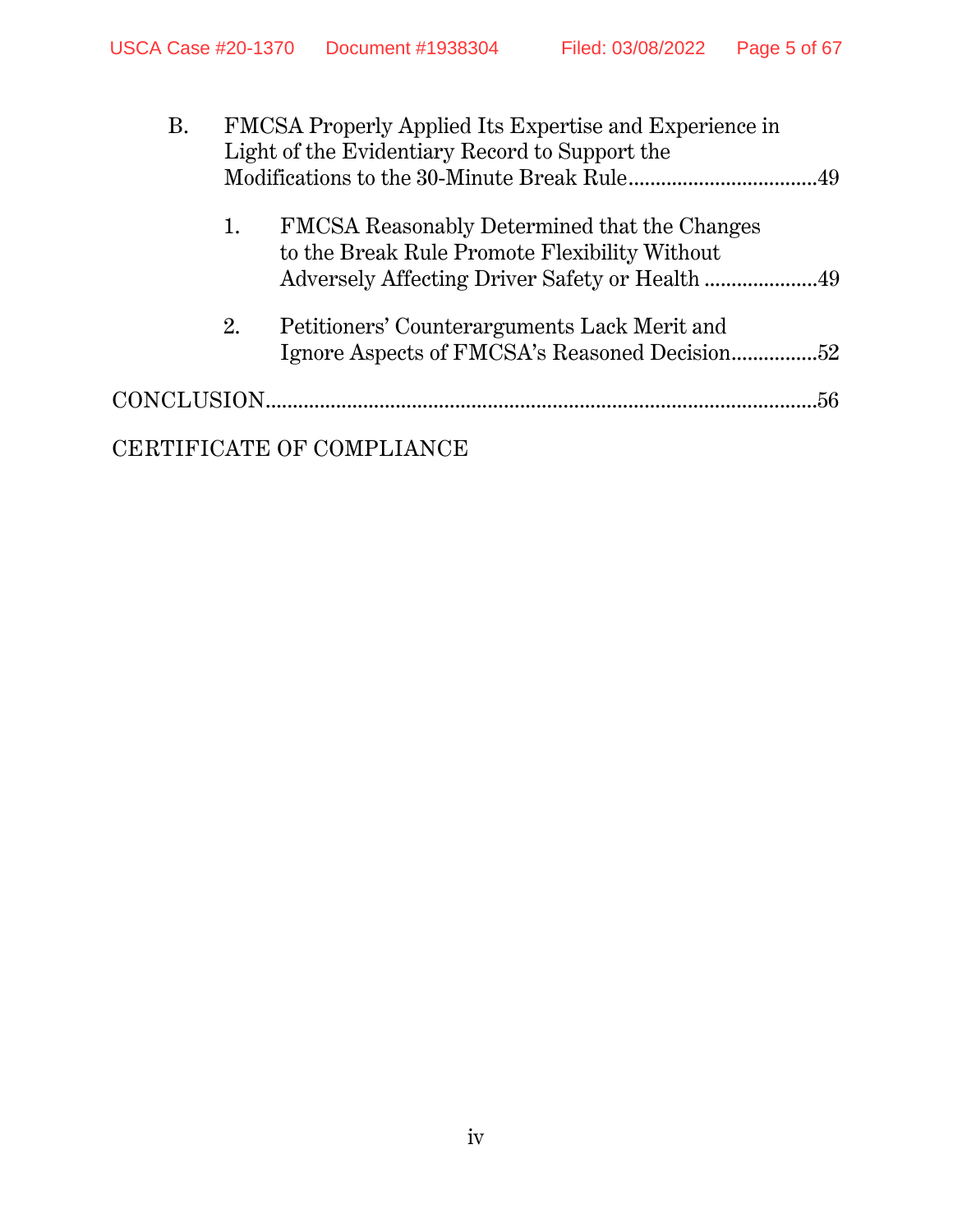| <b>B.</b> | FMCSA Properly Applied Its Expertise and Experience in<br>Light of the Evidentiary Record to Support the |                                                                                               | .49 |
|-----------|----------------------------------------------------------------------------------------------------------|-----------------------------------------------------------------------------------------------|-----|
|           | 1.                                                                                                       | FMCSA Reasonably Determined that the Changes<br>to the Break Rule Promote Flexibility Without |     |
|           | 2.                                                                                                       | Petitioners' Counterarguments Lack Merit and                                                  |     |
|           |                                                                                                          |                                                                                               | 56. |
|           |                                                                                                          | CERTIFICATE OF COMPLIANCE                                                                     |     |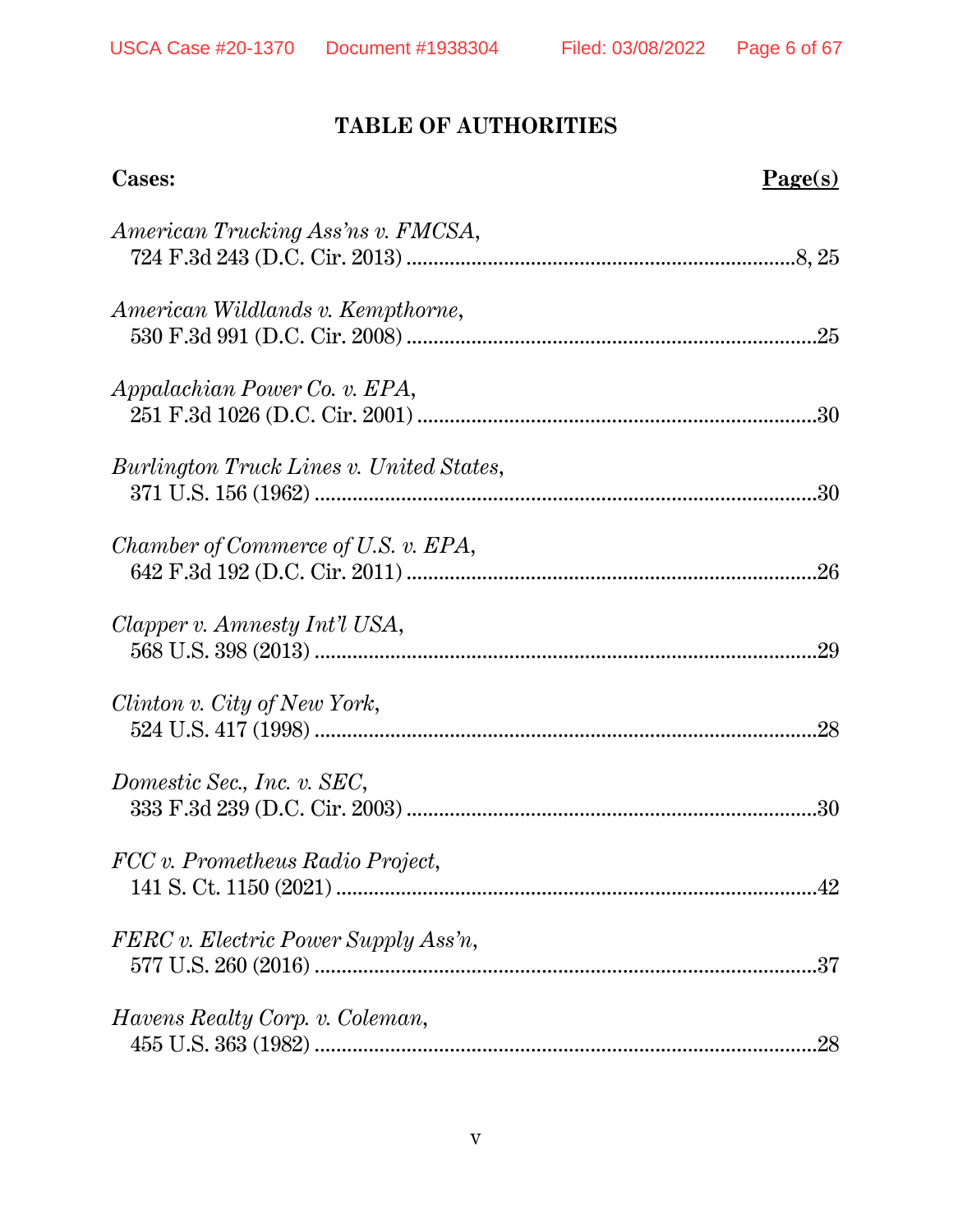# **TABLE OF AUTHORITIES**

| Cases:                                   | $Page(s)$ |
|------------------------------------------|-----------|
| American Trucking Ass'ns v. FMCSA,       |           |
| American Wildlands v. Kempthorne,        |           |
| Appalachian Power Co. v. EPA,            |           |
| Burlington Truck Lines v. United States, |           |
| Chamber of Commerce of U.S. v. EPA,      |           |
| Clapper v. Amnesty Int'l USA,            | .29       |
| Clinton v. City of New York,             |           |
| Domestic Sec., Inc. v. SEC,              |           |
| FCC v. Prometheus Radio Project,         |           |
| FERC v. Electric Power Supply Ass'n,     |           |
| <i>Havens Realty Corp. v. Coleman,</i>   | .28       |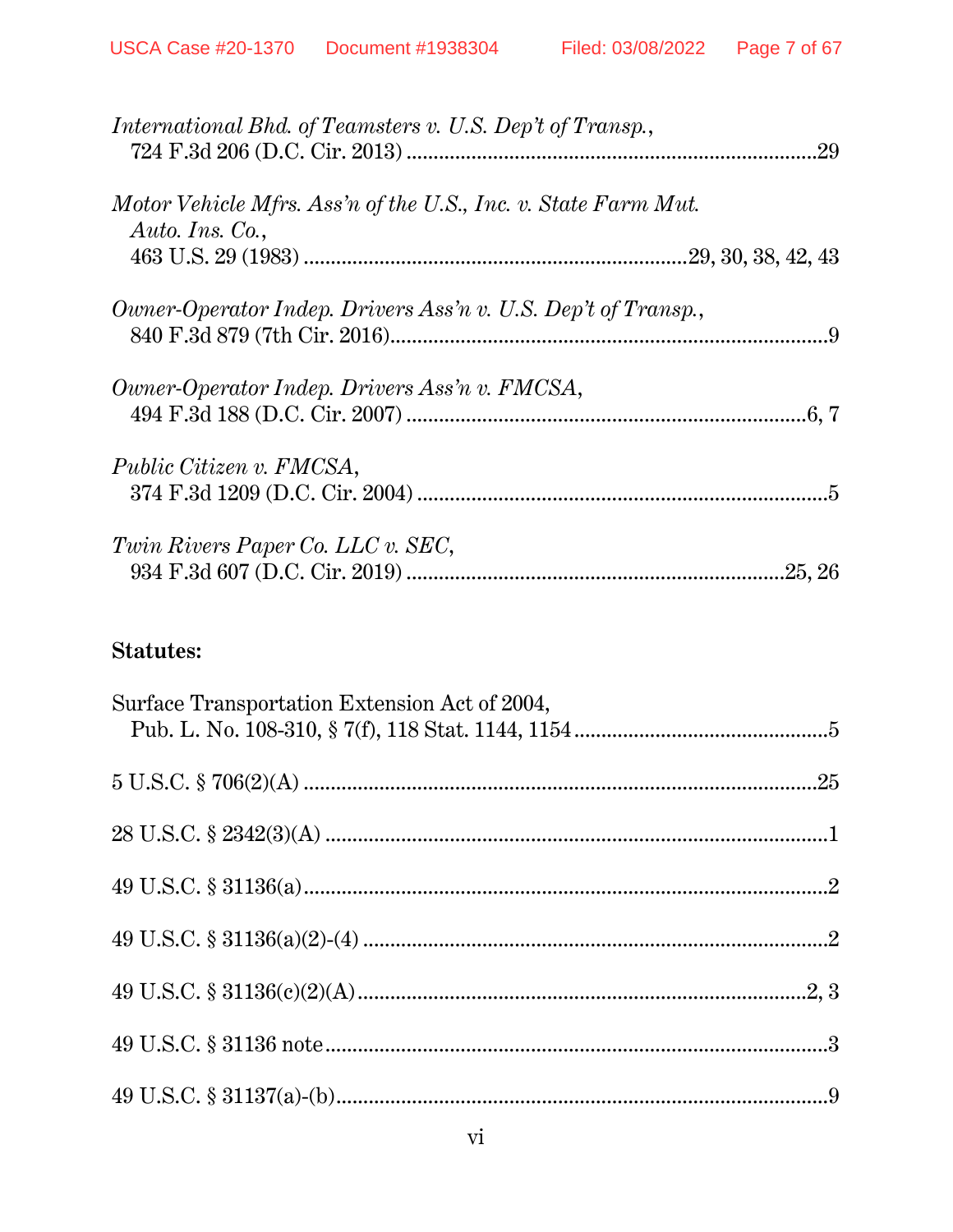| International Bhd. of Teamsters v. U.S. Dep't of Transp.,                         |  |
|-----------------------------------------------------------------------------------|--|
| Motor Vehicle Mfrs. Ass'n of the U.S., Inc. v. State Farm Mut.<br>Auto. Ins. Co., |  |
| Owner-Operator Indep. Drivers Ass'n v. U.S. Dep't of Transp.,                     |  |
| Owner-Operator Indep. Drivers Ass'n v. FMCSA,                                     |  |
| Public Citizen v. FMCSA,                                                          |  |
| Twin Rivers Paper Co. LLC v. SEC,                                                 |  |

## **Statutes:**

| Surface Transportation Extension Act of 2004, |  |
|-----------------------------------------------|--|
|                                               |  |
|                                               |  |
|                                               |  |
|                                               |  |
|                                               |  |
|                                               |  |
|                                               |  |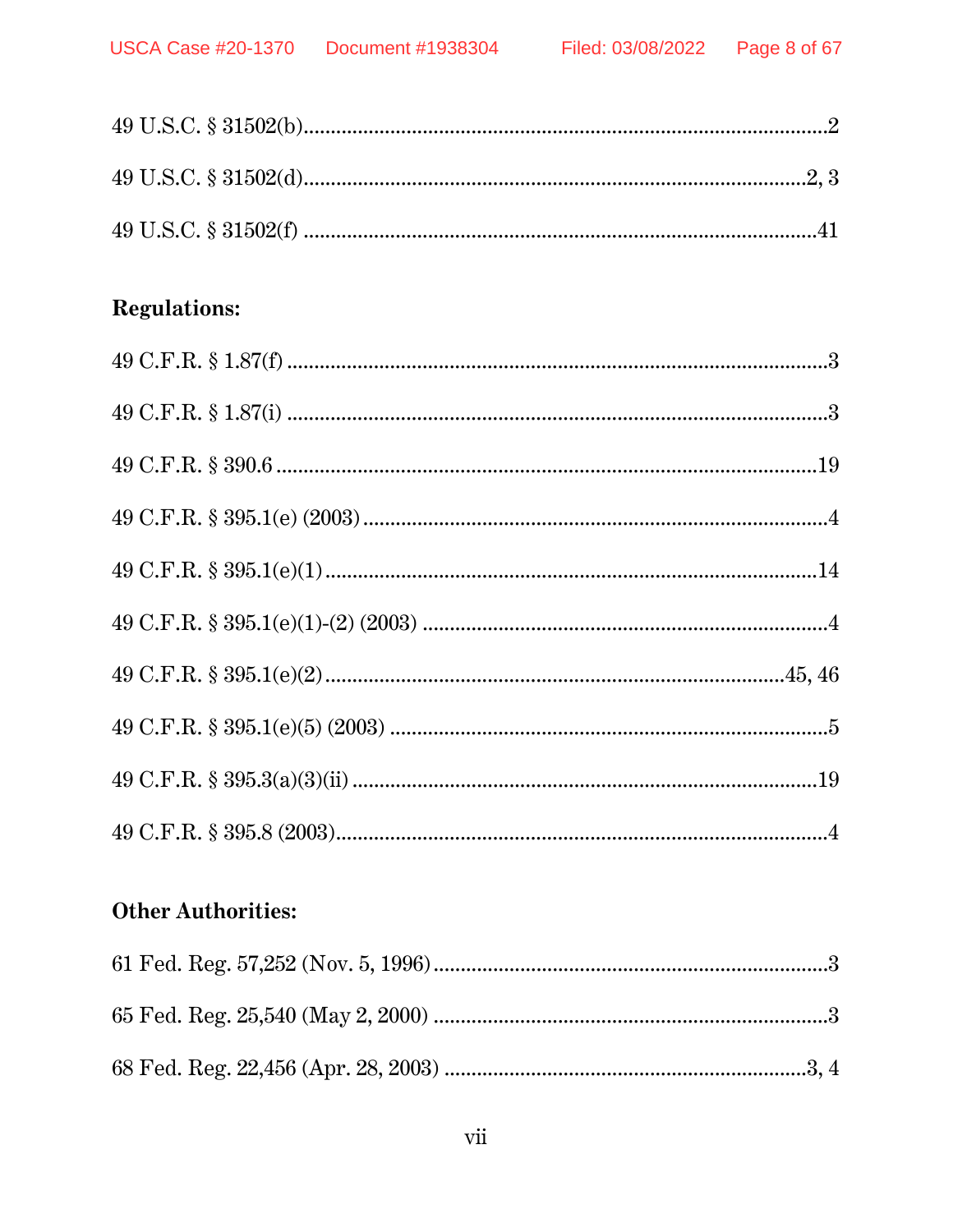# **Regulations:**

# **Other Authorities:**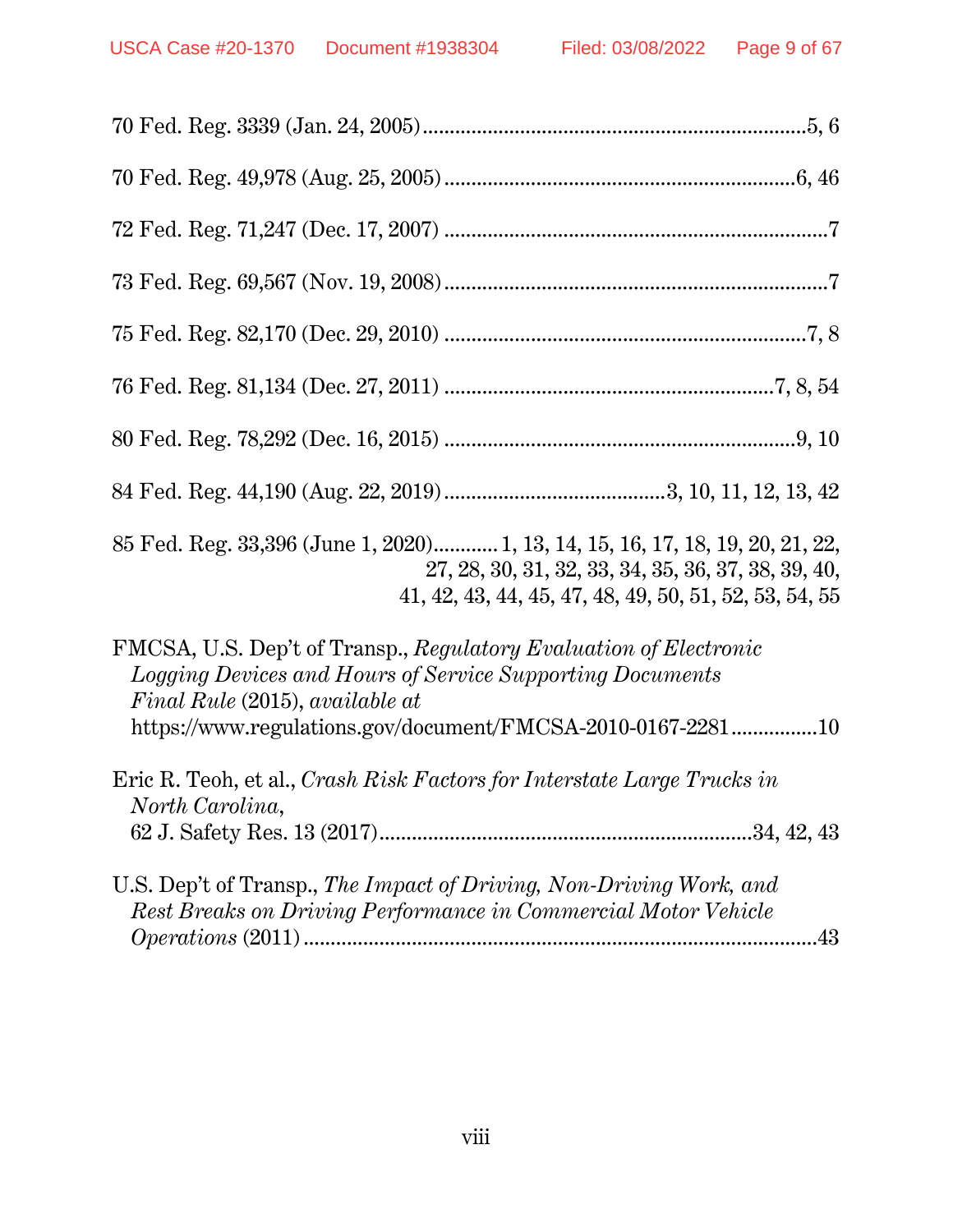| 85 Fed. Reg. 33,396 (June 1, 2020) 1, 13, 14, 15, 16, 17, 18, 19, 20, 21, 22,<br>27, 28, 30, 31, 32, 33, 34, 35, 36, 37, 38, 39, 40,<br>$41, 42, 43, 44, 45, 47, 48, 49, 50, 51, 52, 53, 54, 55$                                       |
|----------------------------------------------------------------------------------------------------------------------------------------------------------------------------------------------------------------------------------------|
| FMCSA, U.S. Dep't of Transp., Regulatory Evaluation of Electronic<br>Logging Devices and Hours of Service Supporting Documents<br>Final Rule (2015), available at<br>$\rm https://www.regularions.gov/document/FMCSA-2010-0167-228110$ |
| Eric R. Teoh, et al., Crash Risk Factors for Interstate Large Trucks in<br>North Carolina,                                                                                                                                             |
| U.S. Dep't of Transp., The Impact of Driving, Non-Driving Work, and<br>Rest Breaks on Driving Performance in Commercial Motor Vehicle                                                                                                  |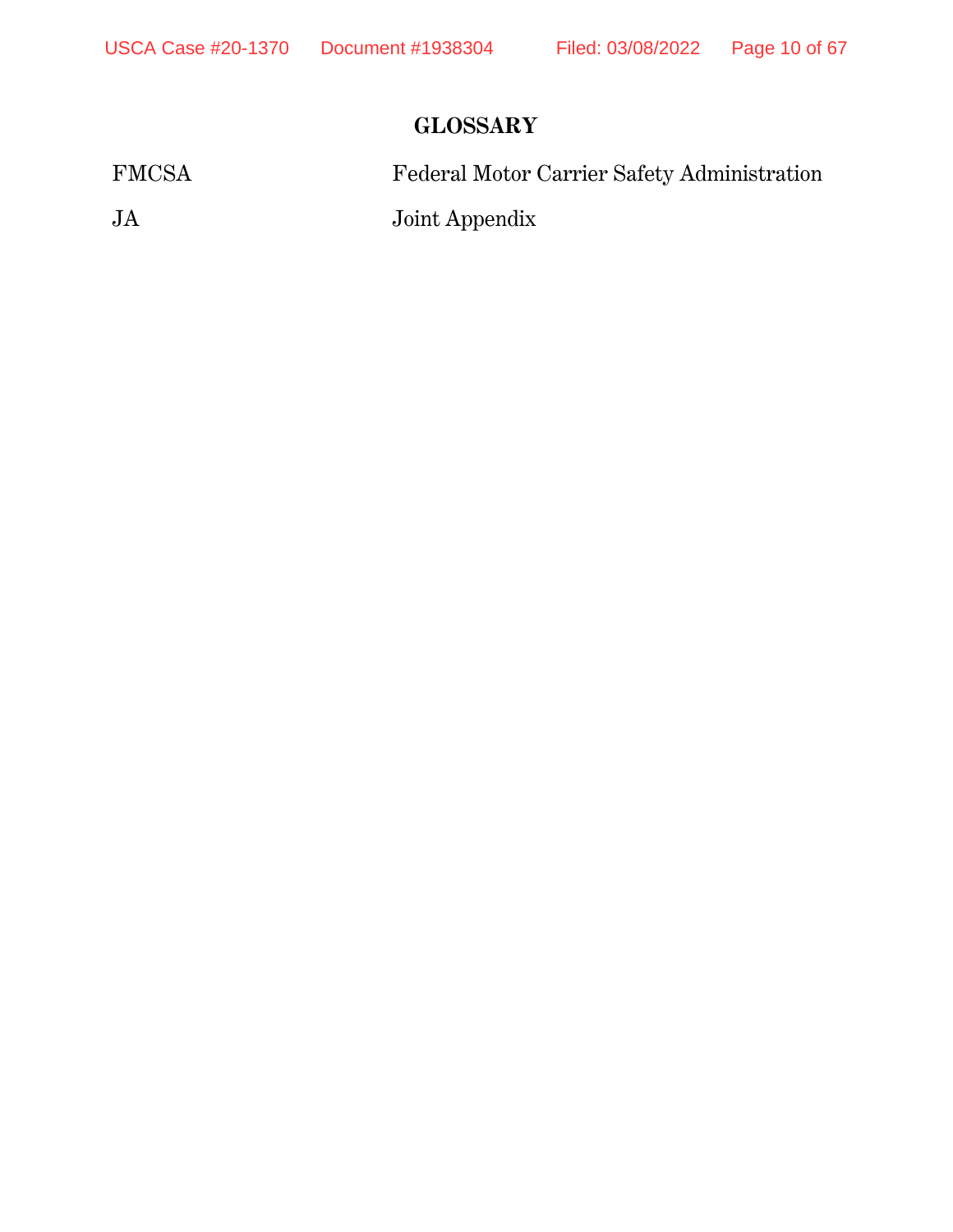# **GLOSSARY**

| <b>FMCSA</b> | Federal Motor Carrier Safety Administration |
|--------------|---------------------------------------------|
| JA           | Joint Appendix                              |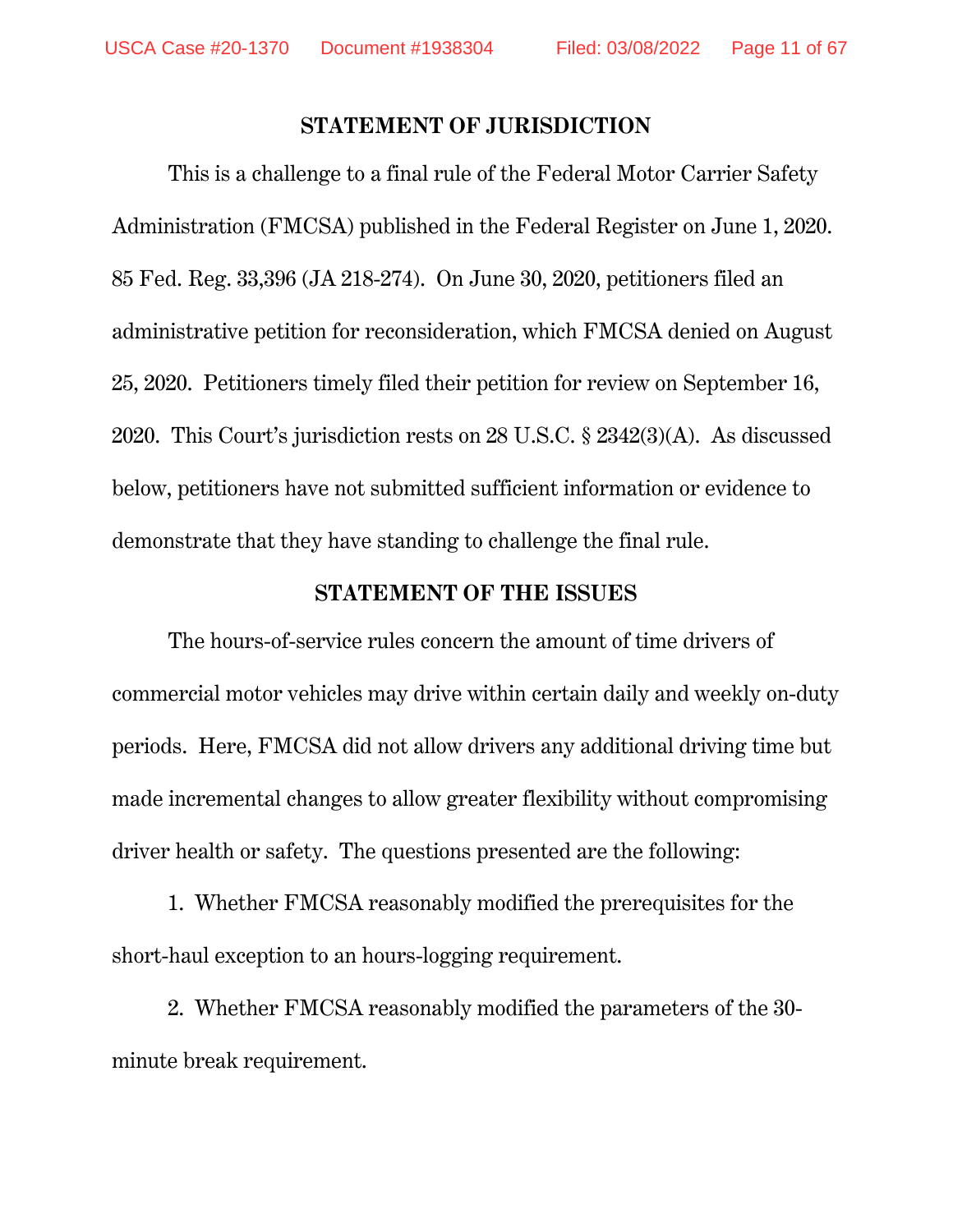#### **STATEMENT OF JURISDICTION**

This is a challenge to a final rule of the Federal Motor Carrier Safety Administration (FMCSA) published in the Federal Register on June 1, 2020. 85 Fed. Reg. 33,396 (JA 218-274). On June 30, 2020, petitioners filed an administrative petition for reconsideration, which FMCSA denied on August 25, 2020. Petitioners timely filed their petition for review on September 16, 2020. This Court's jurisdiction rests on 28 U.S.C. § 2342(3)(A). As discussed below, petitioners have not submitted sufficient information or evidence to demonstrate that they have standing to challenge the final rule.

#### **STATEMENT OF THE ISSUES**

The hours-of-service rules concern the amount of time drivers of commercial motor vehicles may drive within certain daily and weekly on-duty periods. Here, FMCSA did not allow drivers any additional driving time but made incremental changes to allow greater flexibility without compromising driver health or safety. The questions presented are the following:

1. Whether FMCSA reasonably modified the prerequisites for the short-haul exception to an hours-logging requirement.

2. Whether FMCSA reasonably modified the parameters of the 30 minute break requirement.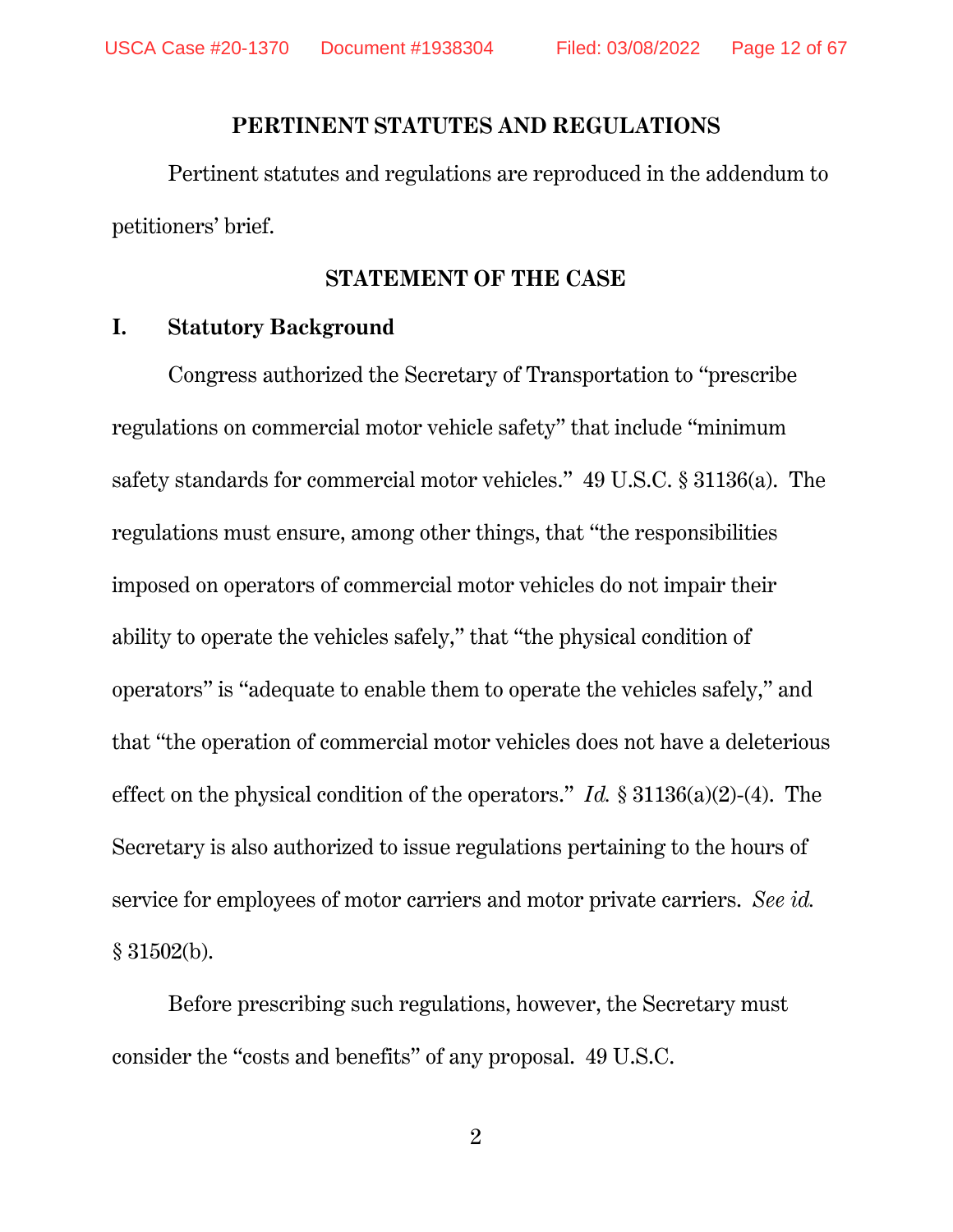#### **PERTINENT STATUTES AND REGULATIONS**

Pertinent statutes and regulations are reproduced in the addendum to petitioners' brief.

### **STATEMENT OF THE CASE**

#### **I. Statutory Background**

Congress authorized the Secretary of Transportation to "prescribe regulations on commercial motor vehicle safety" that include "minimum safety standards for commercial motor vehicles." 49 U.S.C. § 31136(a). The regulations must ensure, among other things, that "the responsibilities imposed on operators of commercial motor vehicles do not impair their ability to operate the vehicles safely," that "the physical condition of operators" is "adequate to enable them to operate the vehicles safely," and that "the operation of commercial motor vehicles does not have a deleterious effect on the physical condition of the operators." *Id.* § 31136(a)(2)-(4). The Secretary is also authorized to issue regulations pertaining to the hours of service for employees of motor carriers and motor private carriers. *See id.* § 31502(b).

Before prescribing such regulations, however, the Secretary must consider the "costs and benefits" of any proposal. 49 U.S.C.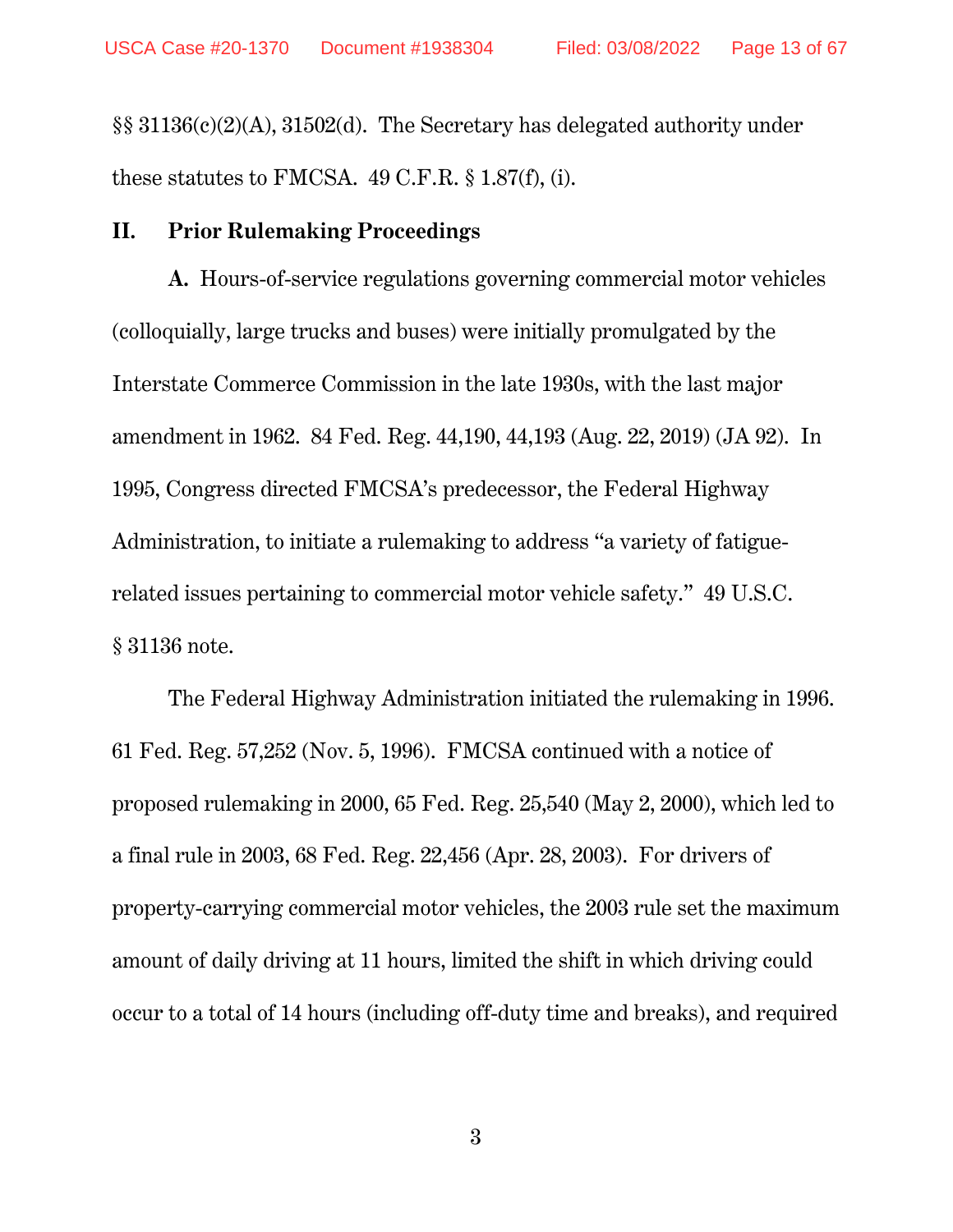§§ 31136(c)(2)(A), 31502(d). The Secretary has delegated authority under these statutes to FMCSA. 49 C.F.R. § 1.87(f), (i).

#### **II. Prior Rulemaking Proceedings**

**A.** Hours-of-service regulations governing commercial motor vehicles (colloquially, large trucks and buses) were initially promulgated by the Interstate Commerce Commission in the late 1930s, with the last major amendment in 1962. 84 Fed. Reg. 44,190, 44,193 (Aug. 22, 2019) (JA 92). In 1995, Congress directed FMCSA's predecessor, the Federal Highway Administration, to initiate a rulemaking to address "a variety of fatiguerelated issues pertaining to commercial motor vehicle safety." 49 U.S.C. § 31136 note.

The Federal Highway Administration initiated the rulemaking in 1996. 61 Fed. Reg. 57,252 (Nov. 5, 1996). FMCSA continued with a notice of proposed rulemaking in 2000, 65 Fed. Reg. 25,540 (May 2, 2000), which led to a final rule in 2003, 68 Fed. Reg. 22,456 (Apr. 28, 2003). For drivers of property-carrying commercial motor vehicles, the 2003 rule set the maximum amount of daily driving at 11 hours, limited the shift in which driving could occur to a total of 14 hours (including off-duty time and breaks), and required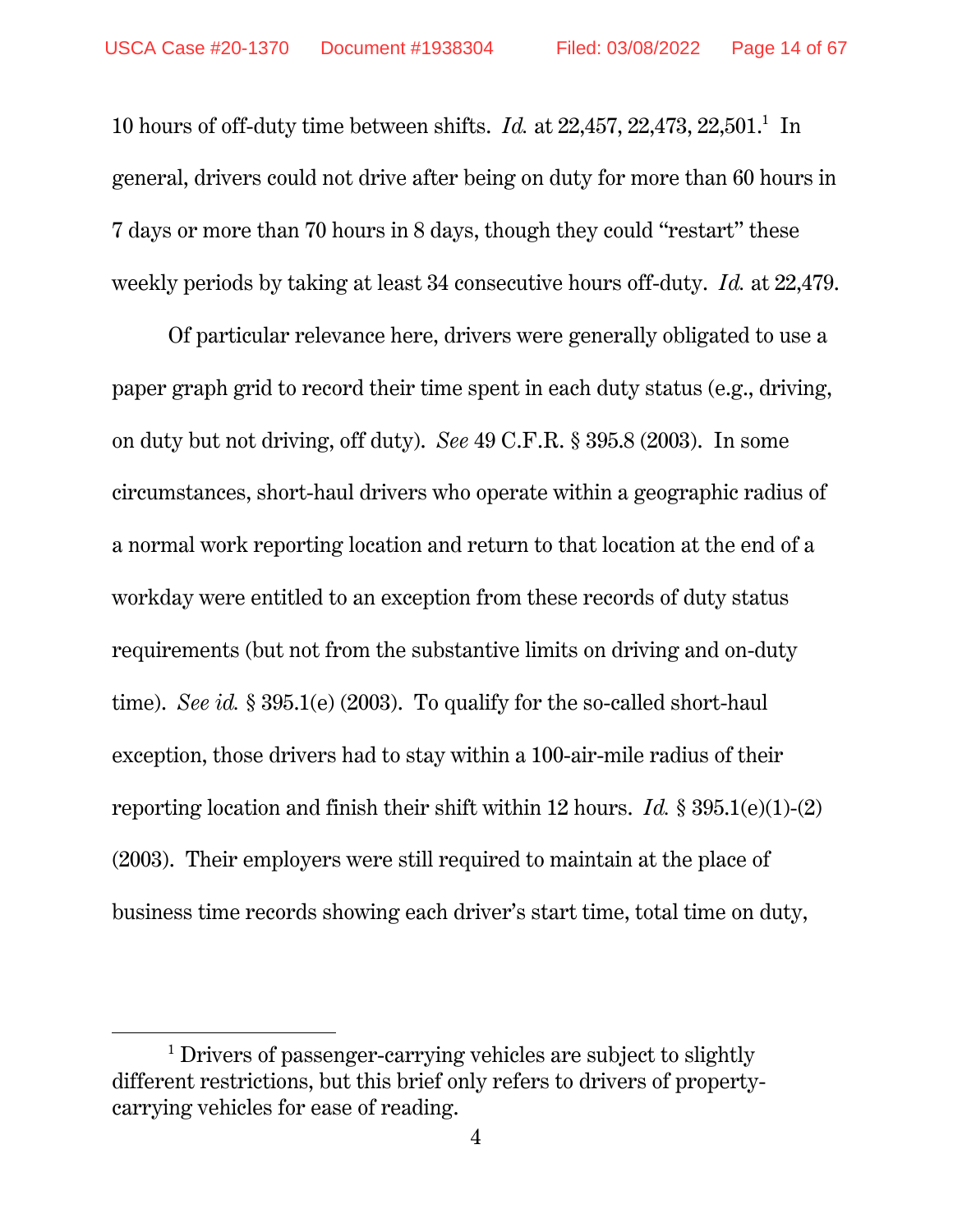10 hours of off-duty time between shifts. *Id.* at  $22,457, 22,473, 22,501$ .<sup>1</sup> In general, drivers could not drive after being on duty for more than 60 hours in 7 days or more than 70 hours in 8 days, though they could "restart" these weekly periods by taking at least 34 consecutive hours off-duty. *Id.* at 22,479.

Of particular relevance here, drivers were generally obligated to use a paper graph grid to record their time spent in each duty status (e.g., driving, on duty but not driving, off duty). *See* 49 C.F.R. § 395.8 (2003). In some circumstances, short-haul drivers who operate within a geographic radius of a normal work reporting location and return to that location at the end of a workday were entitled to an exception from these records of duty status requirements (but not from the substantive limits on driving and on-duty time). *See id.* § 395.1(e) (2003). To qualify for the so-called short-haul exception, those drivers had to stay within a 100-air-mile radius of their reporting location and finish their shift within 12 hours. *Id.* § 395.1(e)(1)-(2) (2003). Their employers were still required to maintain at the place of business time records showing each driver's start time, total time on duty,

 $\overline{a}$ 

<sup>&</sup>lt;sup>1</sup> Drivers of passenger-carrying vehicles are subject to slightly different restrictions, but this brief only refers to drivers of propertycarrying vehicles for ease of reading.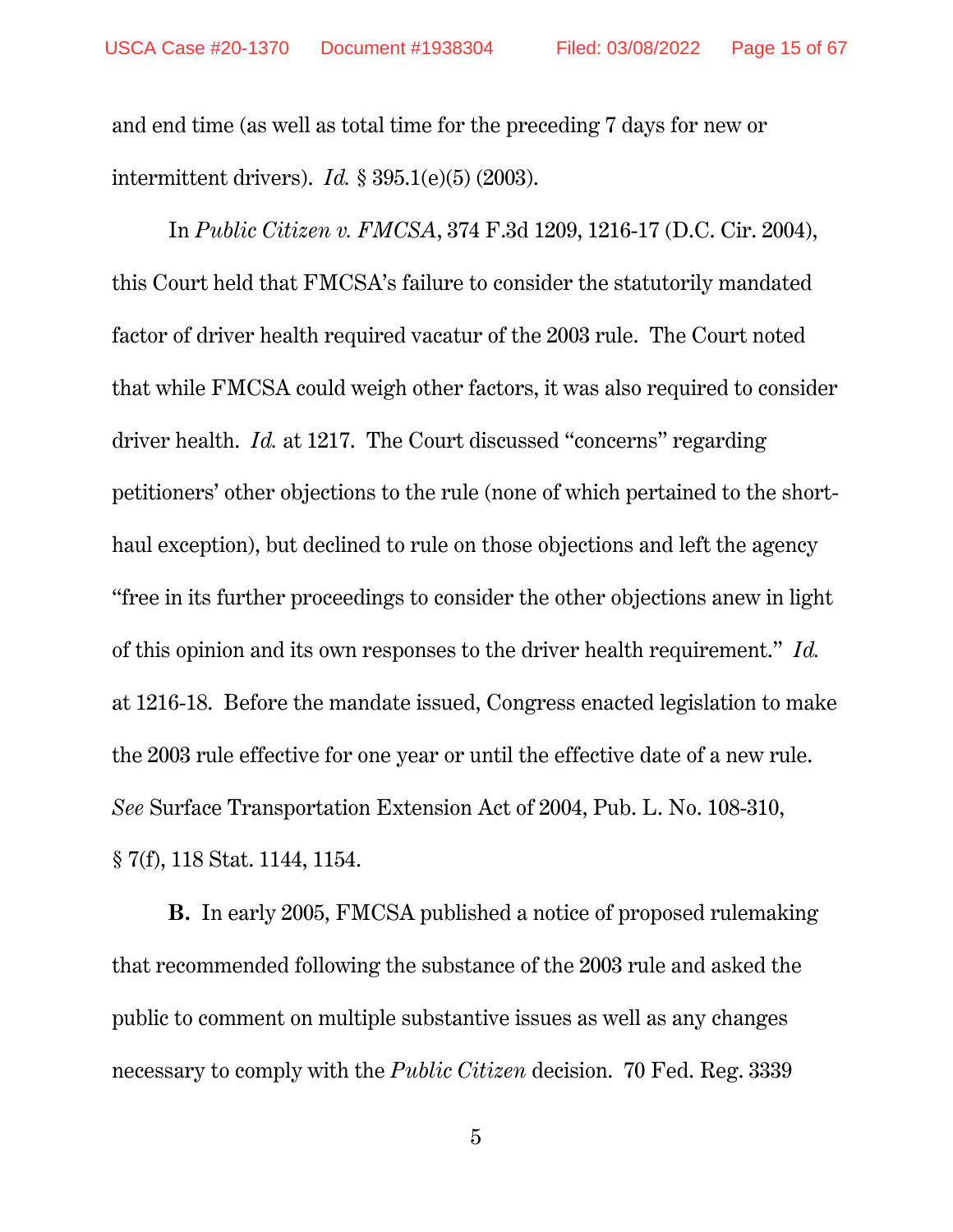and end time (as well as total time for the preceding 7 days for new or intermittent drivers). *Id.* § 395.1(e)(5) (2003).

In *Public Citizen v. FMCSA*, 374 F.3d 1209, 1216-17 (D.C. Cir. 2004), this Court held that FMCSA's failure to consider the statutorily mandated factor of driver health required vacatur of the 2003 rule. The Court noted that while FMCSA could weigh other factors, it was also required to consider driver health. *Id.* at 1217. The Court discussed "concerns" regarding petitioners' other objections to the rule (none of which pertained to the shorthaul exception), but declined to rule on those objections and left the agency "free in its further proceedings to consider the other objections anew in light of this opinion and its own responses to the driver health requirement." *Id.* at 1216-18. Before the mandate issued, Congress enacted legislation to make the 2003 rule effective for one year or until the effective date of a new rule. *See* Surface Transportation Extension Act of 2004, Pub. L. No. 108-310, § 7(f), 118 Stat. 1144, 1154.

**B.** In early 2005, FMCSA published a notice of proposed rulemaking that recommended following the substance of the 2003 rule and asked the public to comment on multiple substantive issues as well as any changes necessary to comply with the *Public Citizen* decision. 70 Fed. Reg. 3339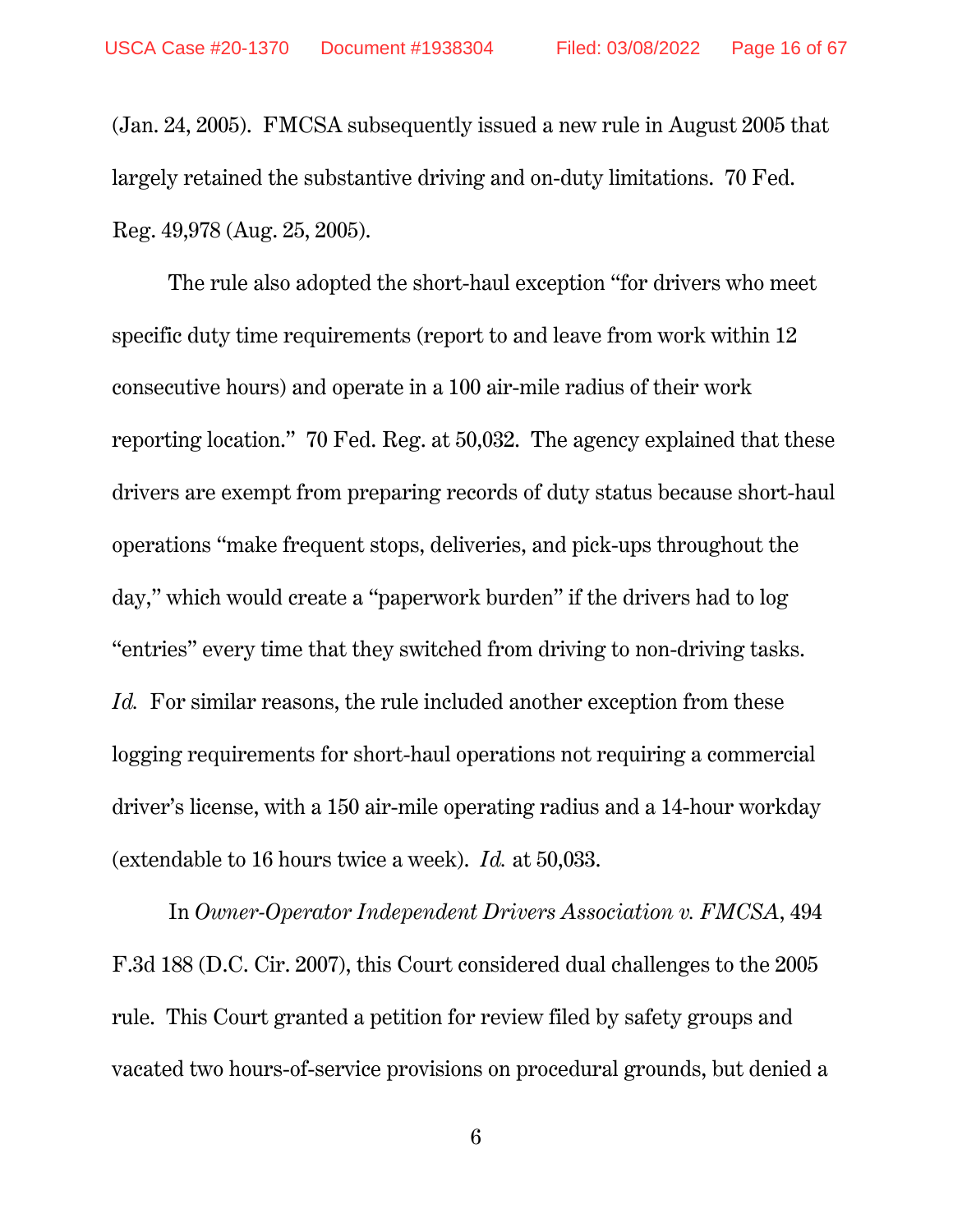(Jan. 24, 2005). FMCSA subsequently issued a new rule in August 2005 that largely retained the substantive driving and on-duty limitations. 70 Fed. Reg. 49,978 (Aug. 25, 2005).

The rule also adopted the short-haul exception "for drivers who meet specific duty time requirements (report to and leave from work within 12 consecutive hours) and operate in a 100 air-mile radius of their work reporting location." 70 Fed. Reg. at 50,032. The agency explained that these drivers are exempt from preparing records of duty status because short-haul operations "make frequent stops, deliveries, and pick-ups throughout the day," which would create a "paperwork burden" if the drivers had to log "entries" every time that they switched from driving to non-driving tasks. *Id.* For similar reasons, the rule included another exception from these logging requirements for short-haul operations not requiring a commercial driver's license, with a 150 air-mile operating radius and a 14-hour workday (extendable to 16 hours twice a week). *Id.* at 50,033.

In *Owner-Operator Independent Drivers Association v. FMCSA*, 494 F.3d 188 (D.C. Cir. 2007), this Court considered dual challenges to the 2005 rule. This Court granted a petition for review filed by safety groups and vacated two hours-of-service provisions on procedural grounds, but denied a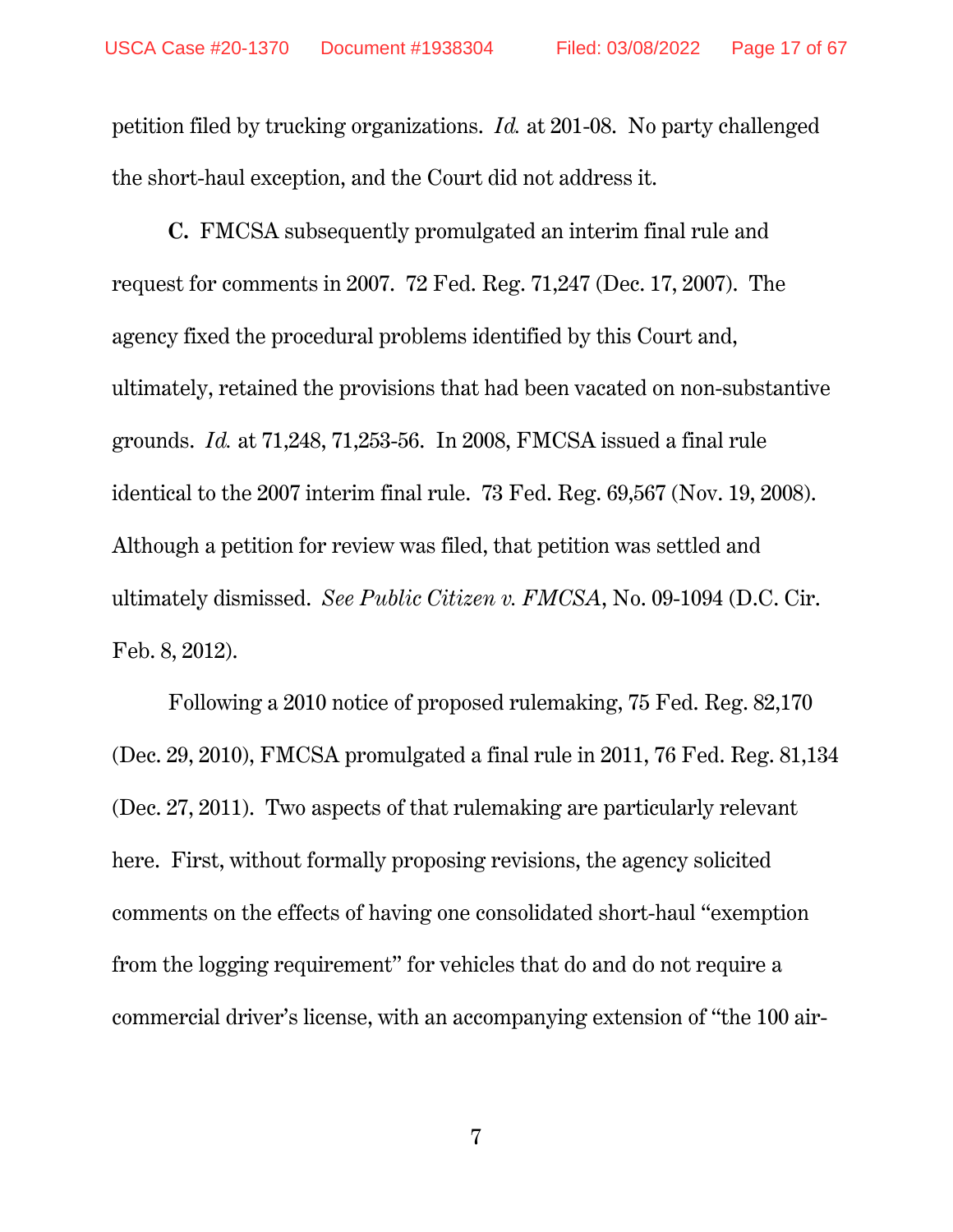petition filed by trucking organizations. *Id.* at 201-08. No party challenged the short-haul exception, and the Court did not address it.

**C.** FMCSA subsequently promulgated an interim final rule and request for comments in 2007. 72 Fed. Reg. 71,247 (Dec. 17, 2007). The agency fixed the procedural problems identified by this Court and, ultimately, retained the provisions that had been vacated on non-substantive grounds. *Id.* at 71,248, 71,253-56. In 2008, FMCSA issued a final rule identical to the 2007 interim final rule. 73 Fed. Reg. 69,567 (Nov. 19, 2008). Although a petition for review was filed, that petition was settled and ultimately dismissed. *See Public Citizen v. FMCSA*, No. 09-1094 (D.C. Cir. Feb. 8, 2012).

Following a 2010 notice of proposed rulemaking, 75 Fed. Reg. 82,170 (Dec. 29, 2010), FMCSA promulgated a final rule in 2011, 76 Fed. Reg. 81,134 (Dec. 27, 2011). Two aspects of that rulemaking are particularly relevant here. First, without formally proposing revisions, the agency solicited comments on the effects of having one consolidated short-haul "exemption from the logging requirement" for vehicles that do and do not require a commercial driver's license, with an accompanying extension of "the 100 air-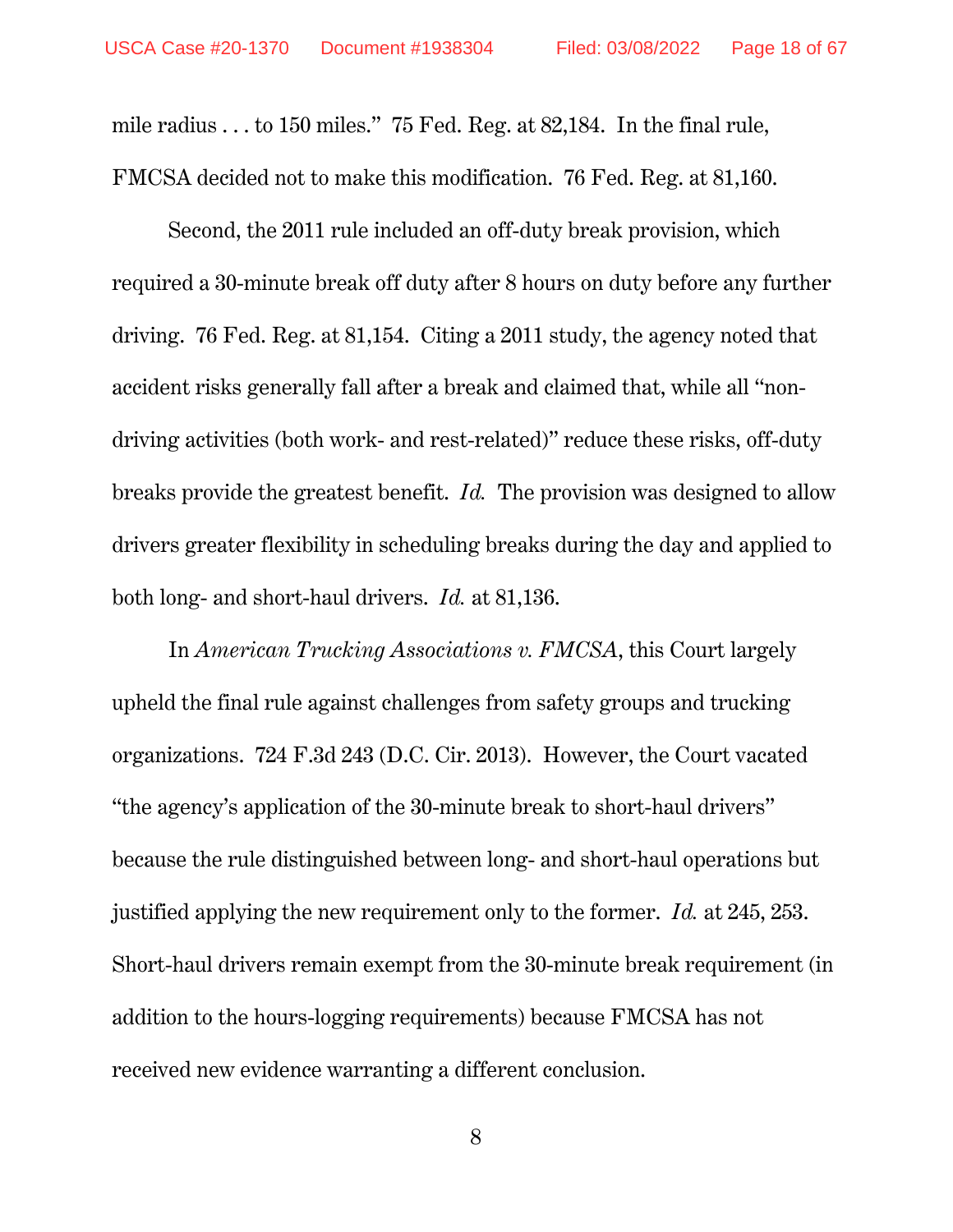mile radius . . . to 150 miles." 75 Fed. Reg. at 82,184. In the final rule, FMCSA decided not to make this modification. 76 Fed. Reg. at 81,160.

Second, the 2011 rule included an off-duty break provision, which required a 30-minute break off duty after 8 hours on duty before any further driving. 76 Fed. Reg. at 81,154. Citing a 2011 study, the agency noted that accident risks generally fall after a break and claimed that, while all "nondriving activities (both work- and rest-related)" reduce these risks, off-duty breaks provide the greatest benefit. *Id.* The provision was designed to allow drivers greater flexibility in scheduling breaks during the day and applied to both long- and short-haul drivers. *Id.* at 81,136.

In *American Trucking Associations v. FMCSA*, this Court largely upheld the final rule against challenges from safety groups and trucking organizations. 724 F.3d 243 (D.C. Cir. 2013). However, the Court vacated "the agency's application of the 30-minute break to short-haul drivers" because the rule distinguished between long- and short-haul operations but justified applying the new requirement only to the former. *Id.* at 245, 253. Short-haul drivers remain exempt from the 30-minute break requirement (in addition to the hours-logging requirements) because FMCSA has not received new evidence warranting a different conclusion.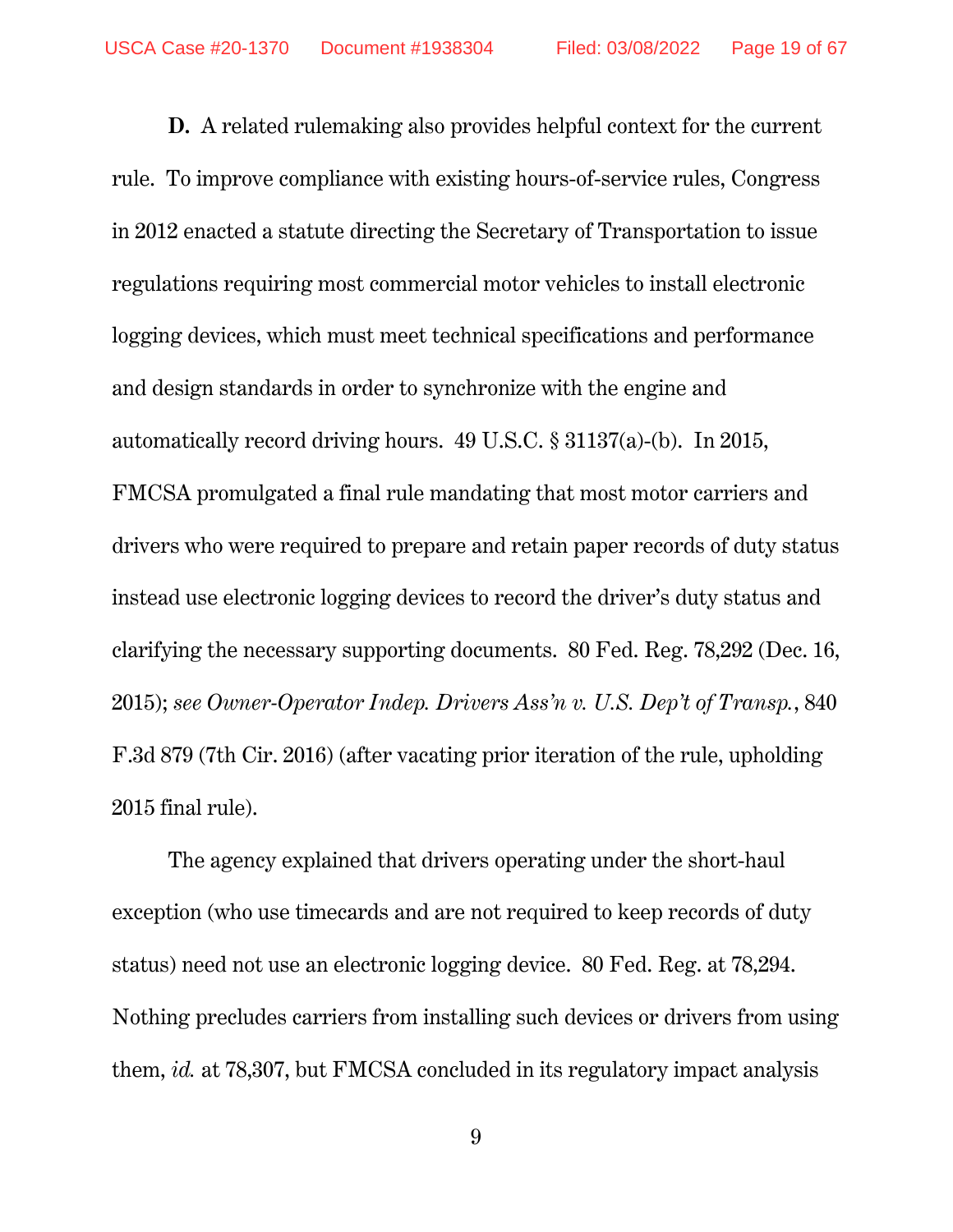**D.** A related rulemaking also provides helpful context for the current rule. To improve compliance with existing hours-of-service rules, Congress in 2012 enacted a statute directing the Secretary of Transportation to issue regulations requiring most commercial motor vehicles to install electronic logging devices, which must meet technical specifications and performance and design standards in order to synchronize with the engine and automatically record driving hours. 49 U.S.C. § 31137(a)-(b). In 2015, FMCSA promulgated a final rule mandating that most motor carriers and drivers who were required to prepare and retain paper records of duty status instead use electronic logging devices to record the driver's duty status and clarifying the necessary supporting documents. 80 Fed. Reg. 78,292 (Dec. 16, 2015); *see Owner-Operator Indep. Drivers Ass'n v. U.S. Dep't of Transp.*, 840 F.3d 879 (7th Cir. 2016) (after vacating prior iteration of the rule, upholding 2015 final rule).

The agency explained that drivers operating under the short-haul exception (who use timecards and are not required to keep records of duty status) need not use an electronic logging device. 80 Fed. Reg. at 78,294. Nothing precludes carriers from installing such devices or drivers from using them, *id.* at 78,307, but FMCSA concluded in its regulatory impact analysis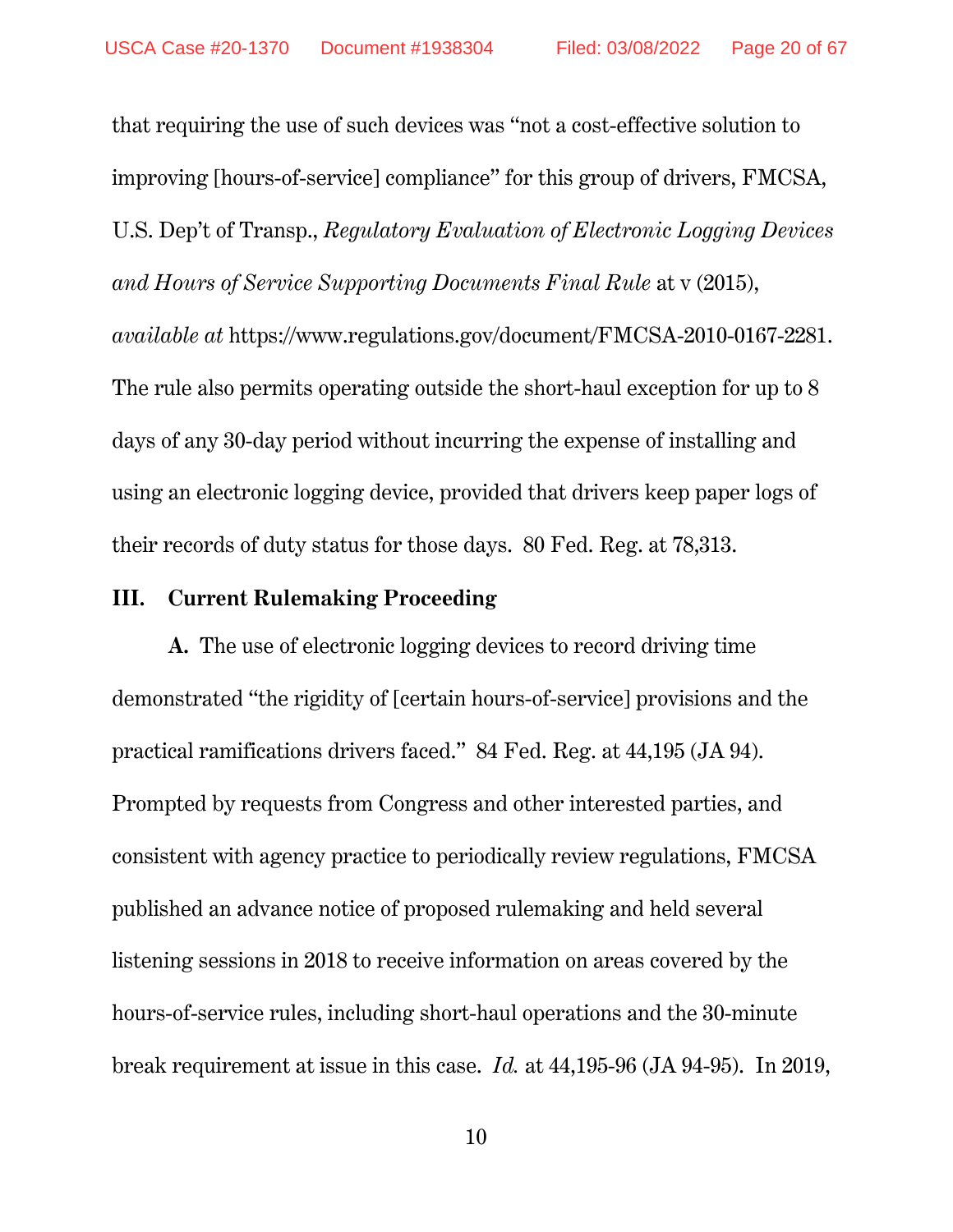that requiring the use of such devices was "not a cost-effective solution to improving [hours-of-service] compliance" for this group of drivers, FMCSA, U.S. Dep't of Transp., *Regulatory Evaluation of Electronic Logging Devices and Hours of Service Supporting Documents Final Rule* at v (2015), *available at* https://www.regulations.gov/document/FMCSA-2010-0167-2281. The rule also permits operating outside the short-haul exception for up to 8 days of any 30-day period without incurring the expense of installing and using an electronic logging device, provided that drivers keep paper logs of their records of duty status for those days. 80 Fed. Reg. at 78,313.

#### **III. Current Rulemaking Proceeding**

**A.** The use of electronic logging devices to record driving time demonstrated "the rigidity of [certain hours-of-service] provisions and the practical ramifications drivers faced." 84 Fed. Reg. at 44,195 (JA 94). Prompted by requests from Congress and other interested parties, and consistent with agency practice to periodically review regulations, FMCSA published an advance notice of proposed rulemaking and held several listening sessions in 2018 to receive information on areas covered by the hours-of-service rules, including short-haul operations and the 30-minute break requirement at issue in this case. *Id.* at 44,195-96 (JA 94-95). In 2019,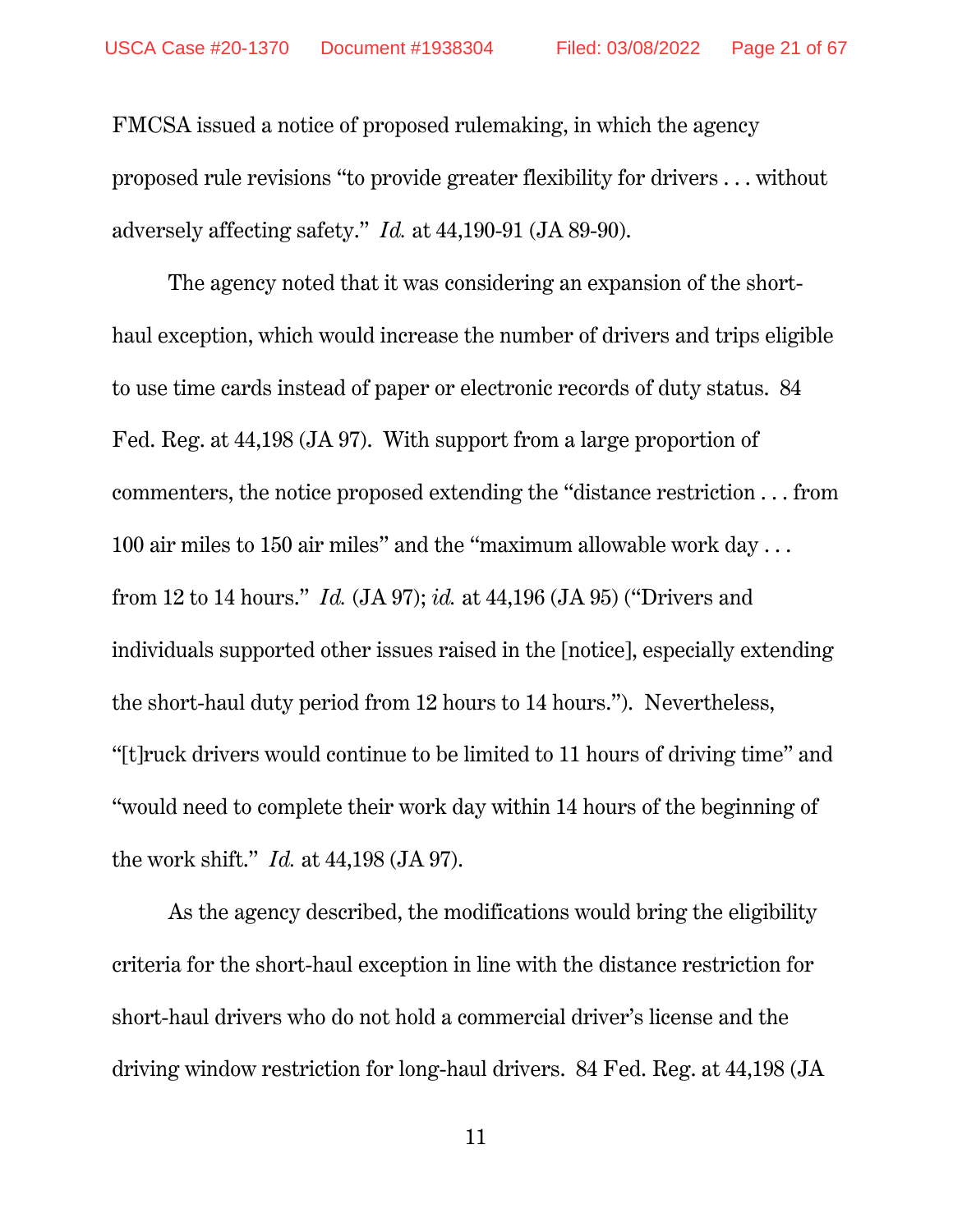FMCSA issued a notice of proposed rulemaking, in which the agency proposed rule revisions "to provide greater flexibility for drivers . . . without adversely affecting safety." *Id.* at 44,190-91 (JA 89-90).

The agency noted that it was considering an expansion of the shorthaul exception, which would increase the number of drivers and trips eligible to use time cards instead of paper or electronic records of duty status. 84 Fed. Reg. at 44,198 (JA 97). With support from a large proportion of commenters, the notice proposed extending the "distance restriction . . . from 100 air miles to 150 air miles" and the "maximum allowable work day . . . from 12 to 14 hours." *Id.* (JA 97); *id.* at 44,196 (JA 95) ("Drivers and individuals supported other issues raised in the [notice], especially extending the short-haul duty period from 12 hours to 14 hours."). Nevertheless, "[t]ruck drivers would continue to be limited to 11 hours of driving time" and "would need to complete their work day within 14 hours of the beginning of the work shift." *Id.* at 44,198 (JA 97).

As the agency described, the modifications would bring the eligibility criteria for the short-haul exception in line with the distance restriction for short-haul drivers who do not hold a commercial driver's license and the driving window restriction for long-haul drivers. 84 Fed. Reg. at 44,198 (JA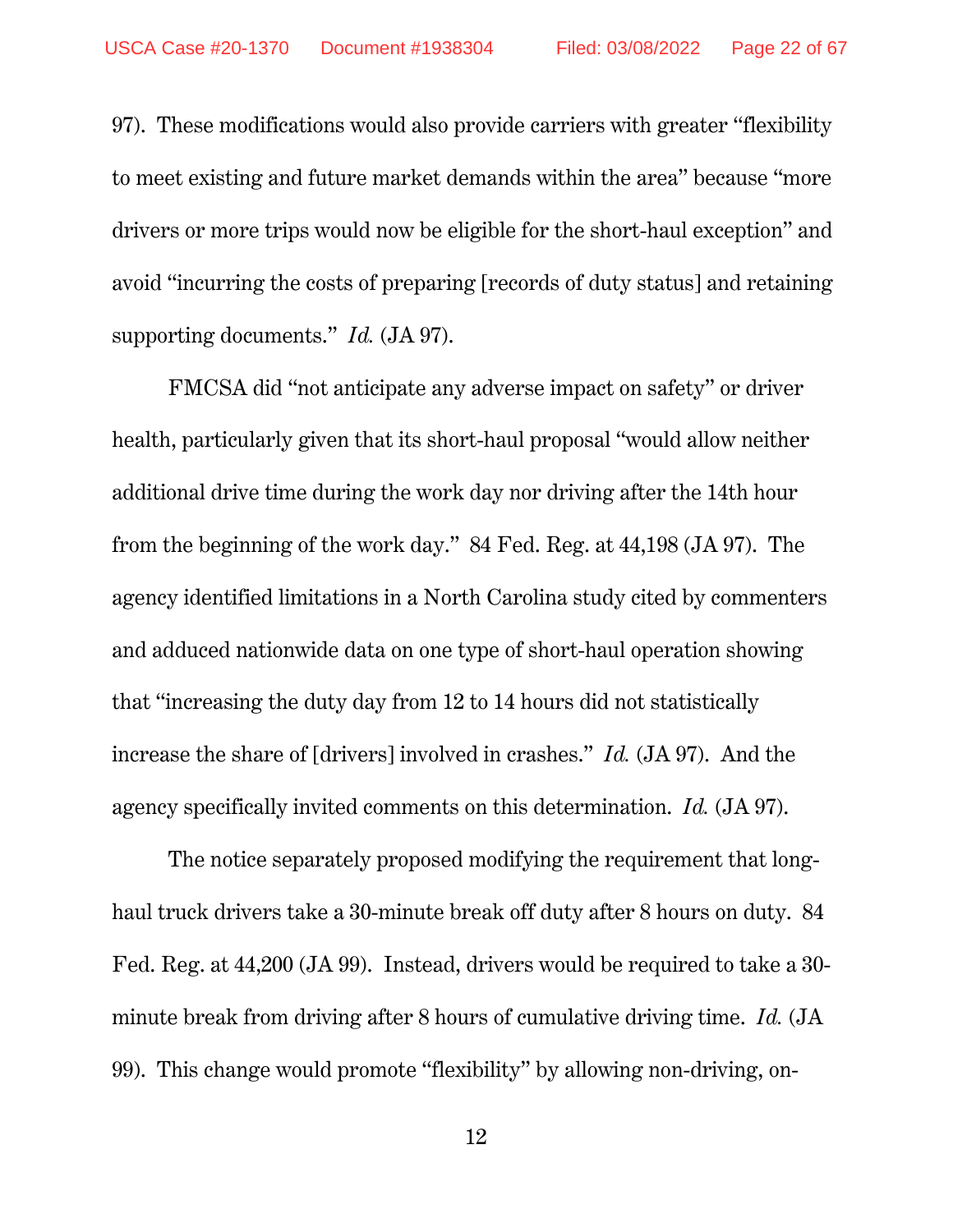97). These modifications would also provide carriers with greater "flexibility to meet existing and future market demands within the area" because "more drivers or more trips would now be eligible for the short-haul exception" and avoid "incurring the costs of preparing [records of duty status] and retaining supporting documents." *Id.* (JA 97).

FMCSA did "not anticipate any adverse impact on safety" or driver health, particularly given that its short-haul proposal "would allow neither additional drive time during the work day nor driving after the 14th hour from the beginning of the work day." 84 Fed. Reg. at 44,198 (JA 97). The agency identified limitations in a North Carolina study cited by commenters and adduced nationwide data on one type of short-haul operation showing that "increasing the duty day from 12 to 14 hours did not statistically increase the share of [drivers] involved in crashes." *Id.* (JA 97). And the agency specifically invited comments on this determination. *Id.* (JA 97).

The notice separately proposed modifying the requirement that longhaul truck drivers take a 30-minute break off duty after 8 hours on duty. 84 Fed. Reg. at 44,200 (JA 99). Instead, drivers would be required to take a 30 minute break from driving after 8 hours of cumulative driving time. *Id.* (JA 99). This change would promote "flexibility" by allowing non-driving, on-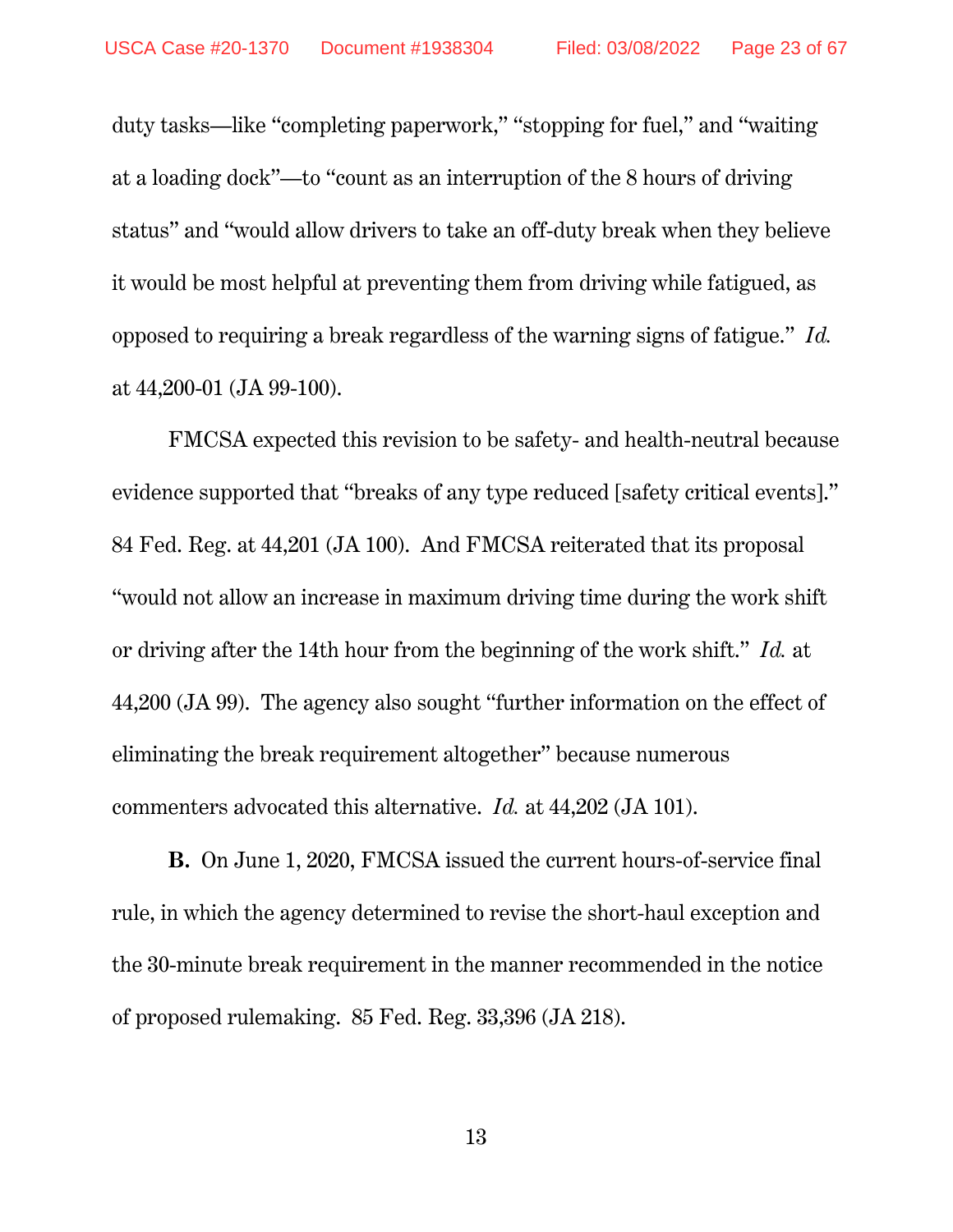duty tasks—like "completing paperwork," "stopping for fuel," and "waiting at a loading dock"—to "count as an interruption of the 8 hours of driving status" and "would allow drivers to take an off-duty break when they believe it would be most helpful at preventing them from driving while fatigued, as opposed to requiring a break regardless of the warning signs of fatigue." *Id.* at 44,200-01 (JA 99-100).

FMCSA expected this revision to be safety- and health-neutral because evidence supported that "breaks of any type reduced [safety critical events]." 84 Fed. Reg. at 44,201 (JA 100). And FMCSA reiterated that its proposal "would not allow an increase in maximum driving time during the work shift or driving after the 14th hour from the beginning of the work shift." *Id.* at 44,200 (JA 99). The agency also sought "further information on the effect of eliminating the break requirement altogether" because numerous commenters advocated this alternative. *Id.* at 44,202 (JA 101).

**B.** On June 1, 2020, FMCSA issued the current hours-of-service final rule, in which the agency determined to revise the short-haul exception and the 30-minute break requirement in the manner recommended in the notice of proposed rulemaking. 85 Fed. Reg. 33,396 (JA 218).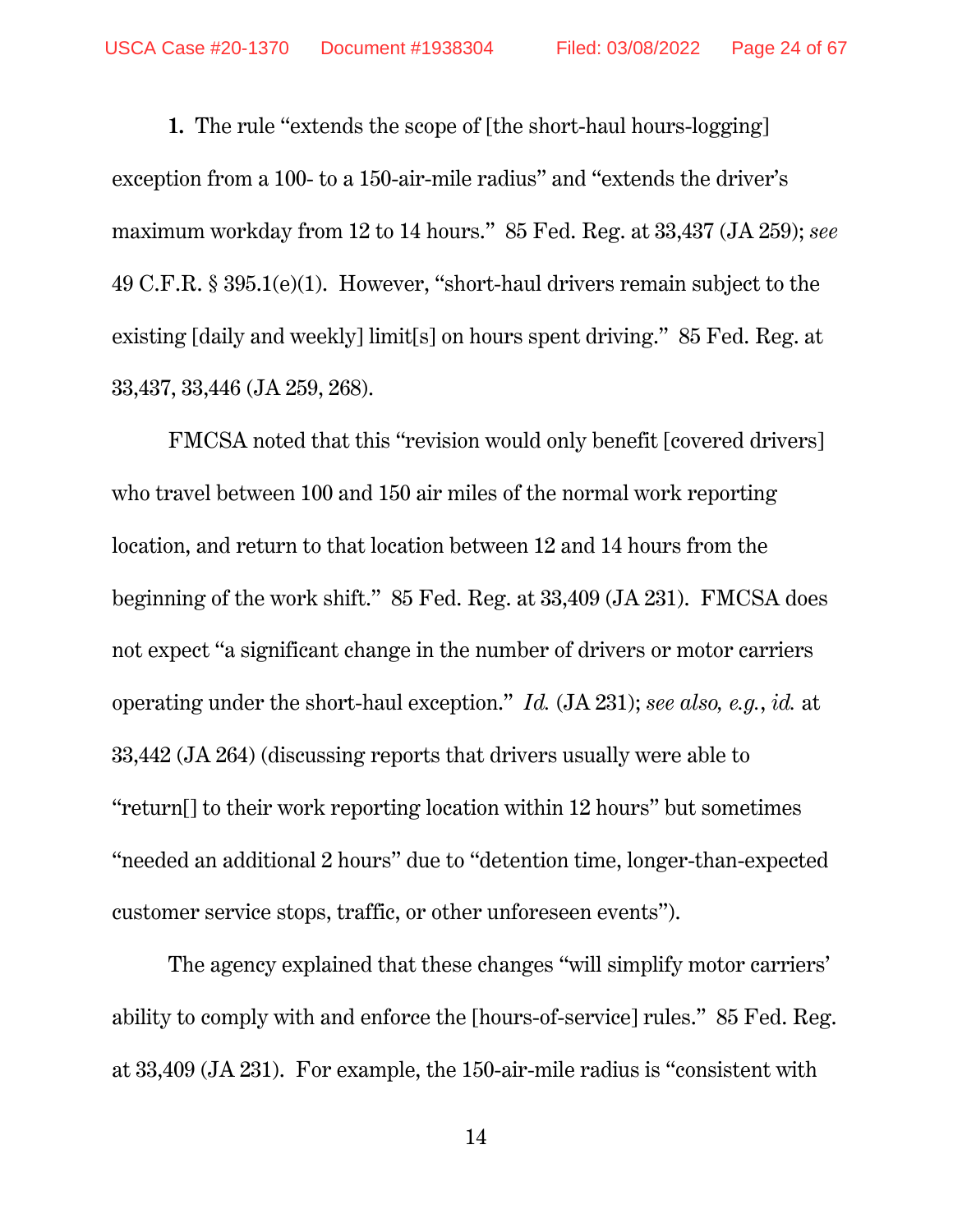**1.** The rule "extends the scope of [the short-haul hours-logging] exception from a 100- to a 150-air-mile radius" and "extends the driver's maximum workday from 12 to 14 hours." 85 Fed. Reg. at 33,437 (JA 259); *see* 49 C.F.R. § 395.1(e)(1). However, "short-haul drivers remain subject to the existing [daily and weekly] limit[s] on hours spent driving." 85 Fed. Reg. at 33,437, 33,446 (JA 259, 268).

FMCSA noted that this "revision would only benefit [covered drivers] who travel between 100 and 150 air miles of the normal work reporting location, and return to that location between 12 and 14 hours from the beginning of the work shift." 85 Fed. Reg. at 33,409 (JA 231). FMCSA does not expect "a significant change in the number of drivers or motor carriers operating under the short-haul exception." *Id.* (JA 231); *see also, e.g.*, *id.* at 33,442 (JA 264) (discussing reports that drivers usually were able to "return[] to their work reporting location within 12 hours" but sometimes "needed an additional 2 hours" due to "detention time, longer-than-expected customer service stops, traffic, or other unforeseen events").

The agency explained that these changes "will simplify motor carriers' ability to comply with and enforce the [hours-of-service] rules." 85 Fed. Reg. at 33,409 (JA 231). For example, the 150-air-mile radius is "consistent with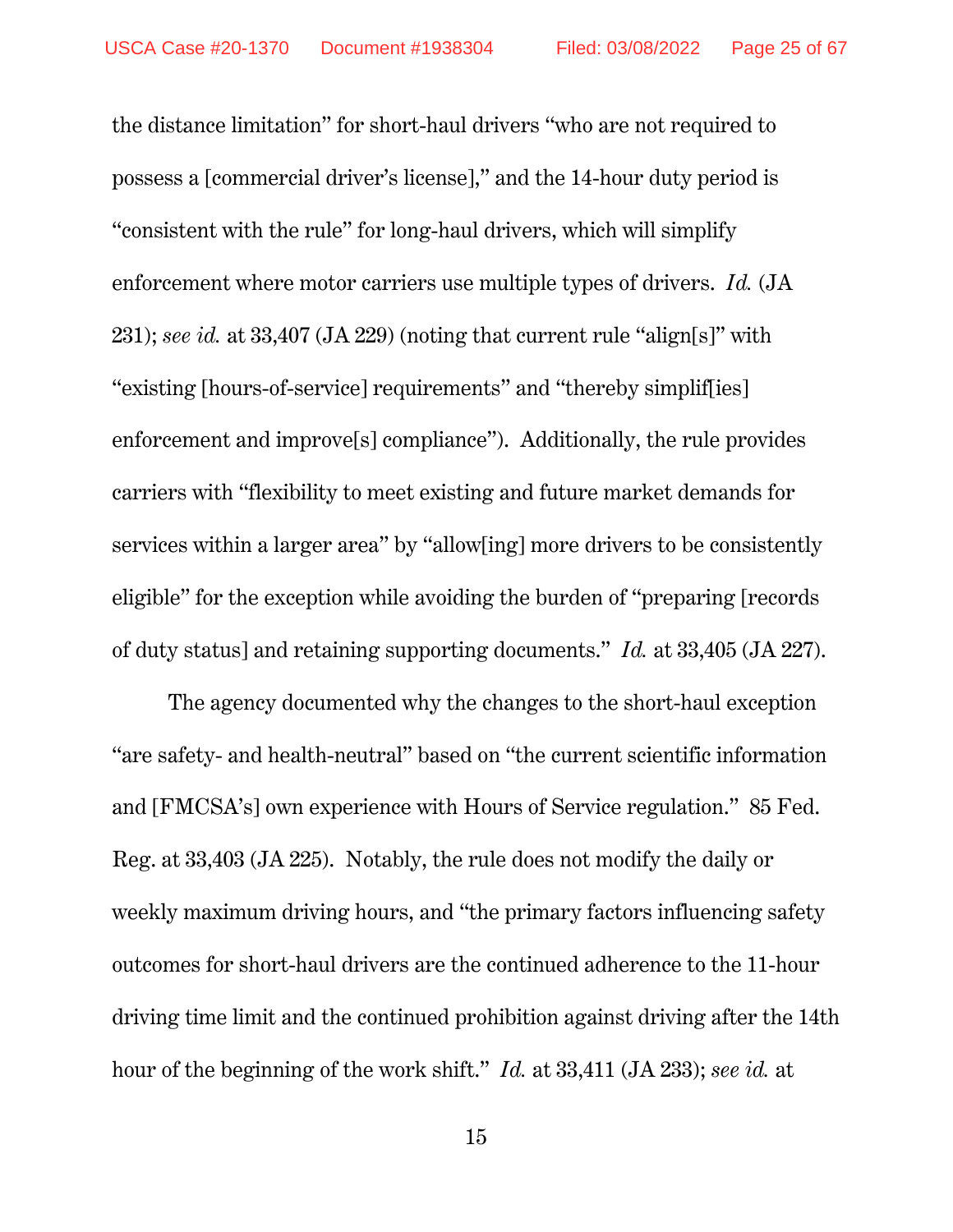the distance limitation" for short-haul drivers "who are not required to possess a [commercial driver's license]," and the 14-hour duty period is "consistent with the rule" for long-haul drivers, which will simplify enforcement where motor carriers use multiple types of drivers. *Id.* (JA 231); *see id.* at 33,407 (JA 229) (noting that current rule "align[s]" with "existing [hours-of-service] requirements" and "thereby simplif[ies] enforcement and improve[s] compliance"). Additionally, the rule provides carriers with "flexibility to meet existing and future market demands for services within a larger area" by "allow[ing] more drivers to be consistently eligible" for the exception while avoiding the burden of "preparing [records of duty status] and retaining supporting documents." *Id.* at 33,405 (JA 227).

The agency documented why the changes to the short-haul exception "are safety- and health-neutral" based on "the current scientific information and [FMCSA's] own experience with Hours of Service regulation." 85 Fed. Reg. at 33,403 (JA 225). Notably, the rule does not modify the daily or weekly maximum driving hours, and "the primary factors influencing safety outcomes for short-haul drivers are the continued adherence to the 11-hour driving time limit and the continued prohibition against driving after the 14th hour of the beginning of the work shift." *Id.* at 33,411 (JA 233); *see id.* at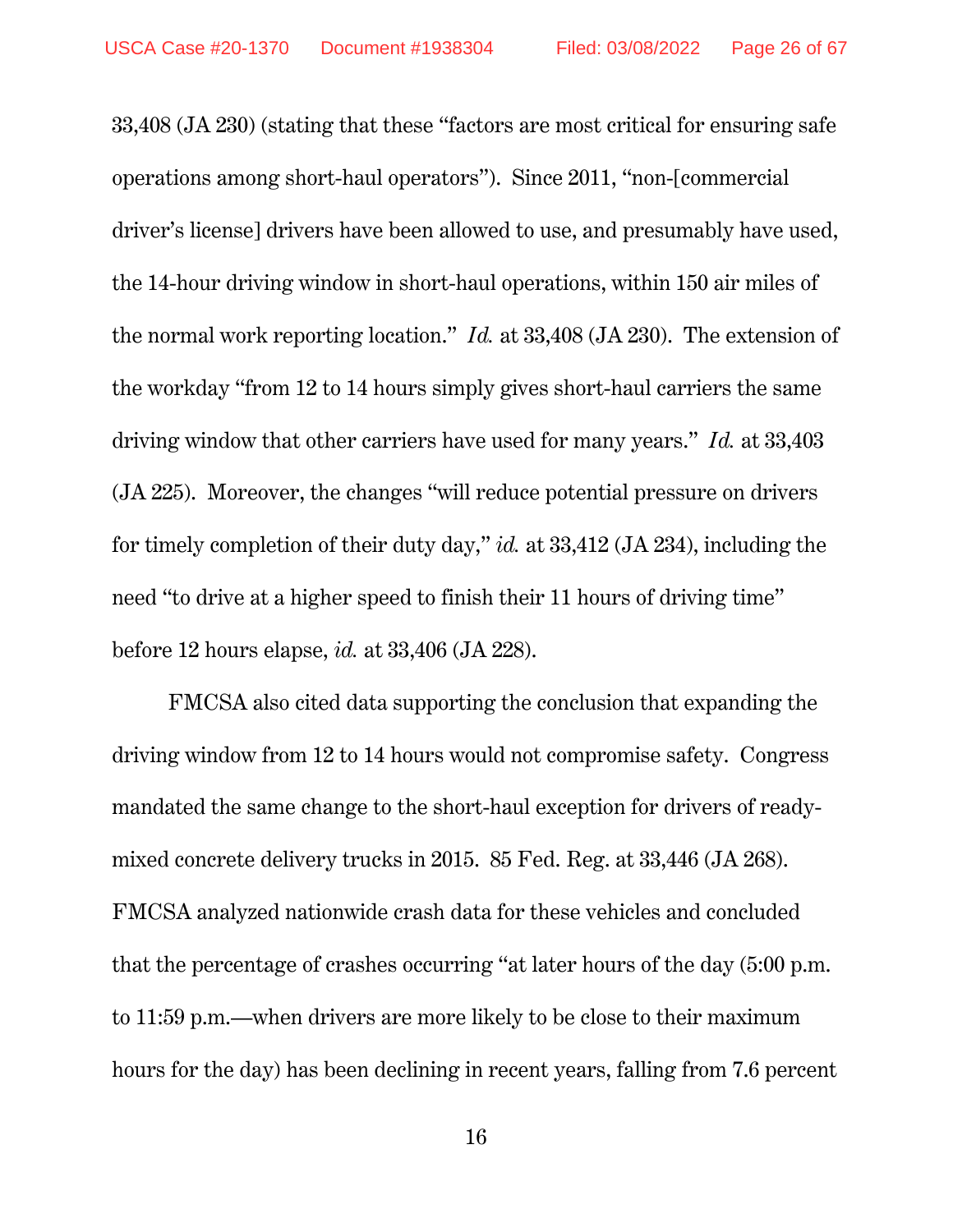33,408 (JA 230) (stating that these "factors are most critical for ensuring safe operations among short-haul operators"). Since 2011, "non-[commercial driver's license] drivers have been allowed to use, and presumably have used, the 14-hour driving window in short-haul operations, within 150 air miles of the normal work reporting location." *Id.* at 33,408 (JA 230). The extension of the workday "from 12 to 14 hours simply gives short-haul carriers the same driving window that other carriers have used for many years." *Id.* at 33,403 (JA 225). Moreover, the changes "will reduce potential pressure on drivers for timely completion of their duty day," *id.* at 33,412 (JA 234), including the need "to drive at a higher speed to finish their 11 hours of driving time" before 12 hours elapse, *id.* at 33,406 (JA 228).

FMCSA also cited data supporting the conclusion that expanding the driving window from 12 to 14 hours would not compromise safety. Congress mandated the same change to the short-haul exception for drivers of readymixed concrete delivery trucks in 2015. 85 Fed. Reg. at 33,446 (JA 268). FMCSA analyzed nationwide crash data for these vehicles and concluded that the percentage of crashes occurring "at later hours of the day (5:00 p.m. to 11:59 p.m.—when drivers are more likely to be close to their maximum hours for the day) has been declining in recent years, falling from 7.6 percent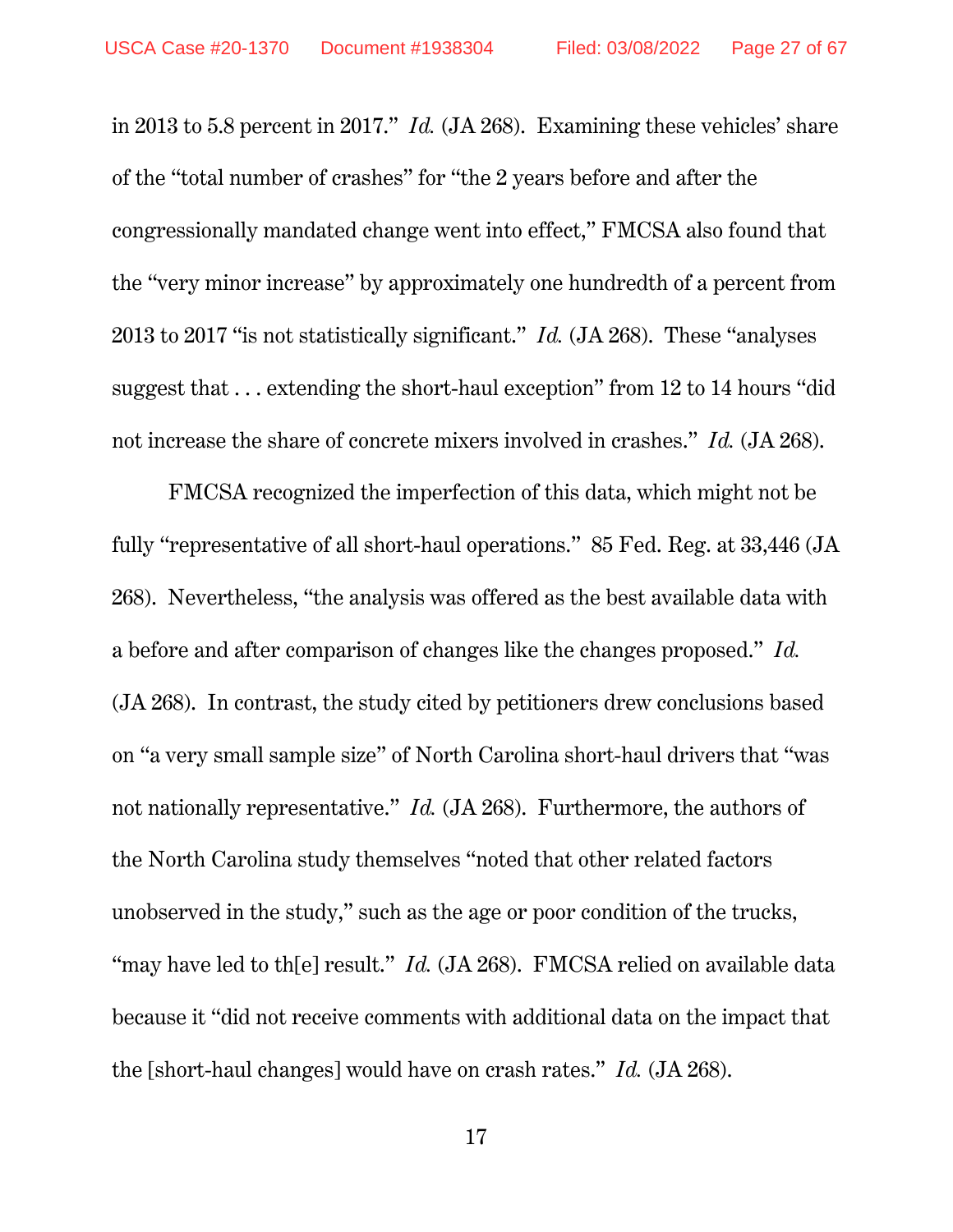in 2013 to 5.8 percent in 2017." *Id.* (JA 268). Examining these vehicles' share of the "total number of crashes" for "the 2 years before and after the congressionally mandated change went into effect," FMCSA also found that the "very minor increase" by approximately one hundredth of a percent from 2013 to 2017 "is not statistically significant." *Id.* (JA 268). These "analyses suggest that . . . extending the short-haul exception" from 12 to 14 hours "did not increase the share of concrete mixers involved in crashes." *Id.* (JA 268).

FMCSA recognized the imperfection of this data, which might not be fully "representative of all short-haul operations." 85 Fed. Reg. at 33,446 (JA 268). Nevertheless, "the analysis was offered as the best available data with a before and after comparison of changes like the changes proposed." *Id.*  (JA 268). In contrast, the study cited by petitioners drew conclusions based on "a very small sample size" of North Carolina short-haul drivers that "was not nationally representative." *Id.* (JA 268). Furthermore, the authors of the North Carolina study themselves "noted that other related factors unobserved in the study," such as the age or poor condition of the trucks, "may have led to th[e] result." *Id.* (JA 268). FMCSA relied on available data because it "did not receive comments with additional data on the impact that the [short-haul changes] would have on crash rates." *Id.* (JA 268).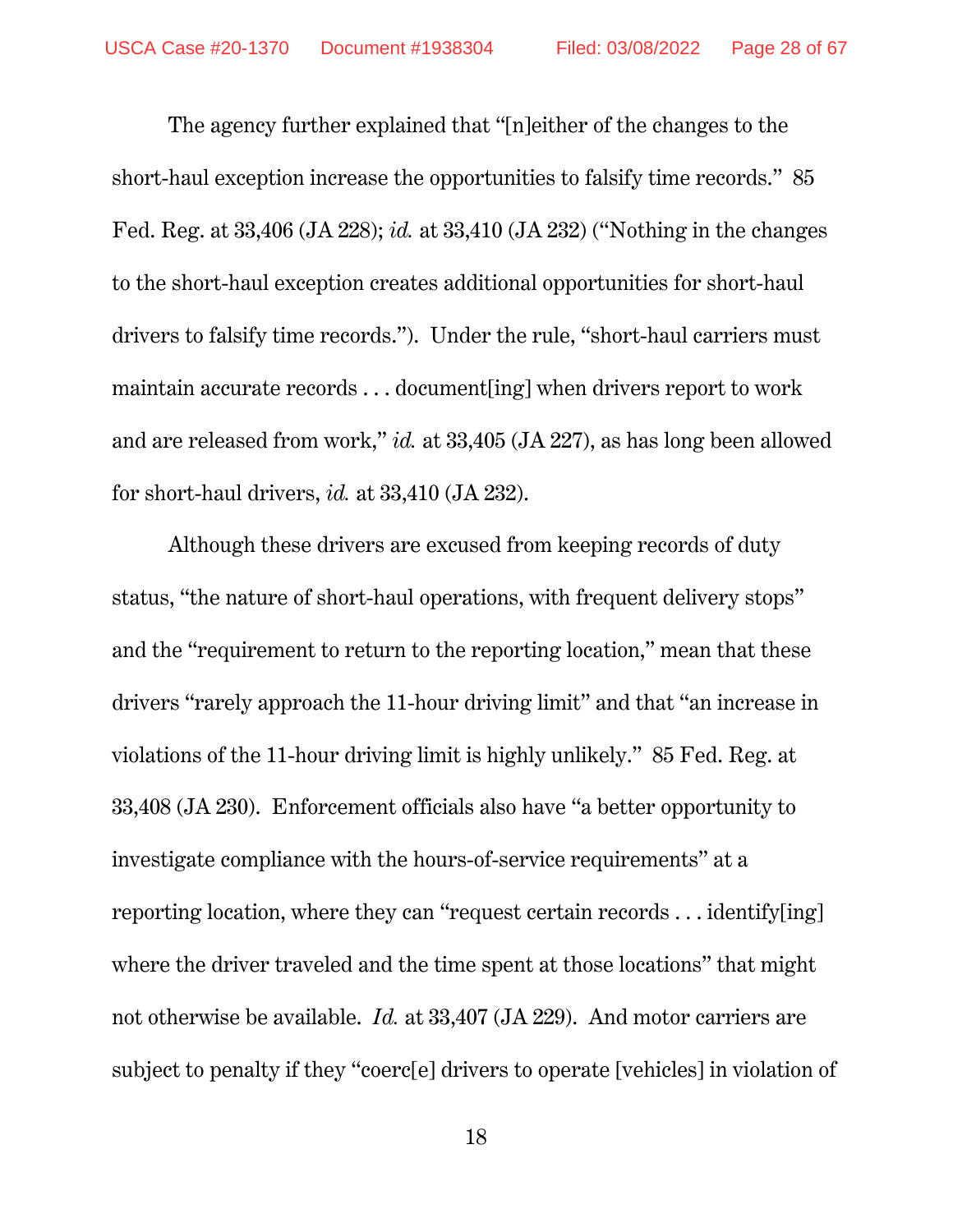The agency further explained that "[n]either of the changes to the short-haul exception increase the opportunities to falsify time records." 85 Fed. Reg. at 33,406 (JA 228); *id.* at 33,410 (JA 232) ("Nothing in the changes to the short-haul exception creates additional opportunities for short-haul drivers to falsify time records."). Under the rule, "short-haul carriers must maintain accurate records . . . document[ing] when drivers report to work and are released from work," *id.* at 33,405 (JA 227), as has long been allowed for short-haul drivers, *id.* at 33,410 (JA 232).

Although these drivers are excused from keeping records of duty status, "the nature of short-haul operations, with frequent delivery stops" and the "requirement to return to the reporting location," mean that these drivers "rarely approach the 11-hour driving limit" and that "an increase in violations of the 11-hour driving limit is highly unlikely." 85 Fed. Reg. at 33,408 (JA 230). Enforcement officials also have "a better opportunity to investigate compliance with the hours-of-service requirements" at a reporting location, where they can "request certain records . . . identify[ing] where the driver traveled and the time spent at those locations" that might not otherwise be available. *Id.* at 33,407 (JA 229). And motor carriers are subject to penalty if they "coerc[e] drivers to operate [vehicles] in violation of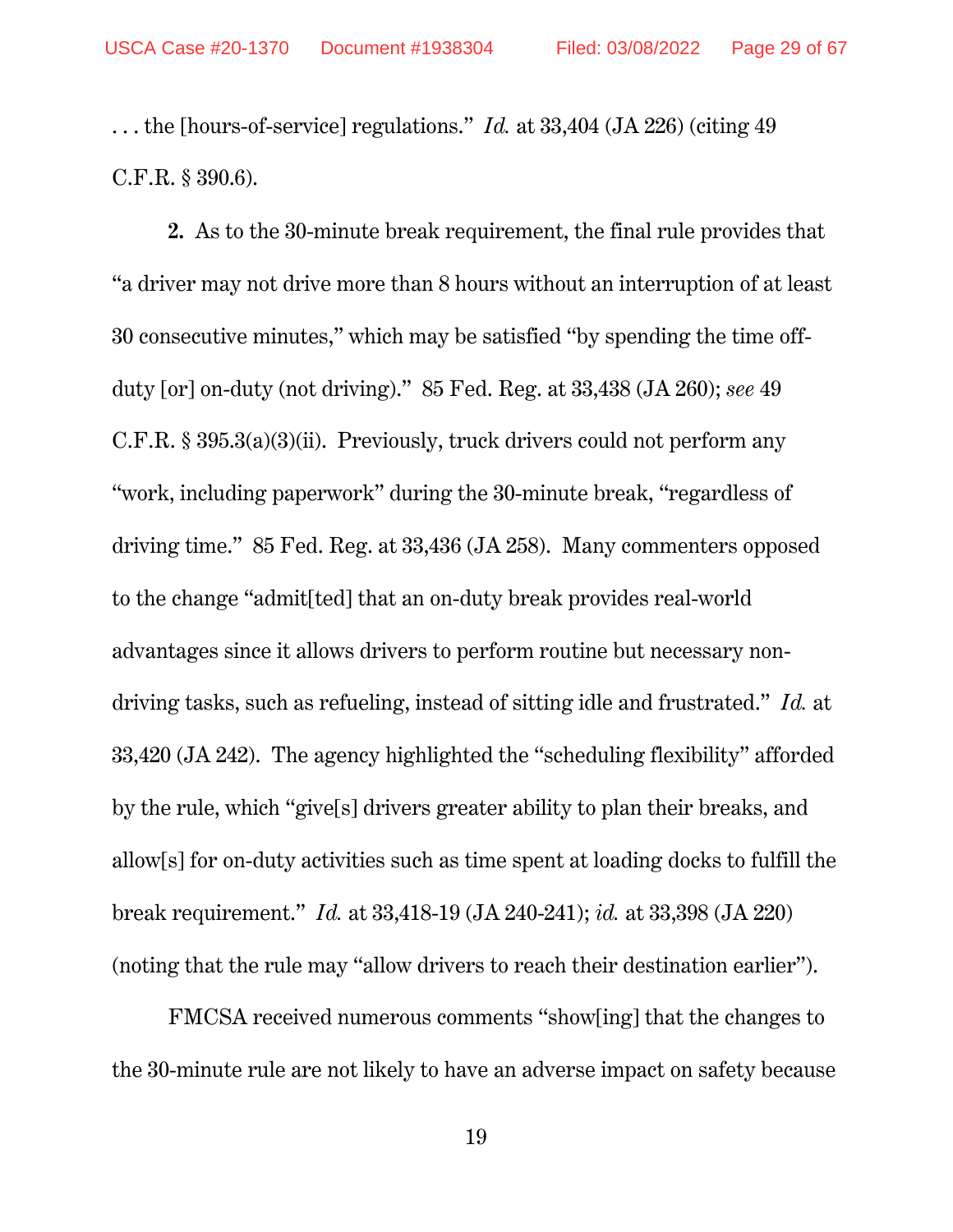. . . the [hours-of-service] regulations." *Id.* at 33,404 (JA 226) (citing 49 C.F.R. § 390.6).

**2.** As to the 30-minute break requirement, the final rule provides that "a driver may not drive more than 8 hours without an interruption of at least 30 consecutive minutes," which may be satisfied "by spending the time offduty [or] on-duty (not driving)." 85 Fed. Reg. at 33,438 (JA 260); *see* 49 C.F.R. § 395.3(a)(3)(ii). Previously, truck drivers could not perform any "work, including paperwork" during the 30-minute break, "regardless of driving time." 85 Fed. Reg. at 33,436 (JA 258). Many commenters opposed to the change "admit[ted] that an on-duty break provides real-world advantages since it allows drivers to perform routine but necessary nondriving tasks, such as refueling, instead of sitting idle and frustrated." *Id.* at 33,420 (JA 242). The agency highlighted the "scheduling flexibility" afforded by the rule, which "give[s] drivers greater ability to plan their breaks, and allow[s] for on-duty activities such as time spent at loading docks to fulfill the break requirement." *Id.* at 33,418-19 (JA 240-241); *id.* at 33,398 (JA 220) (noting that the rule may "allow drivers to reach their destination earlier").

FMCSA received numerous comments "show[ing] that the changes to the 30-minute rule are not likely to have an adverse impact on safety because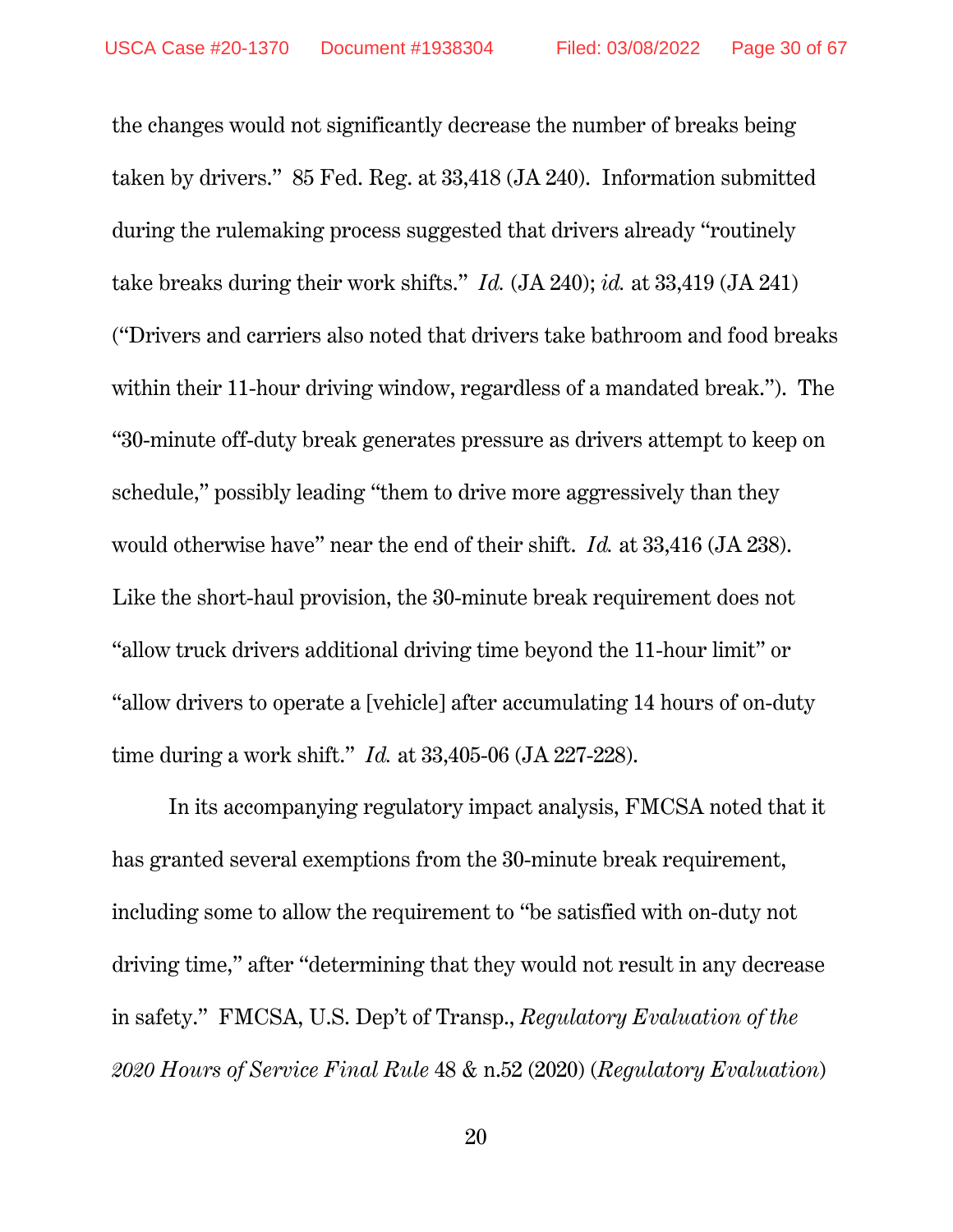the changes would not significantly decrease the number of breaks being taken by drivers." 85 Fed. Reg. at 33,418 (JA 240). Information submitted during the rulemaking process suggested that drivers already "routinely take breaks during their work shifts." *Id.* (JA 240); *id.* at 33,419 (JA 241) ("Drivers and carriers also noted that drivers take bathroom and food breaks within their 11-hour driving window, regardless of a mandated break."). The "30-minute off-duty break generates pressure as drivers attempt to keep on schedule," possibly leading "them to drive more aggressively than they would otherwise have" near the end of their shift. *Id.* at 33,416 (JA 238). Like the short-haul provision, the 30-minute break requirement does not "allow truck drivers additional driving time beyond the 11-hour limit" or "allow drivers to operate a [vehicle] after accumulating 14 hours of on-duty time during a work shift." *Id.* at 33,405-06 (JA 227-228).

In its accompanying regulatory impact analysis, FMCSA noted that it has granted several exemptions from the 30-minute break requirement, including some to allow the requirement to "be satisfied with on-duty not driving time," after "determining that they would not result in any decrease in safety." FMCSA, U.S. Dep't of Transp., *Regulatory Evaluation of the 2020 Hours of Service Final Rule* 48 & n.52 (2020) (*Regulatory Evaluation*)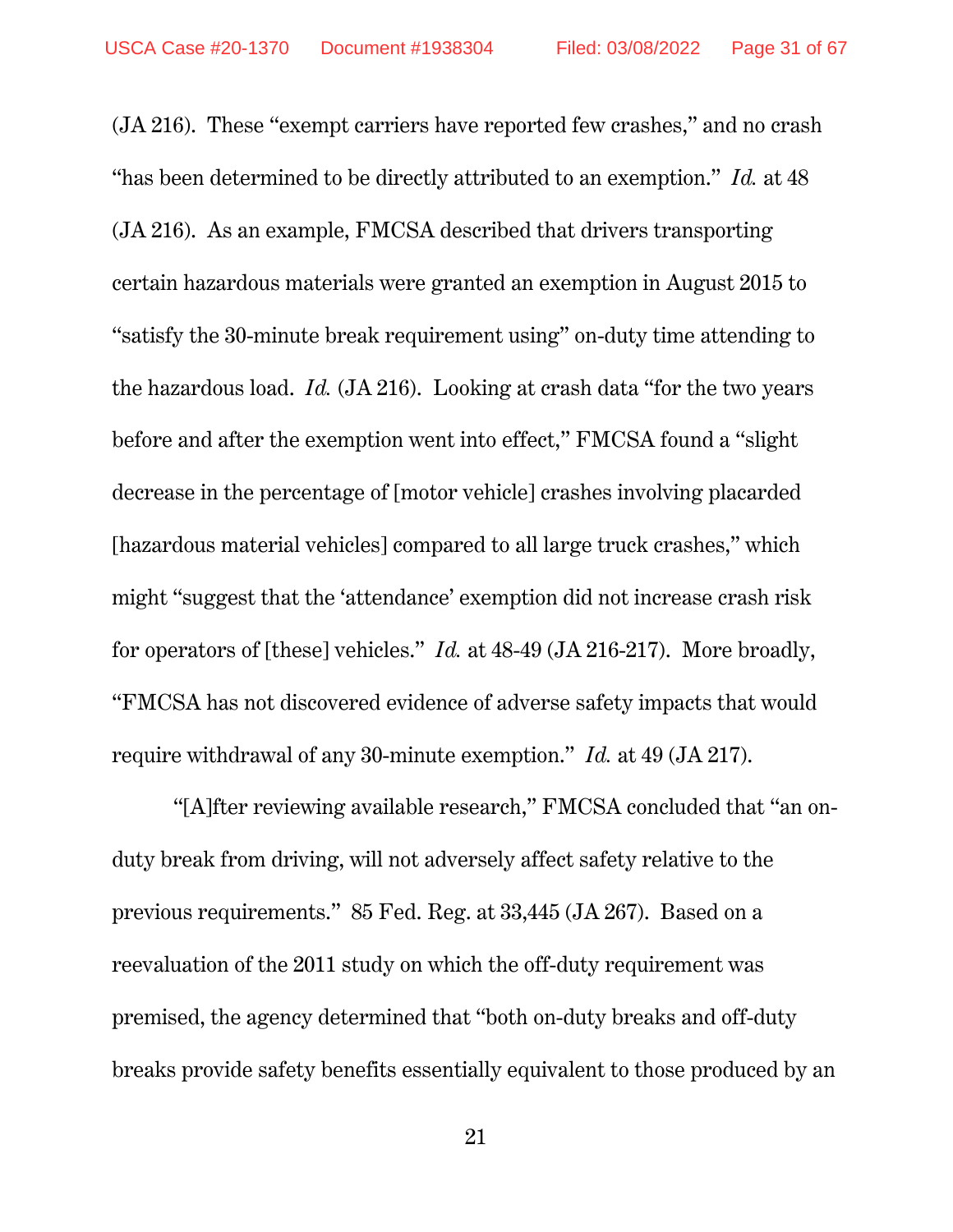(JA 216). These "exempt carriers have reported few crashes," and no crash "has been determined to be directly attributed to an exemption." *Id.* at 48 (JA 216). As an example, FMCSA described that drivers transporting certain hazardous materials were granted an exemption in August 2015 to "satisfy the 30-minute break requirement using" on-duty time attending to the hazardous load. *Id.* (JA 216). Looking at crash data "for the two years before and after the exemption went into effect," FMCSA found a "slight decrease in the percentage of [motor vehicle] crashes involving placarded [hazardous material vehicles] compared to all large truck crashes," which might "suggest that the 'attendance' exemption did not increase crash risk for operators of [these] vehicles." *Id.* at 48-49 (JA 216-217). More broadly, "FMCSA has not discovered evidence of adverse safety impacts that would require withdrawal of any 30-minute exemption." *Id.* at 49 (JA 217).

 "[A]fter reviewing available research," FMCSA concluded that "an onduty break from driving, will not adversely affect safety relative to the previous requirements." 85 Fed. Reg. at 33,445 (JA 267). Based on a reevaluation of the 2011 study on which the off-duty requirement was premised, the agency determined that "both on-duty breaks and off-duty breaks provide safety benefits essentially equivalent to those produced by an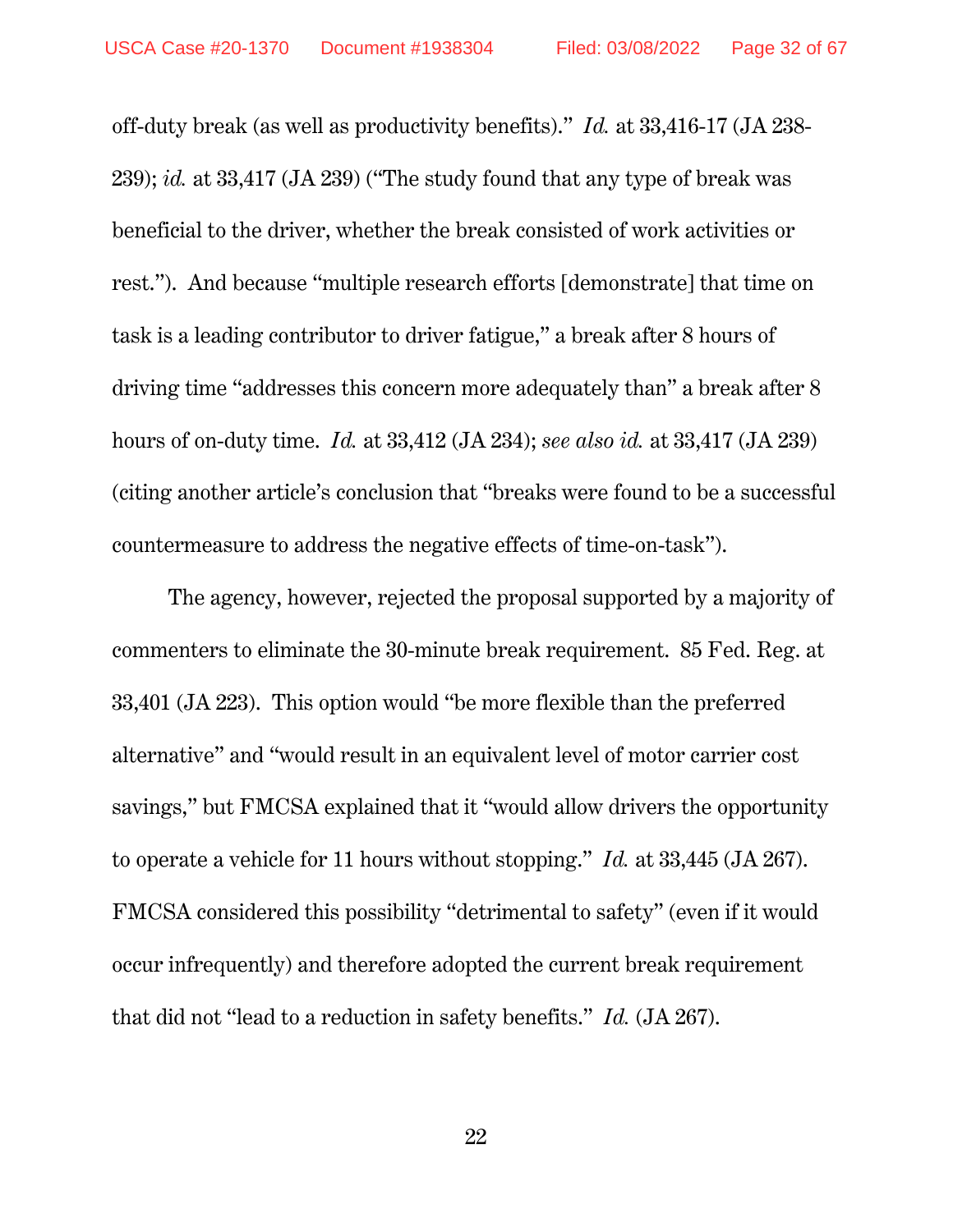off-duty break (as well as productivity benefits)." *Id.* at 33,416-17 (JA 238- 239); *id.* at 33,417 (JA 239) ("The study found that any type of break was beneficial to the driver, whether the break consisted of work activities or rest."). And because "multiple research efforts [demonstrate] that time on task is a leading contributor to driver fatigue," a break after 8 hours of driving time "addresses this concern more adequately than" a break after 8 hours of on-duty time. *Id.* at 33,412 (JA 234); *see also id.* at 33,417 (JA 239) (citing another article's conclusion that "breaks were found to be a successful countermeasure to address the negative effects of time-on-task").

The agency, however, rejected the proposal supported by a majority of commenters to eliminate the 30-minute break requirement. 85 Fed. Reg. at 33,401 (JA 223). This option would "be more flexible than the preferred alternative" and "would result in an equivalent level of motor carrier cost savings," but FMCSA explained that it "would allow drivers the opportunity to operate a vehicle for 11 hours without stopping." *Id.* at 33,445 (JA 267). FMCSA considered this possibility "detrimental to safety" (even if it would occur infrequently) and therefore adopted the current break requirement that did not "lead to a reduction in safety benefits." *Id.* (JA 267).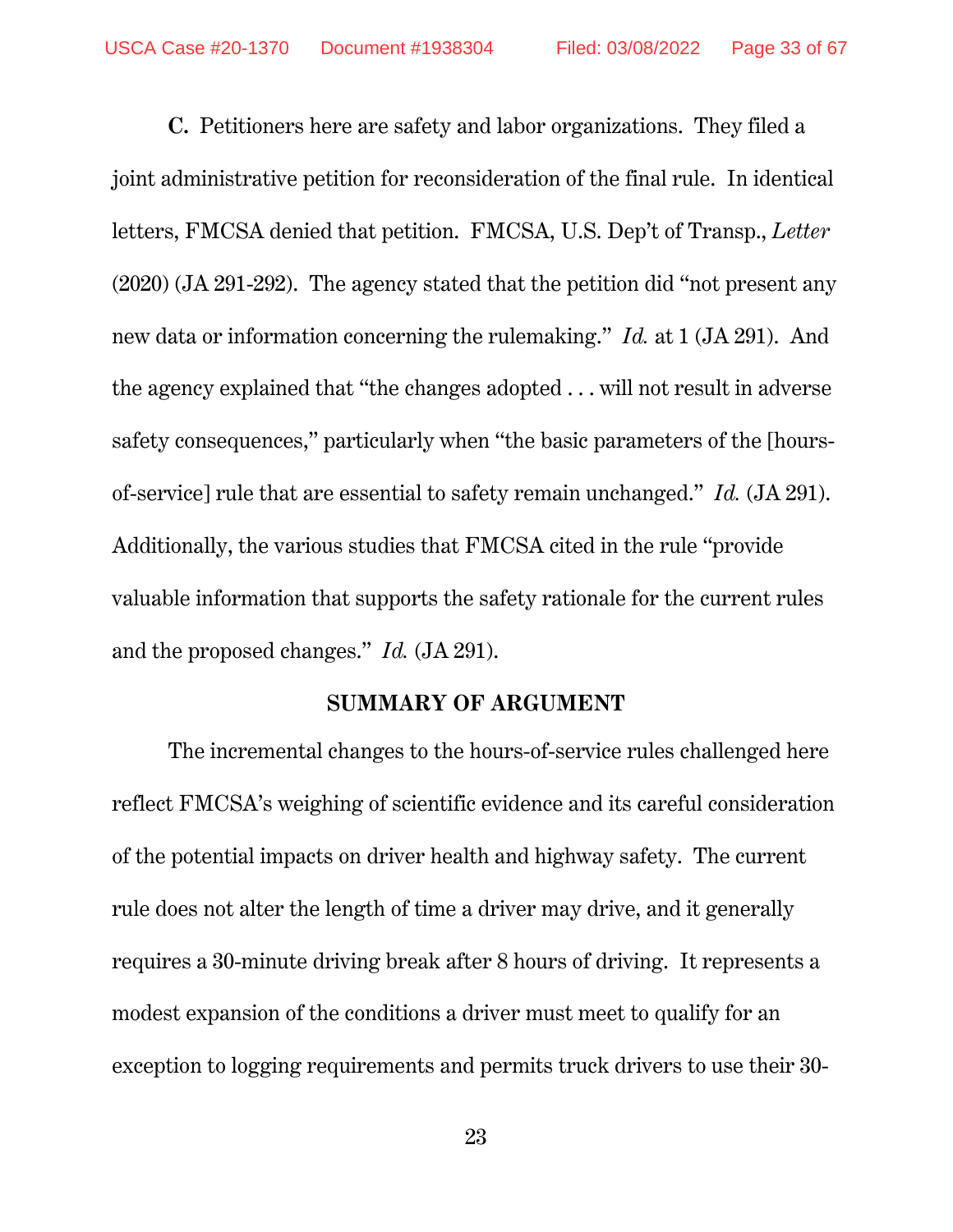**C.** Petitioners here are safety and labor organizations. They filed a joint administrative petition for reconsideration of the final rule. In identical letters, FMCSA denied that petition. FMCSA, U.S. Dep't of Transp., *Letter*  (2020) (JA 291-292). The agency stated that the petition did "not present any new data or information concerning the rulemaking." *Id.* at 1 (JA 291). And the agency explained that "the changes adopted . . . will not result in adverse safety consequences," particularly when "the basic parameters of the [hoursof-service] rule that are essential to safety remain unchanged." *Id.* (JA 291). Additionally, the various studies that FMCSA cited in the rule "provide valuable information that supports the safety rationale for the current rules and the proposed changes." *Id.* (JA 291).

#### **SUMMARY OF ARGUMENT**

The incremental changes to the hours-of-service rules challenged here reflect FMCSA's weighing of scientific evidence and its careful consideration of the potential impacts on driver health and highway safety. The current rule does not alter the length of time a driver may drive, and it generally requires a 30-minute driving break after 8 hours of driving. It represents a modest expansion of the conditions a driver must meet to qualify for an exception to logging requirements and permits truck drivers to use their 30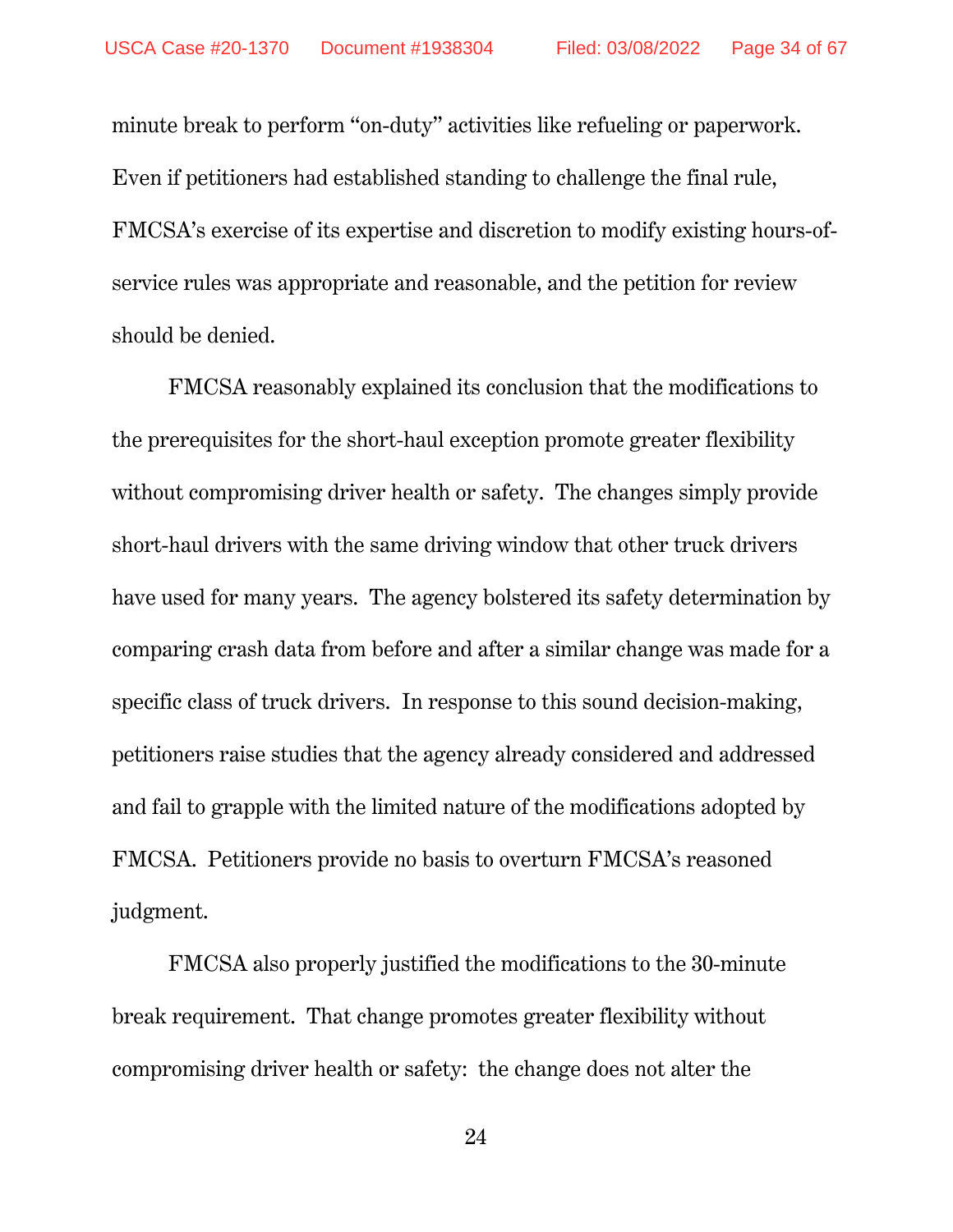minute break to perform "on-duty" activities like refueling or paperwork. Even if petitioners had established standing to challenge the final rule, FMCSA's exercise of its expertise and discretion to modify existing hours-ofservice rules was appropriate and reasonable, and the petition for review should be denied.

FMCSA reasonably explained its conclusion that the modifications to the prerequisites for the short-haul exception promote greater flexibility without compromising driver health or safety. The changes simply provide short-haul drivers with the same driving window that other truck drivers have used for many years. The agency bolstered its safety determination by comparing crash data from before and after a similar change was made for a specific class of truck drivers. In response to this sound decision-making, petitioners raise studies that the agency already considered and addressed and fail to grapple with the limited nature of the modifications adopted by FMCSA. Petitioners provide no basis to overturn FMCSA's reasoned judgment.

FMCSA also properly justified the modifications to the 30-minute break requirement. That change promotes greater flexibility without compromising driver health or safety: the change does not alter the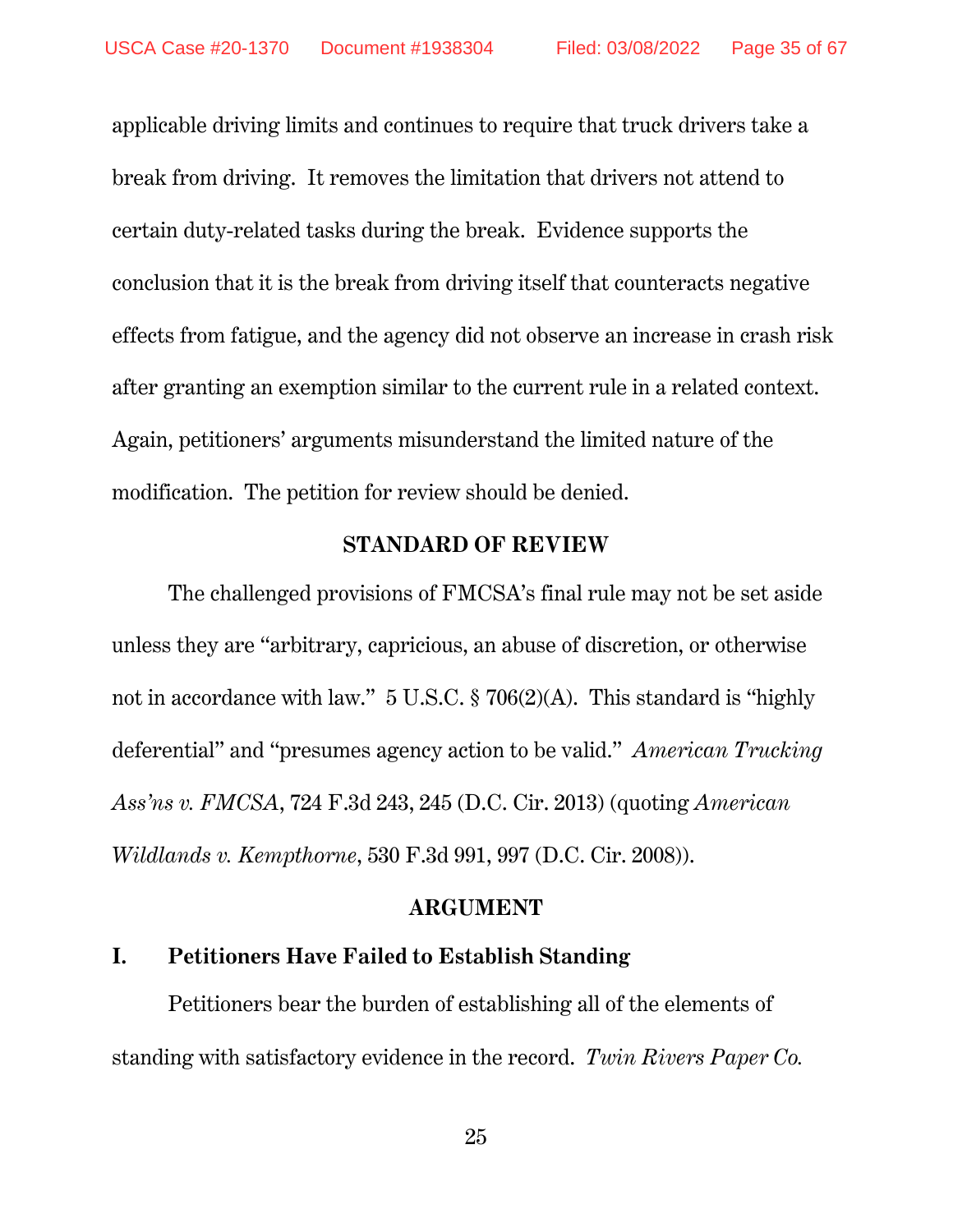applicable driving limits and continues to require that truck drivers take a break from driving. It removes the limitation that drivers not attend to certain duty-related tasks during the break. Evidence supports the conclusion that it is the break from driving itself that counteracts negative effects from fatigue, and the agency did not observe an increase in crash risk after granting an exemption similar to the current rule in a related context. Again, petitioners' arguments misunderstand the limited nature of the modification. The petition for review should be denied.

#### **STANDARD OF REVIEW**

The challenged provisions of FMCSA's final rule may not be set aside unless they are "arbitrary, capricious, an abuse of discretion, or otherwise not in accordance with law." 5 U.S.C. § 706(2)(A). This standard is "highly deferential" and "presumes agency action to be valid." *American Trucking Ass'ns v. FMCSA*, 724 F.3d 243, 245 (D.C. Cir. 2013) (quoting *American Wildlands v. Kempthorne*, 530 F.3d 991, 997 (D.C. Cir. 2008)).

#### **ARGUMENT**

### **I. Petitioners Have Failed to Establish Standing**

Petitioners bear the burden of establishing all of the elements of standing with satisfactory evidence in the record. *Twin Rivers Paper Co.*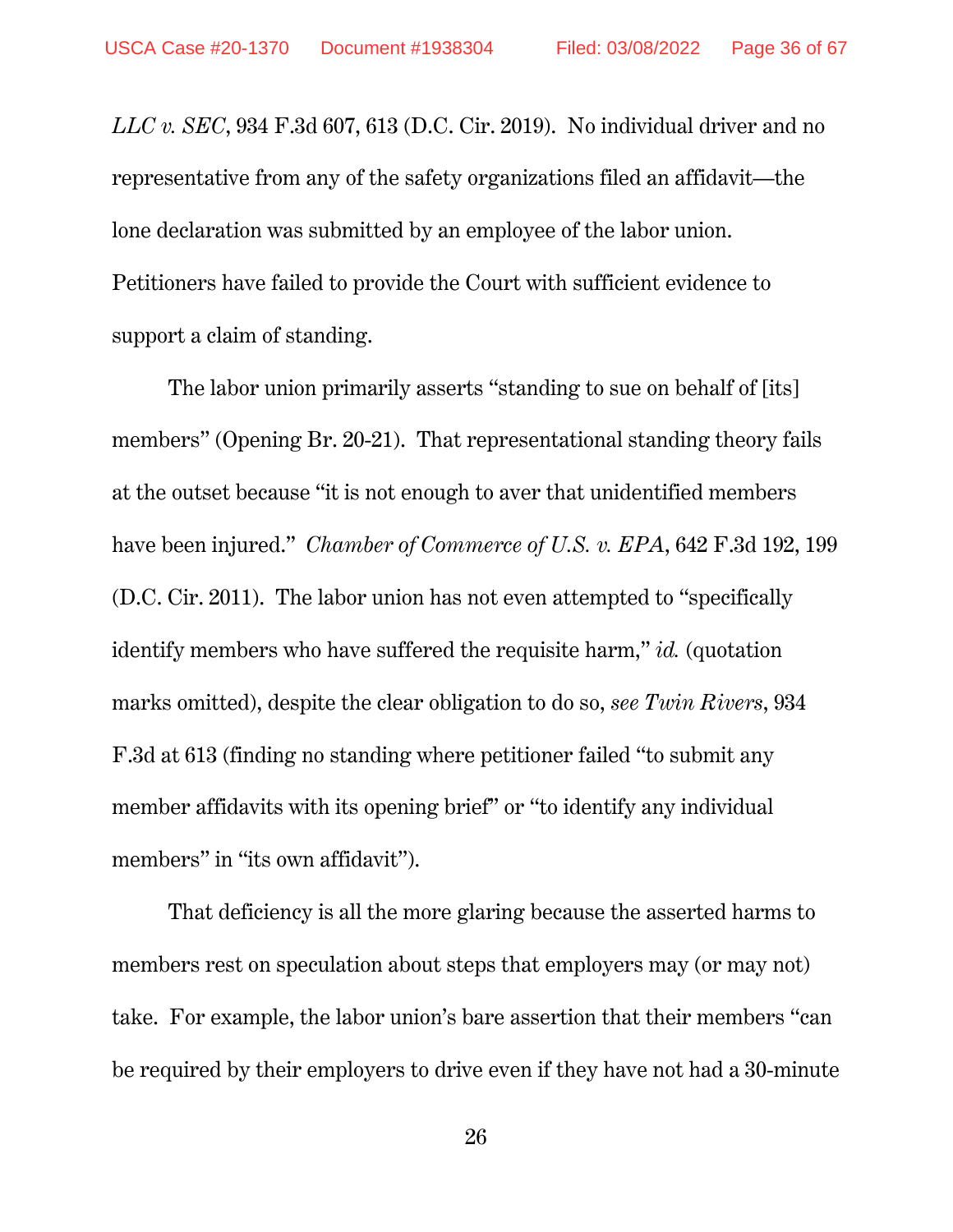*LLC v. SEC*, 934 F.3d 607, 613 (D.C. Cir. 2019). No individual driver and no representative from any of the safety organizations filed an affidavit—the lone declaration was submitted by an employee of the labor union. Petitioners have failed to provide the Court with sufficient evidence to support a claim of standing.

The labor union primarily asserts "standing to sue on behalf of [its] members" (Opening Br. 20-21). That representational standing theory fails at the outset because "it is not enough to aver that unidentified members have been injured." *Chamber of Commerce of U.S. v. EPA*, 642 F.3d 192, 199 (D.C. Cir. 2011). The labor union has not even attempted to "specifically identify members who have suffered the requisite harm," *id.* (quotation marks omitted), despite the clear obligation to do so, *see Twin Rivers*, 934 F.3d at 613 (finding no standing where petitioner failed "to submit any member affidavits with its opening brief" or "to identify any individual members" in "its own affidavit").

That deficiency is all the more glaring because the asserted harms to members rest on speculation about steps that employers may (or may not) take. For example, the labor union's bare assertion that their members "can be required by their employers to drive even if they have not had a 30-minute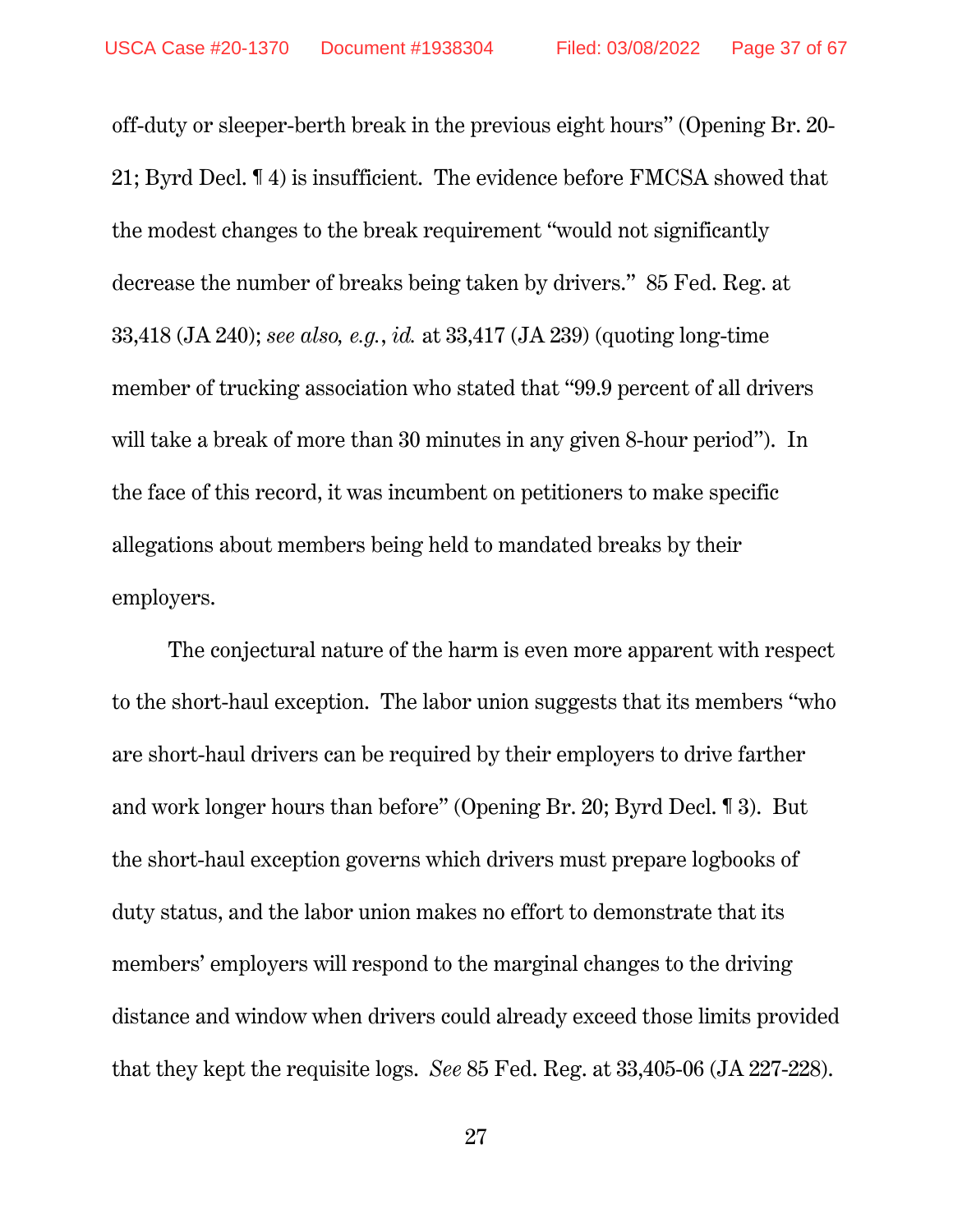off-duty or sleeper-berth break in the previous eight hours" (Opening Br. 20- 21; Byrd Decl. ¶ 4) is insufficient. The evidence before FMCSA showed that the modest changes to the break requirement "would not significantly decrease the number of breaks being taken by drivers." 85 Fed. Reg. at 33,418 (JA 240); *see also, e.g.*, *id.* at 33,417 (JA 239) (quoting long-time member of trucking association who stated that "99.9 percent of all drivers will take a break of more than 30 minutes in any given 8-hour period"). In the face of this record, it was incumbent on petitioners to make specific allegations about members being held to mandated breaks by their employers.

The conjectural nature of the harm is even more apparent with respect to the short-haul exception. The labor union suggests that its members "who are short-haul drivers can be required by their employers to drive farther and work longer hours than before" (Opening Br. 20; Byrd Decl. ¶ 3). But the short-haul exception governs which drivers must prepare logbooks of duty status, and the labor union makes no effort to demonstrate that its members' employers will respond to the marginal changes to the driving distance and window when drivers could already exceed those limits provided that they kept the requisite logs. *See* 85 Fed. Reg. at 33,405-06 (JA 227-228).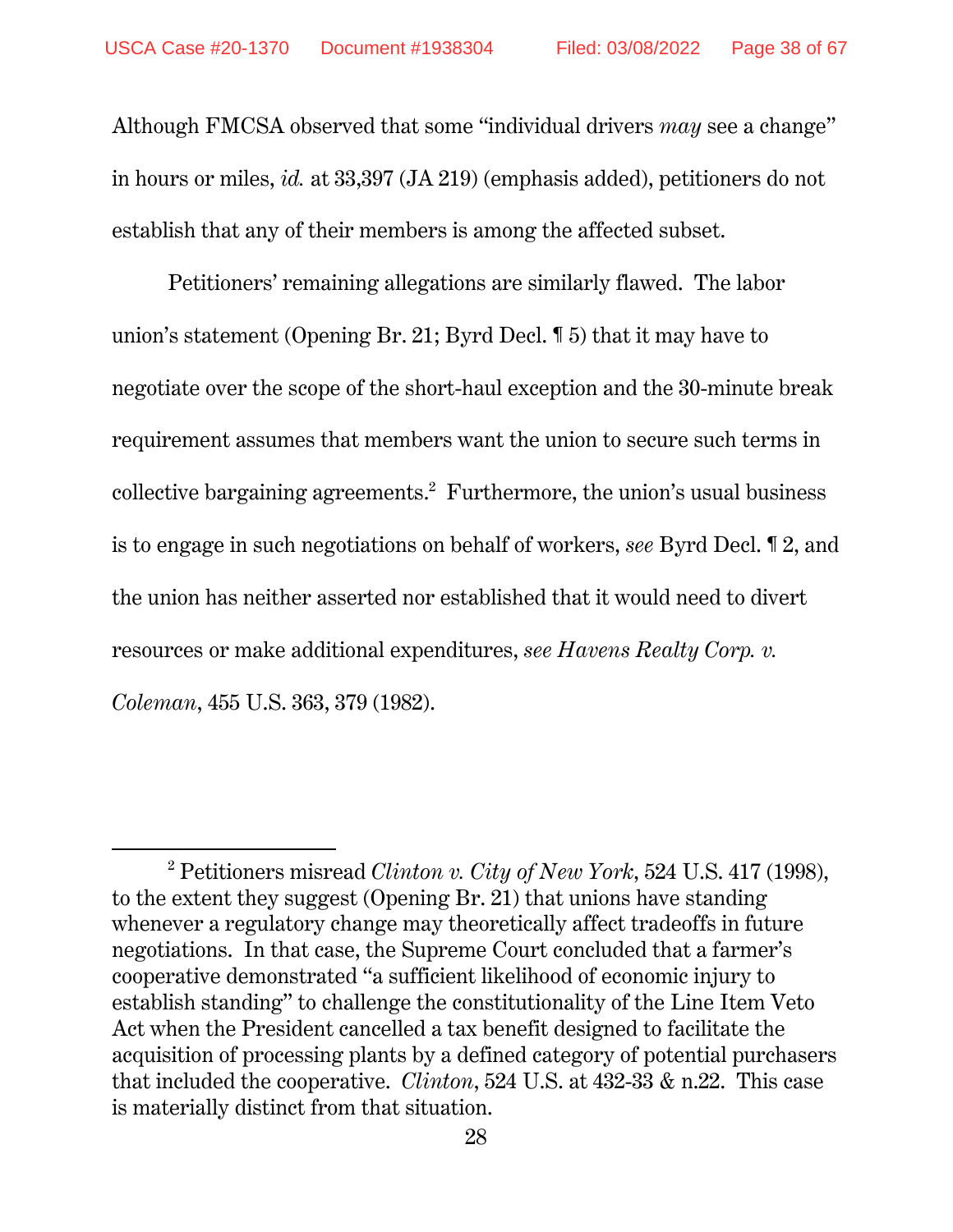Although FMCSA observed that some "individual drivers *may* see a change" in hours or miles, *id.* at 33,397 (JA 219) (emphasis added), petitioners do not establish that any of their members is among the affected subset.

Petitioners' remaining allegations are similarly flawed. The labor union's statement (Opening Br. 21; Byrd Decl. ¶ 5) that it may have to negotiate over the scope of the short-haul exception and the 30-minute break requirement assumes that members want the union to secure such terms in collective bargaining agreements.<sup>2</sup> Furthermore, the union's usual business is to engage in such negotiations on behalf of workers, *see* Byrd Decl. ¶ 2, and the union has neither asserted nor established that it would need to divert resources or make additional expenditures, *see Havens Realty Corp. v. Coleman*, 455 U.S. 363, 379 (1982).

 $\overline{a}$ 

<sup>2</sup> Petitioners misread *Clinton v. City of New York*, 524 U.S. 417 (1998), to the extent they suggest (Opening Br. 21) that unions have standing whenever a regulatory change may theoretically affect tradeoffs in future negotiations. In that case, the Supreme Court concluded that a farmer's cooperative demonstrated "a sufficient likelihood of economic injury to establish standing" to challenge the constitutionality of the Line Item Veto Act when the President cancelled a tax benefit designed to facilitate the acquisition of processing plants by a defined category of potential purchasers that included the cooperative. *Clinton*, 524 U.S. at 432-33 & n.22. This case is materially distinct from that situation.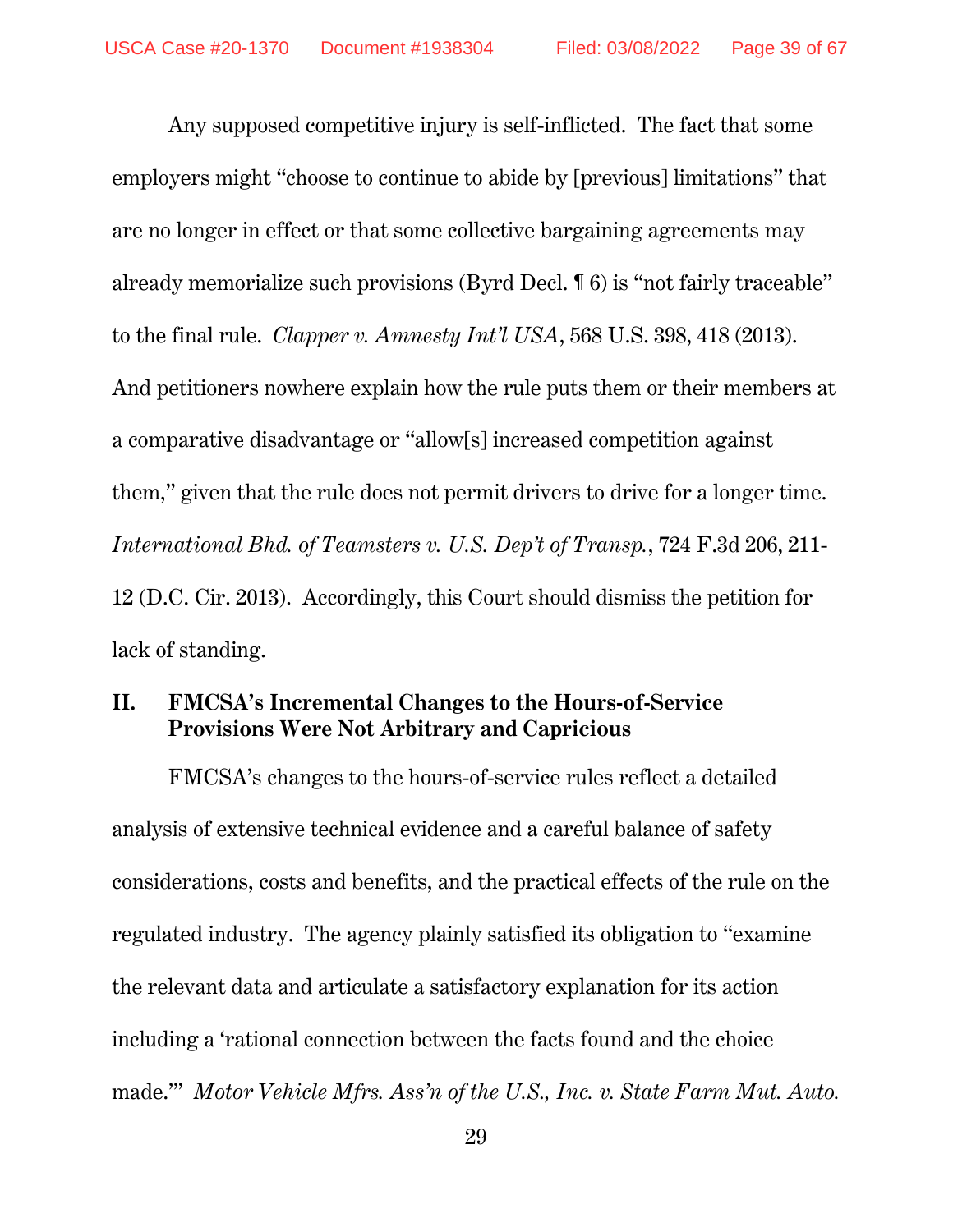Any supposed competitive injury is self-inflicted. The fact that some employers might "choose to continue to abide by [previous] limitations" that are no longer in effect or that some collective bargaining agreements may already memorialize such provisions (Byrd Decl. ¶ 6) is "not fairly traceable" to the final rule. *Clapper v. Amnesty Int'l USA*, 568 U.S. 398, 418 (2013). And petitioners nowhere explain how the rule puts them or their members at a comparative disadvantage or "allow[s] increased competition against them," given that the rule does not permit drivers to drive for a longer time. *International Bhd. of Teamsters v. U.S. Dep't of Transp.*, 724 F.3d 206, 211- 12 (D.C. Cir. 2013). Accordingly, this Court should dismiss the petition for lack of standing.

## **II. FMCSA's Incremental Changes to the Hours-of-Service Provisions Were Not Arbitrary and Capricious**

FMCSA's changes to the hours-of-service rules reflect a detailed analysis of extensive technical evidence and a careful balance of safety considerations, costs and benefits, and the practical effects of the rule on the regulated industry. The agency plainly satisfied its obligation to "examine the relevant data and articulate a satisfactory explanation for its action including a 'rational connection between the facts found and the choice made.'" *Motor Vehicle Mfrs. Ass'n of the U.S., Inc. v. State Farm Mut. Auto.*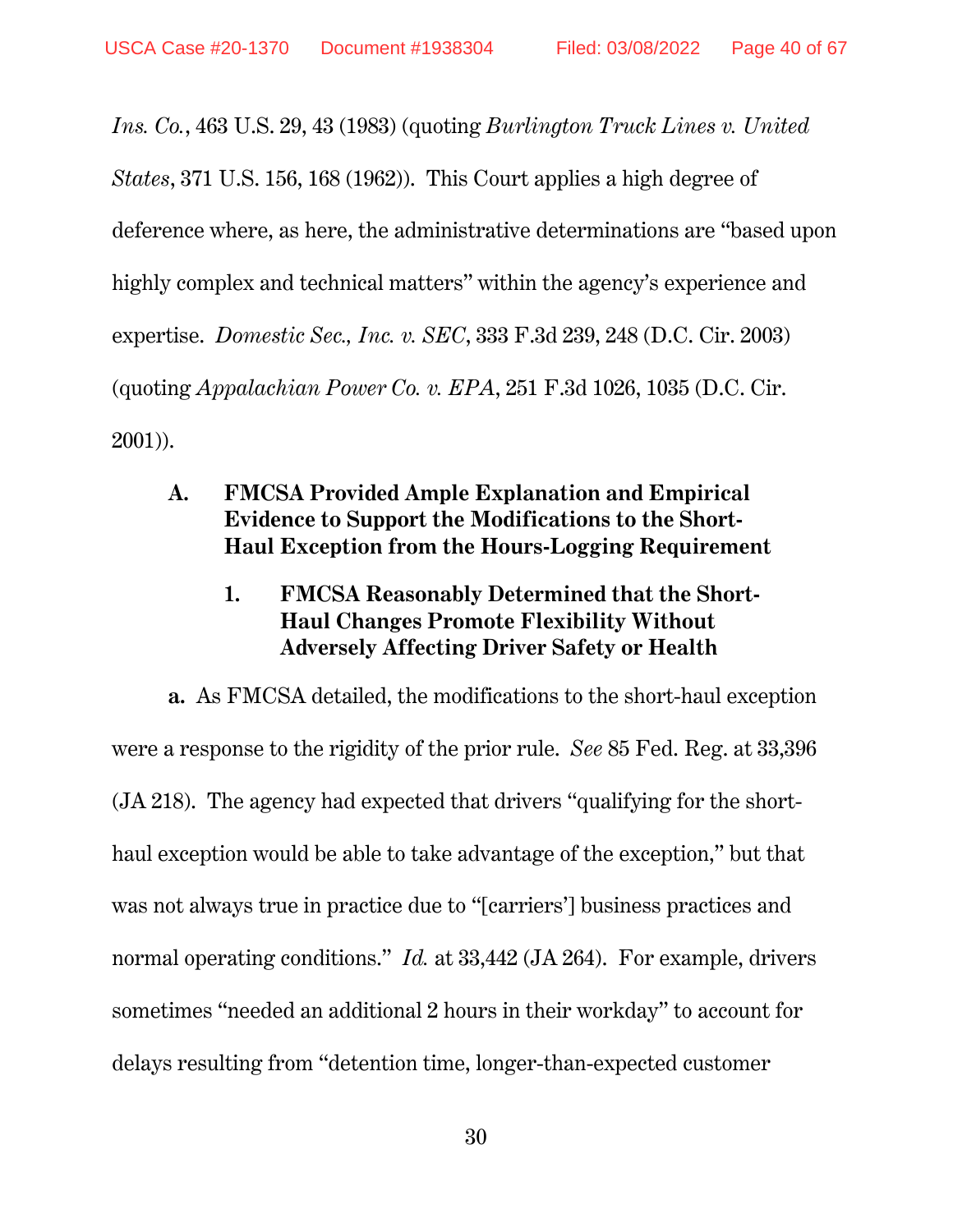*Ins. Co.*, 463 U.S. 29, 43 (1983) (quoting *Burlington Truck Lines v. United States*, 371 U.S. 156, 168 (1962)). This Court applies a high degree of deference where, as here, the administrative determinations are "based upon highly complex and technical matters" within the agency's experience and expertise. *Domestic Sec., Inc. v. SEC*, 333 F.3d 239, 248 (D.C. Cir. 2003) (quoting *Appalachian Power Co. v. EPA*, 251 F.3d 1026, 1035 (D.C. Cir. 2001)).

- **A. FMCSA Provided Ample Explanation and Empirical Evidence to Support the Modifications to the Short-Haul Exception from the Hours-Logging Requirement** 
	- **1. FMCSA Reasonably Determined that the Short-Haul Changes Promote Flexibility Without Adversely Affecting Driver Safety or Health**

**a.** As FMCSA detailed, the modifications to the short-haul exception were a response to the rigidity of the prior rule. *See* 85 Fed. Reg. at 33,396 (JA 218). The agency had expected that drivers "qualifying for the shorthaul exception would be able to take advantage of the exception," but that was not always true in practice due to "[carriers'] business practices and normal operating conditions." *Id.* at 33,442 (JA 264). For example, drivers sometimes "needed an additional 2 hours in their workday" to account for delays resulting from "detention time, longer-than-expected customer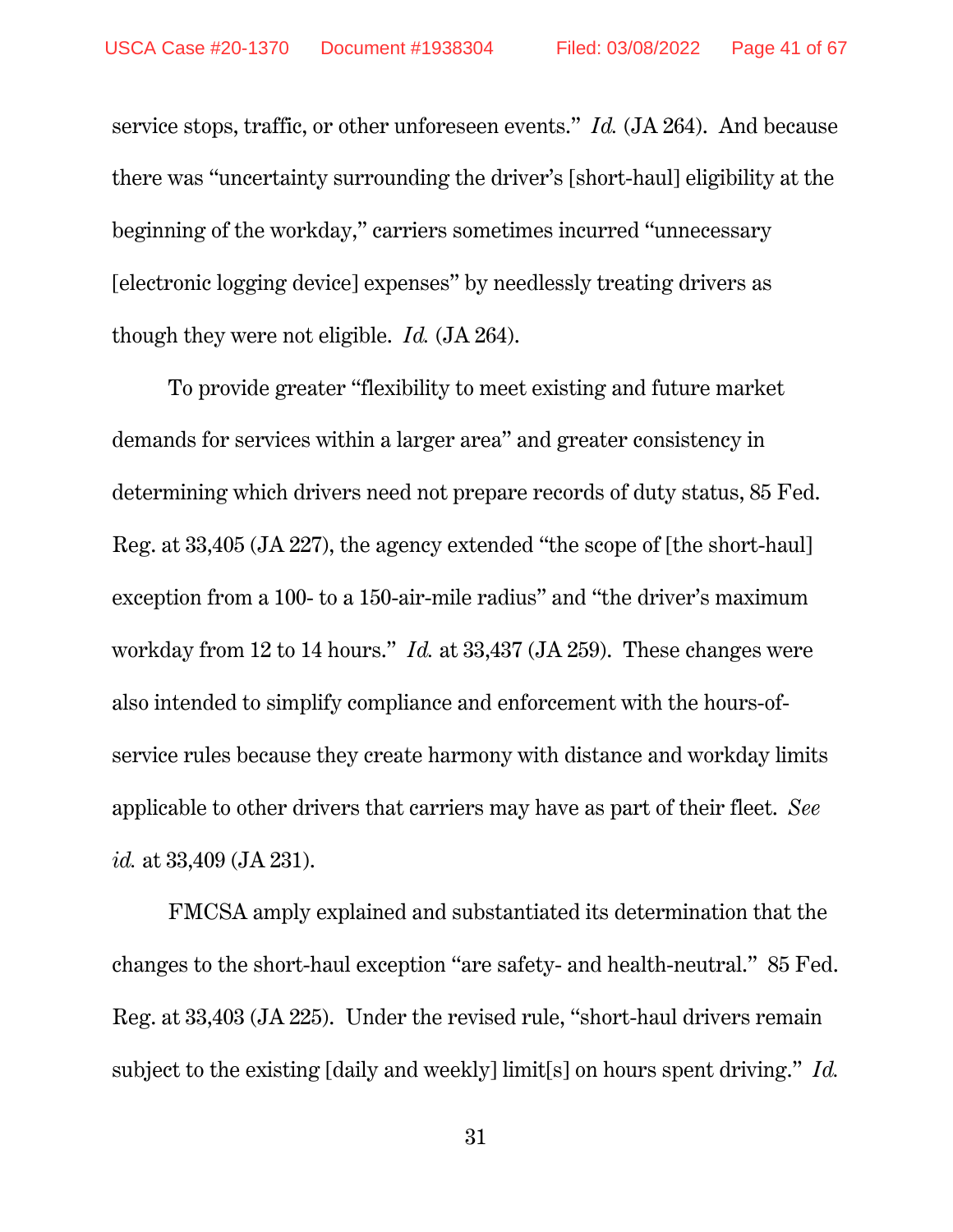service stops, traffic, or other unforeseen events." *Id.* (JA 264). And because there was "uncertainty surrounding the driver's [short-haul] eligibility at the beginning of the workday," carriers sometimes incurred "unnecessary [electronic logging device] expenses" by needlessly treating drivers as though they were not eligible. *Id.* (JA 264).

To provide greater "flexibility to meet existing and future market demands for services within a larger area" and greater consistency in determining which drivers need not prepare records of duty status, 85 Fed. Reg. at 33,405 (JA 227), the agency extended "the scope of [the short-haul] exception from a 100- to a 150-air-mile radius" and "the driver's maximum workday from 12 to 14 hours." *Id.* at 33,437 (JA 259). These changes were also intended to simplify compliance and enforcement with the hours-ofservice rules because they create harmony with distance and workday limits applicable to other drivers that carriers may have as part of their fleet. *See id.* at 33,409 (JA 231).

FMCSA amply explained and substantiated its determination that the changes to the short-haul exception "are safety- and health-neutral." 85 Fed. Reg. at 33,403 (JA 225). Under the revised rule, "short-haul drivers remain subject to the existing [daily and weekly] limit[s] on hours spent driving." *Id.*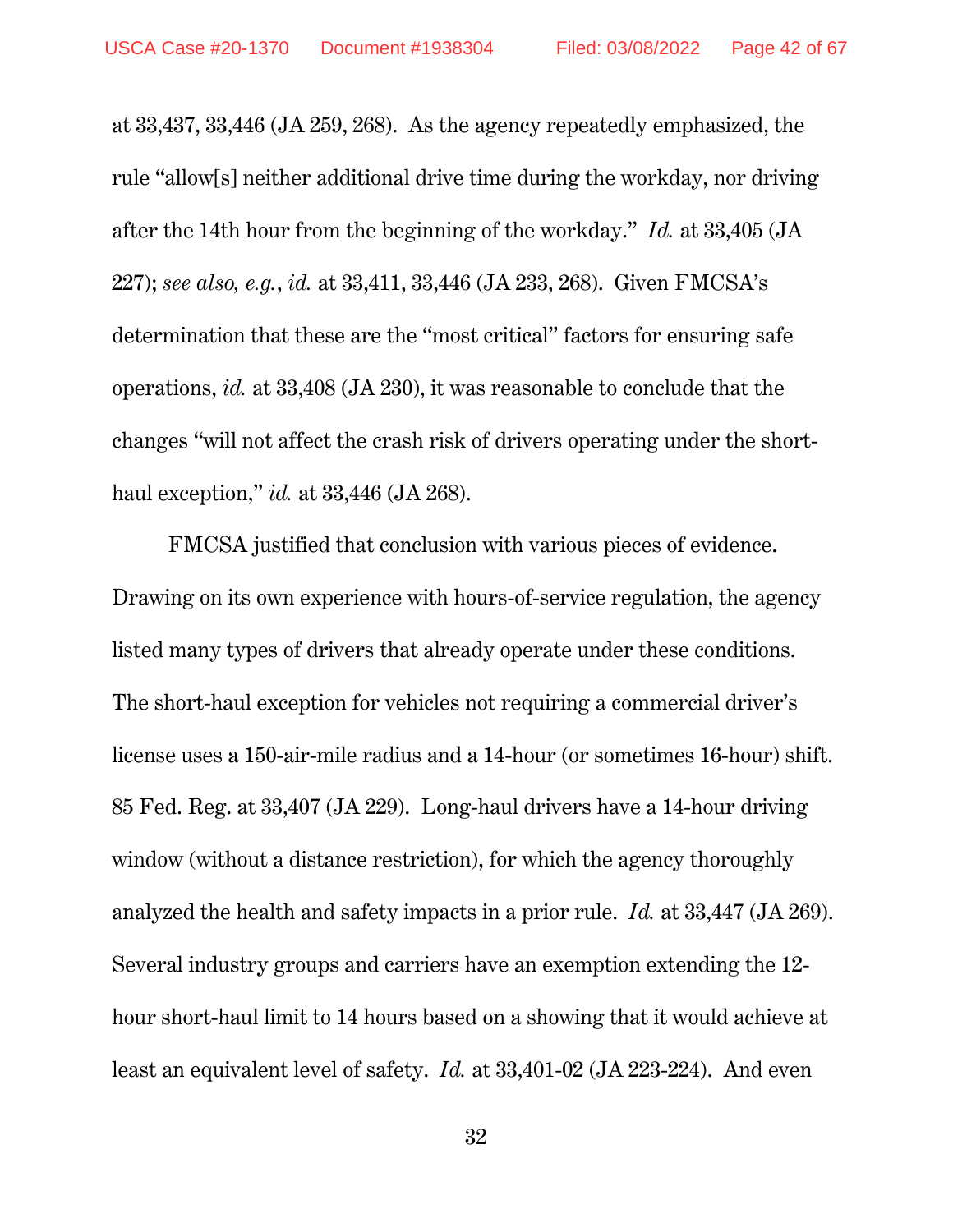at 33,437, 33,446 (JA 259, 268). As the agency repeatedly emphasized, the rule "allow[s] neither additional drive time during the workday, nor driving after the 14th hour from the beginning of the workday." *Id.* at 33,405 (JA 227); *see also, e.g.*, *id.* at 33,411, 33,446 (JA 233, 268). Given FMCSA's determination that these are the "most critical" factors for ensuring safe operations, *id.* at 33,408 (JA 230), it was reasonable to conclude that the changes "will not affect the crash risk of drivers operating under the shorthaul exception," *id.* at 33,446 (JA 268).

FMCSA justified that conclusion with various pieces of evidence. Drawing on its own experience with hours-of-service regulation, the agency listed many types of drivers that already operate under these conditions. The short-haul exception for vehicles not requiring a commercial driver's license uses a 150-air-mile radius and a 14-hour (or sometimes 16-hour) shift. 85 Fed. Reg. at 33,407 (JA 229). Long-haul drivers have a 14-hour driving window (without a distance restriction), for which the agency thoroughly analyzed the health and safety impacts in a prior rule. *Id.* at 33,447 (JA 269). Several industry groups and carriers have an exemption extending the 12 hour short-haul limit to 14 hours based on a showing that it would achieve at least an equivalent level of safety. *Id.* at 33,401-02 (JA 223-224). And even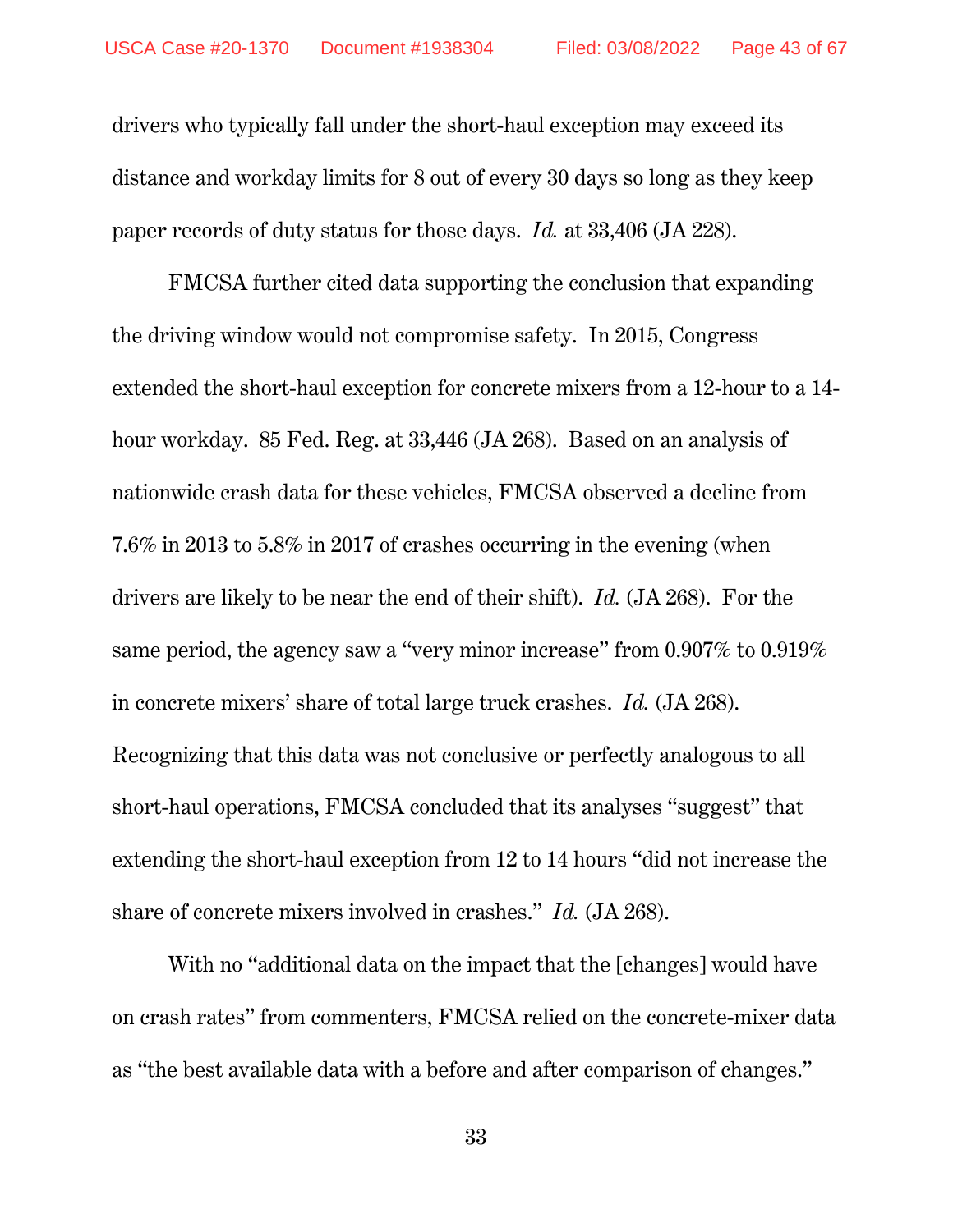drivers who typically fall under the short-haul exception may exceed its distance and workday limits for 8 out of every 30 days so long as they keep paper records of duty status for those days. *Id.* at 33,406 (JA 228).

FMCSA further cited data supporting the conclusion that expanding the driving window would not compromise safety. In 2015, Congress extended the short-haul exception for concrete mixers from a 12-hour to a 14 hour workday. 85 Fed. Reg. at 33,446 (JA 268). Based on an analysis of nationwide crash data for these vehicles, FMCSA observed a decline from 7.6% in 2013 to 5.8% in 2017 of crashes occurring in the evening (when drivers are likely to be near the end of their shift). *Id.* (JA 268). For the same period, the agency saw a "very minor increase" from 0.907% to 0.919% in concrete mixers' share of total large truck crashes. *Id.* (JA 268). Recognizing that this data was not conclusive or perfectly analogous to all short-haul operations, FMCSA concluded that its analyses "suggest" that extending the short-haul exception from 12 to 14 hours "did not increase the share of concrete mixers involved in crashes." *Id.* (JA 268).

With no "additional data on the impact that the [changes] would have on crash rates" from commenters, FMCSA relied on the concrete-mixer data as "the best available data with a before and after comparison of changes."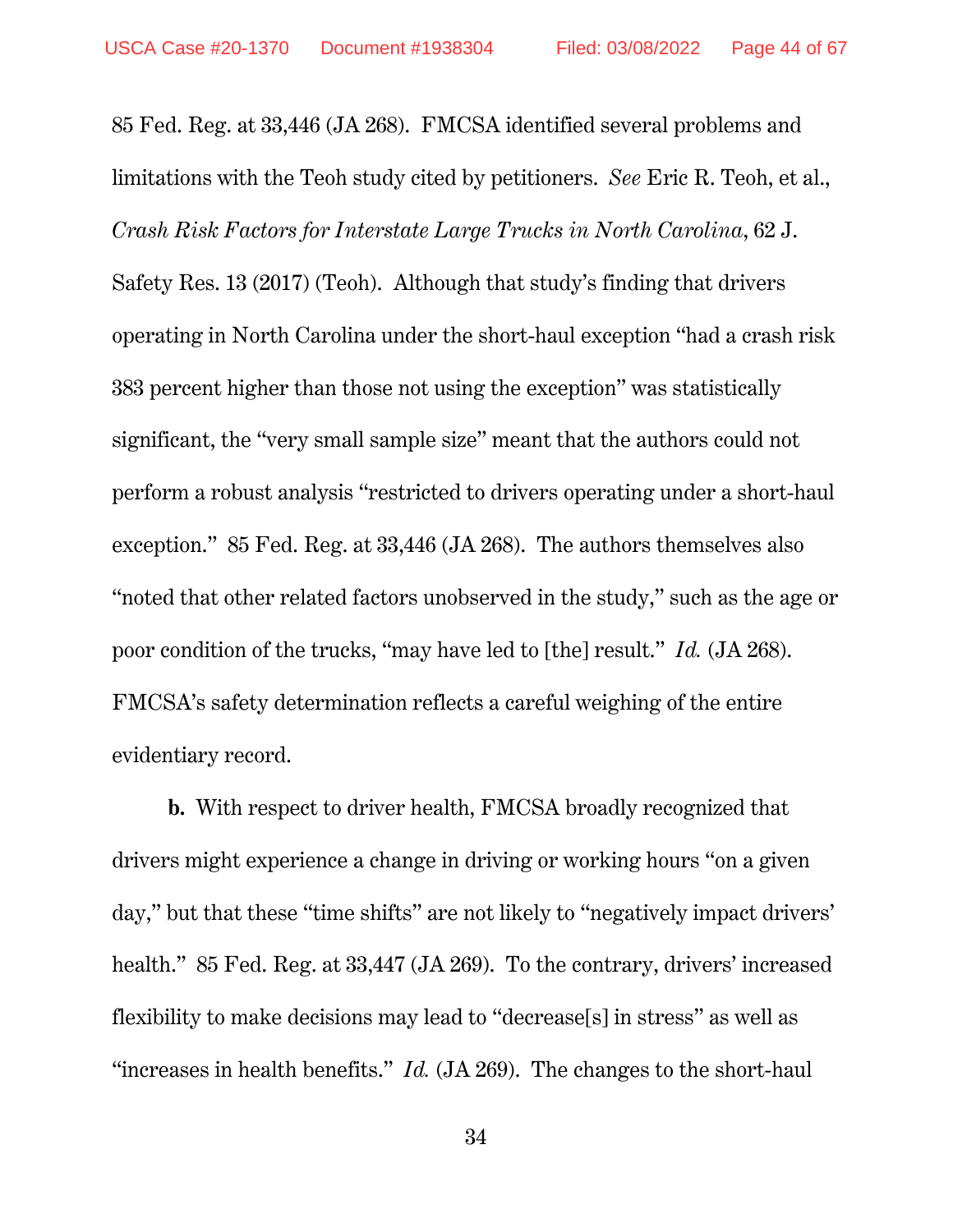85 Fed. Reg. at 33,446 (JA 268). FMCSA identified several problems and limitations with the Teoh study cited by petitioners. *See* Eric R. Teoh, et al., *Crash Risk Factors for Interstate Large Trucks in North Carolina*, 62 J. Safety Res. 13 (2017) (Teoh). Although that study's finding that drivers operating in North Carolina under the short-haul exception "had a crash risk 383 percent higher than those not using the exception" was statistically significant, the "very small sample size" meant that the authors could not perform a robust analysis "restricted to drivers operating under a short-haul exception." 85 Fed. Reg. at 33,446 (JA 268). The authors themselves also "noted that other related factors unobserved in the study," such as the age or poor condition of the trucks, "may have led to [the] result." *Id.* (JA 268). FMCSA's safety determination reflects a careful weighing of the entire evidentiary record.

**b.** With respect to driver health, FMCSA broadly recognized that drivers might experience a change in driving or working hours "on a given day," but that these "time shifts" are not likely to "negatively impact drivers' health." 85 Fed. Reg. at 33,447 (JA 269). To the contrary, drivers' increased flexibility to make decisions may lead to "decrease[s] in stress" as well as "increases in health benefits." *Id.* (JA 269). The changes to the short-haul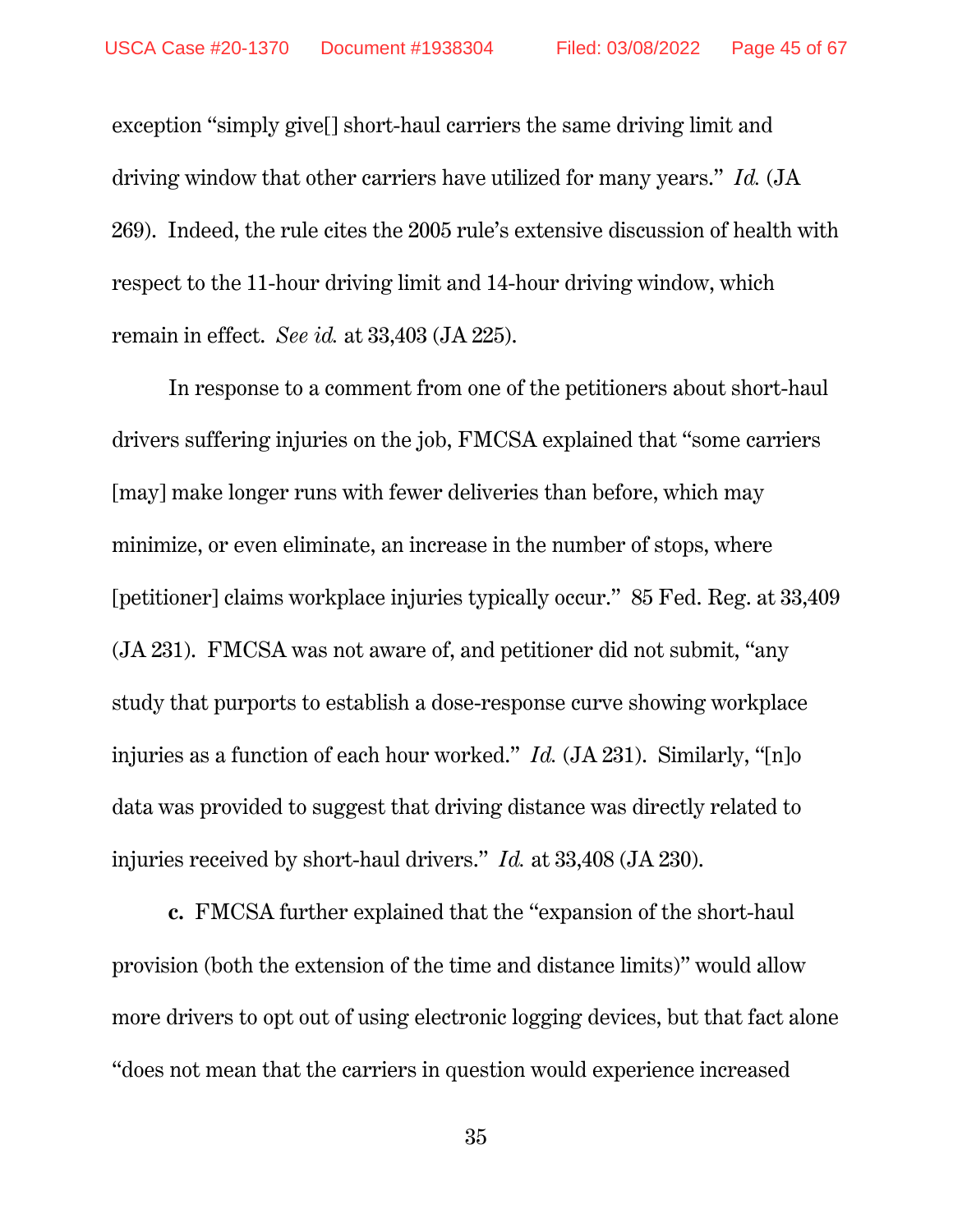exception "simply give[] short-haul carriers the same driving limit and driving window that other carriers have utilized for many years." *Id.* (JA 269). Indeed, the rule cites the 2005 rule's extensive discussion of health with respect to the 11-hour driving limit and 14-hour driving window, which remain in effect. *See id.* at 33,403 (JA 225).

In response to a comment from one of the petitioners about short-haul drivers suffering injuries on the job, FMCSA explained that "some carriers [may] make longer runs with fewer deliveries than before, which may minimize, or even eliminate, an increase in the number of stops, where [petitioner] claims workplace injuries typically occur." 85 Fed. Reg. at 33,409 (JA 231). FMCSA was not aware of, and petitioner did not submit, "any study that purports to establish a dose-response curve showing workplace injuries as a function of each hour worked." *Id.* (JA 231). Similarly, "[n]o data was provided to suggest that driving distance was directly related to injuries received by short-haul drivers." *Id.* at 33,408 (JA 230).

**c.** FMCSA further explained that the "expansion of the short-haul provision (both the extension of the time and distance limits)" would allow more drivers to opt out of using electronic logging devices, but that fact alone "does not mean that the carriers in question would experience increased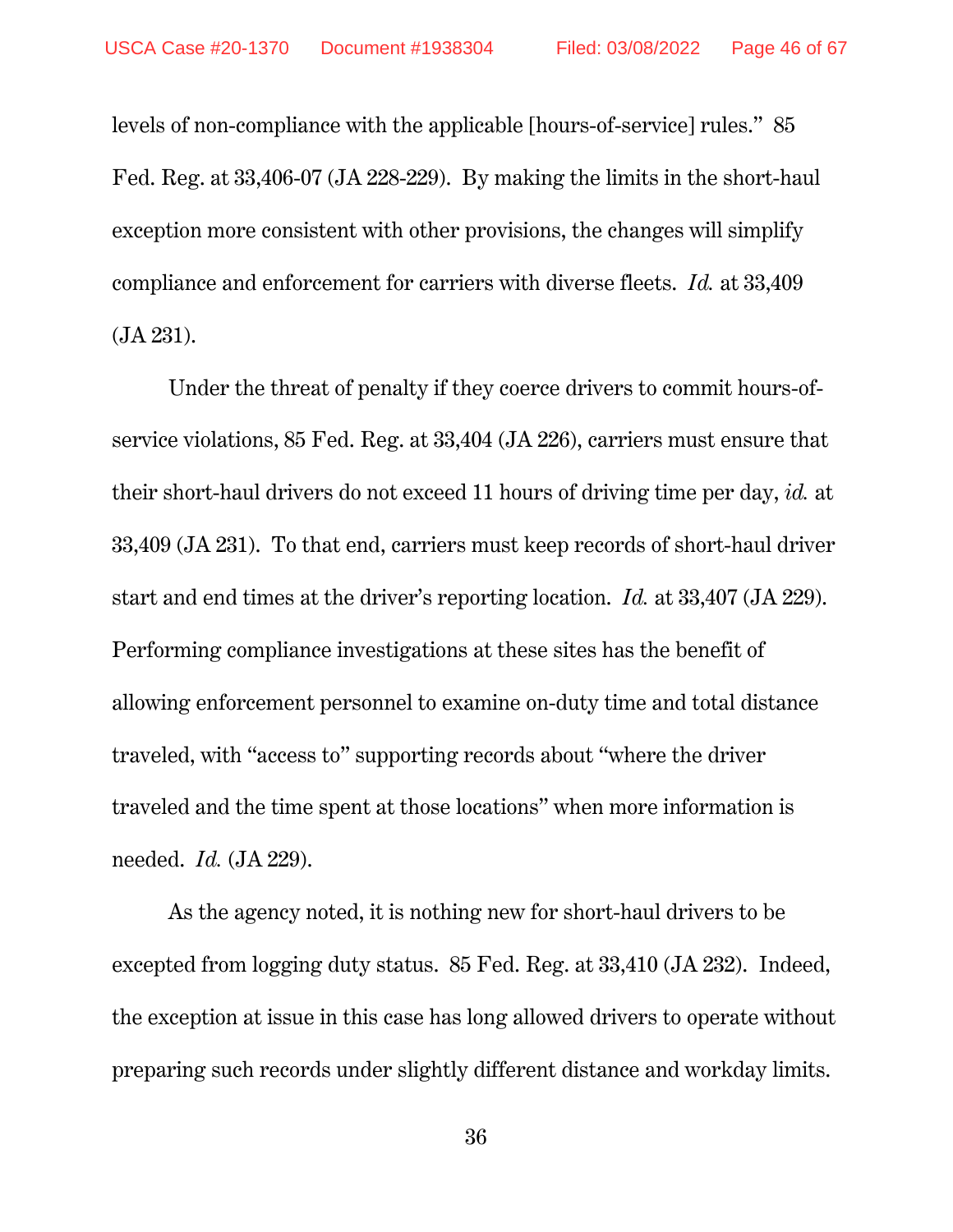levels of non-compliance with the applicable [hours-of-service] rules." 85 Fed. Reg. at 33,406-07 (JA 228-229). By making the limits in the short-haul exception more consistent with other provisions, the changes will simplify compliance and enforcement for carriers with diverse fleets. *Id.* at 33,409 (JA 231).

Under the threat of penalty if they coerce drivers to commit hours-ofservice violations, 85 Fed. Reg. at 33,404 (JA 226), carriers must ensure that their short-haul drivers do not exceed 11 hours of driving time per day, *id.* at 33,409 (JA 231). To that end, carriers must keep records of short-haul driver start and end times at the driver's reporting location. *Id.* at 33,407 (JA 229). Performing compliance investigations at these sites has the benefit of allowing enforcement personnel to examine on-duty time and total distance traveled, with "access to" supporting records about "where the driver traveled and the time spent at those locations" when more information is needed. *Id.* (JA 229).

As the agency noted, it is nothing new for short-haul drivers to be excepted from logging duty status. 85 Fed. Reg. at 33,410 (JA 232). Indeed, the exception at issue in this case has long allowed drivers to operate without preparing such records under slightly different distance and workday limits.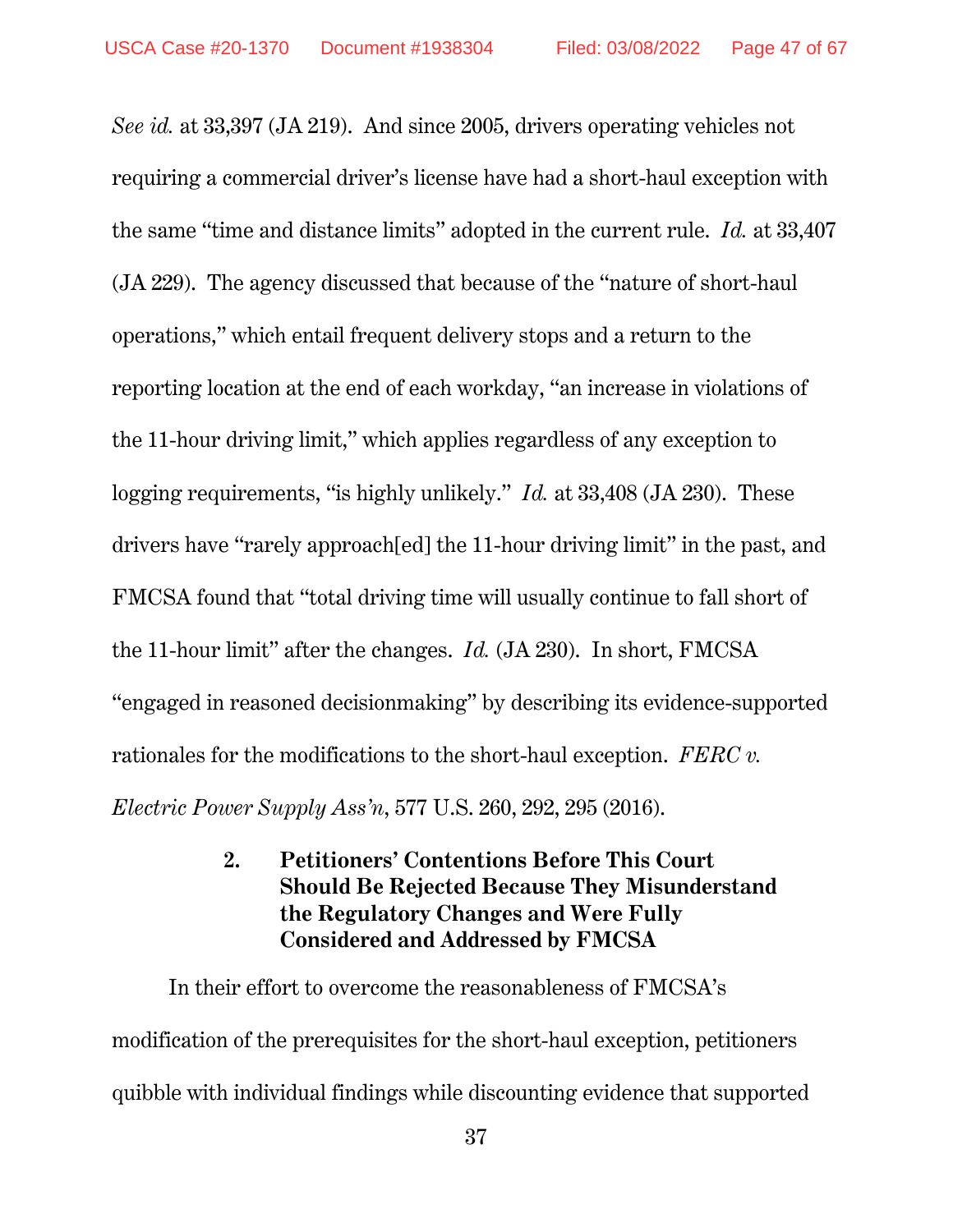*See id.* at 33,397 (JA 219). And since 2005, drivers operating vehicles not requiring a commercial driver's license have had a short-haul exception with the same "time and distance limits" adopted in the current rule. *Id.* at 33,407 (JA 229). The agency discussed that because of the "nature of short-haul operations," which entail frequent delivery stops and a return to the reporting location at the end of each workday, "an increase in violations of the 11-hour driving limit," which applies regardless of any exception to logging requirements, "is highly unlikely." *Id.* at 33,408 (JA 230). These drivers have "rarely approach[ed] the 11-hour driving limit" in the past, and FMCSA found that "total driving time will usually continue to fall short of the 11-hour limit" after the changes. *Id.* (JA 230). In short, FMCSA "engaged in reasoned decisionmaking" by describing its evidence-supported rationales for the modifications to the short-haul exception. *FERC v. Electric Power Supply Ass'n*, 577 U.S. 260, 292, 295 (2016).

## **2. Petitioners' Contentions Before This Court Should Be Rejected Because They Misunderstand the Regulatory Changes and Were Fully Considered and Addressed by FMCSA**

In their effort to overcome the reasonableness of FMCSA's modification of the prerequisites for the short-haul exception, petitioners quibble with individual findings while discounting evidence that supported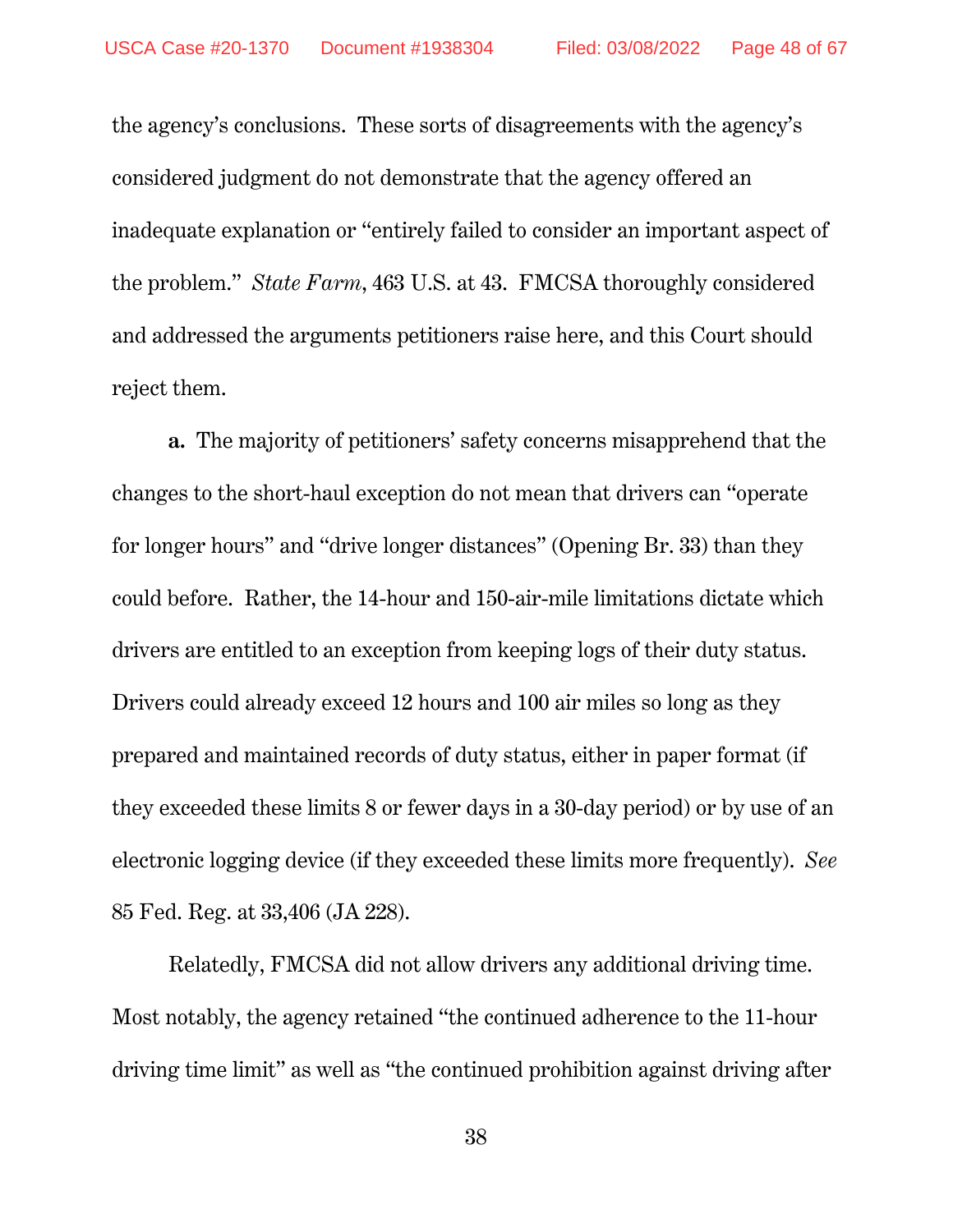the agency's conclusions. These sorts of disagreements with the agency's considered judgment do not demonstrate that the agency offered an inadequate explanation or "entirely failed to consider an important aspect of the problem." *State Farm*, 463 U.S. at 43. FMCSA thoroughly considered and addressed the arguments petitioners raise here, and this Court should reject them.

**a.** The majority of petitioners' safety concerns misapprehend that the changes to the short-haul exception do not mean that drivers can "operate for longer hours" and "drive longer distances" (Opening Br. 33) than they could before. Rather, the 14-hour and 150-air-mile limitations dictate which drivers are entitled to an exception from keeping logs of their duty status. Drivers could already exceed 12 hours and 100 air miles so long as they prepared and maintained records of duty status, either in paper format (if they exceeded these limits 8 or fewer days in a 30-day period) or by use of an electronic logging device (if they exceeded these limits more frequently). *See* 85 Fed. Reg. at 33,406 (JA 228).

Relatedly, FMCSA did not allow drivers any additional driving time. Most notably, the agency retained "the continued adherence to the 11-hour driving time limit" as well as "the continued prohibition against driving after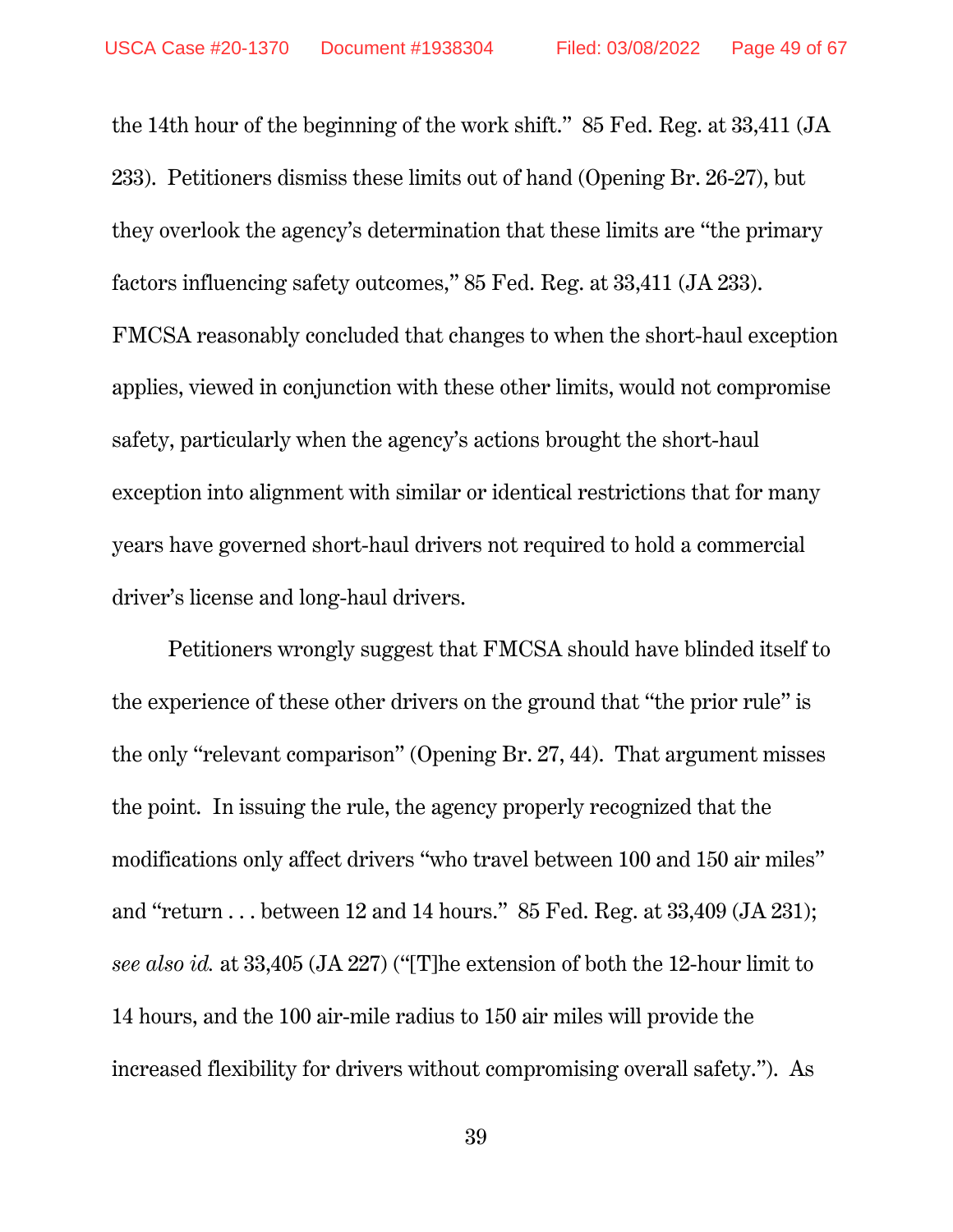the 14th hour of the beginning of the work shift." 85 Fed. Reg. at 33,411 (JA 233). Petitioners dismiss these limits out of hand (Opening Br. 26-27), but they overlook the agency's determination that these limits are "the primary factors influencing safety outcomes," 85 Fed. Reg. at 33,411 (JA 233). FMCSA reasonably concluded that changes to when the short-haul exception applies, viewed in conjunction with these other limits, would not compromise safety, particularly when the agency's actions brought the short-haul exception into alignment with similar or identical restrictions that for many years have governed short-haul drivers not required to hold a commercial driver's license and long-haul drivers.

Petitioners wrongly suggest that FMCSA should have blinded itself to the experience of these other drivers on the ground that "the prior rule" is the only "relevant comparison" (Opening Br. 27, 44). That argument misses the point. In issuing the rule, the agency properly recognized that the modifications only affect drivers "who travel between 100 and 150 air miles" and "return . . . between 12 and 14 hours." 85 Fed. Reg. at 33,409 (JA 231); *see also id.* at 33,405 (JA 227) ("[T]he extension of both the 12-hour limit to 14 hours, and the 100 air-mile radius to 150 air miles will provide the increased flexibility for drivers without compromising overall safety."). As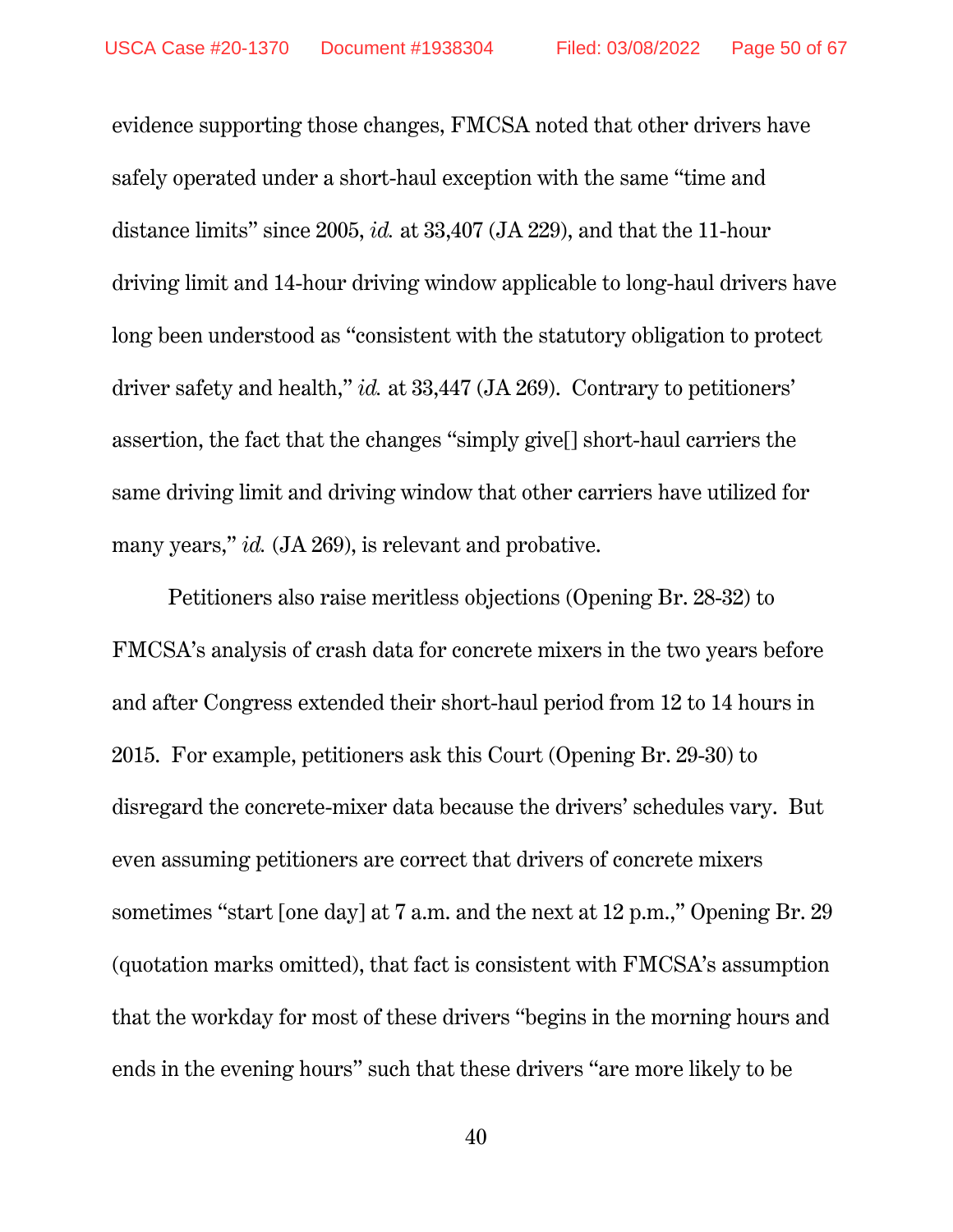evidence supporting those changes, FMCSA noted that other drivers have safely operated under a short-haul exception with the same "time and distance limits" since 2005, *id.* at 33,407 (JA 229), and that the 11-hour driving limit and 14-hour driving window applicable to long-haul drivers have long been understood as "consistent with the statutory obligation to protect driver safety and health," *id.* at 33,447 (JA 269). Contrary to petitioners' assertion, the fact that the changes "simply give[] short-haul carriers the same driving limit and driving window that other carriers have utilized for many years," *id.* (JA 269), is relevant and probative.

Petitioners also raise meritless objections (Opening Br. 28-32) to FMCSA's analysis of crash data for concrete mixers in the two years before and after Congress extended their short-haul period from 12 to 14 hours in 2015. For example, petitioners ask this Court (Opening Br. 29-30) to disregard the concrete-mixer data because the drivers' schedules vary. But even assuming petitioners are correct that drivers of concrete mixers sometimes "start [one day] at 7 a.m. and the next at 12 p.m.," Opening Br. 29 (quotation marks omitted), that fact is consistent with FMCSA's assumption that the workday for most of these drivers "begins in the morning hours and ends in the evening hours" such that these drivers "are more likely to be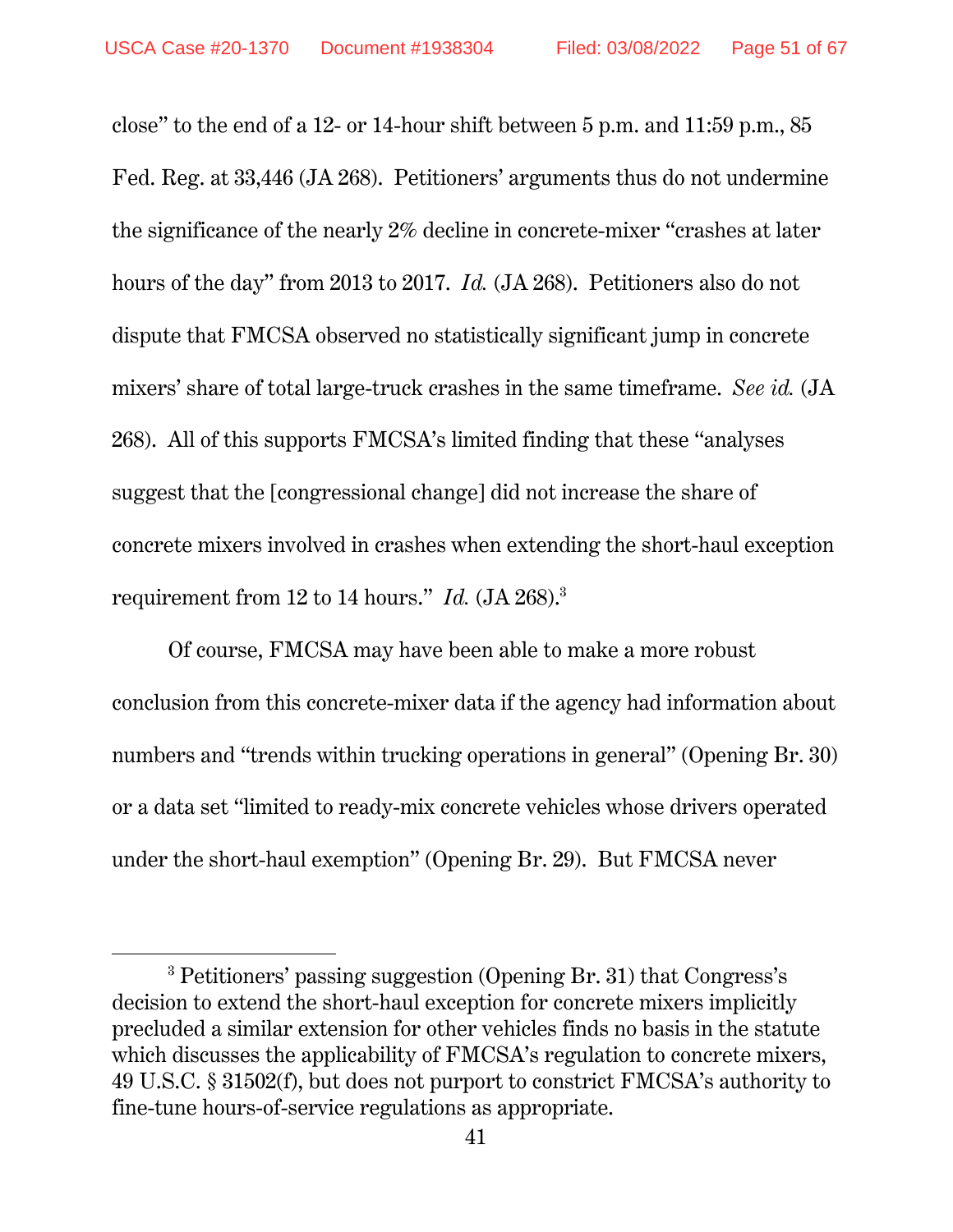$\overline{a}$ 

close" to the end of a 12- or 14-hour shift between 5 p.m. and 11:59 p.m., 85 Fed. Reg. at 33,446 (JA 268). Petitioners' arguments thus do not undermine the significance of the nearly 2% decline in concrete-mixer "crashes at later hours of the day" from 2013 to 2017. *Id.* (JA 268). Petitioners also do not dispute that FMCSA observed no statistically significant jump in concrete mixers' share of total large-truck crashes in the same timeframe. *See id.* (JA 268). All of this supports FMCSA's limited finding that these "analyses suggest that the [congressional change] did not increase the share of concrete mixers involved in crashes when extending the short-haul exception requirement from 12 to 14 hours." *Id.* (JA 268).3

Of course, FMCSA may have been able to make a more robust conclusion from this concrete-mixer data if the agency had information about numbers and "trends within trucking operations in general" (Opening Br. 30) or a data set "limited to ready-mix concrete vehicles whose drivers operated under the short-haul exemption" (Opening Br. 29). But FMCSA never

<sup>&</sup>lt;sup>3</sup> Petitioners' passing suggestion (Opening Br. 31) that Congress's decision to extend the short-haul exception for concrete mixers implicitly precluded a similar extension for other vehicles finds no basis in the statute which discusses the applicability of FMCSA's regulation to concrete mixers, 49 U.S.C. § 31502(f), but does not purport to constrict FMCSA's authority to fine-tune hours-of-service regulations as appropriate.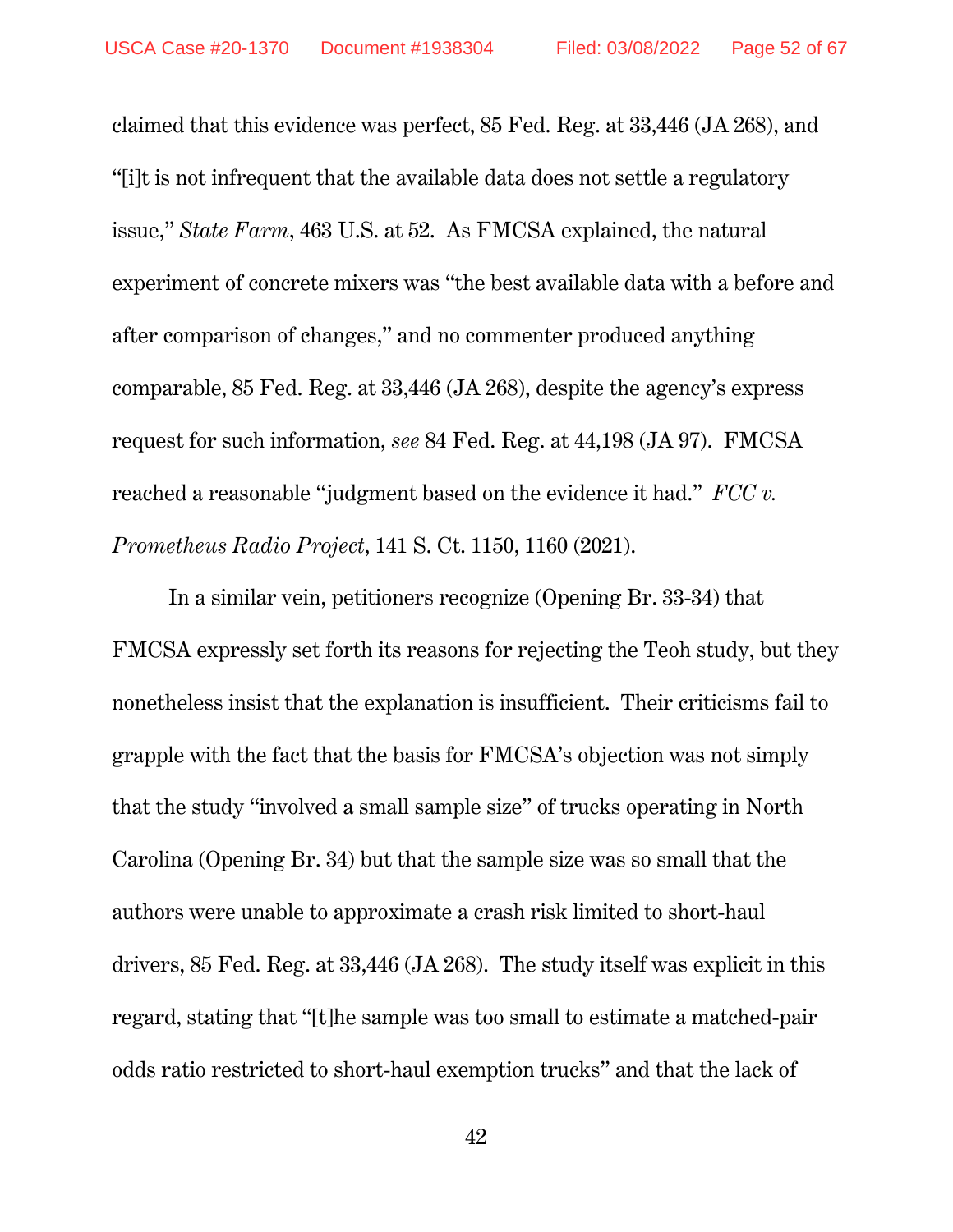claimed that this evidence was perfect, 85 Fed. Reg. at 33,446 (JA 268), and "[i]t is not infrequent that the available data does not settle a regulatory issue," *State Farm*, 463 U.S. at 52. As FMCSA explained, the natural experiment of concrete mixers was "the best available data with a before and after comparison of changes," and no commenter produced anything comparable, 85 Fed. Reg. at 33,446 (JA 268), despite the agency's express request for such information, *see* 84 Fed. Reg. at 44,198 (JA 97). FMCSA reached a reasonable "judgment based on the evidence it had." *FCC v. Prometheus Radio Project*, 141 S. Ct. 1150, 1160 (2021).

In a similar vein, petitioners recognize (Opening Br. 33-34) that FMCSA expressly set forth its reasons for rejecting the Teoh study, but they nonetheless insist that the explanation is insufficient. Their criticisms fail to grapple with the fact that the basis for FMCSA's objection was not simply that the study "involved a small sample size" of trucks operating in North Carolina (Opening Br. 34) but that the sample size was so small that the authors were unable to approximate a crash risk limited to short-haul drivers, 85 Fed. Reg. at 33,446 (JA 268). The study itself was explicit in this regard, stating that "[t]he sample was too small to estimate a matched-pair odds ratio restricted to short-haul exemption trucks" and that the lack of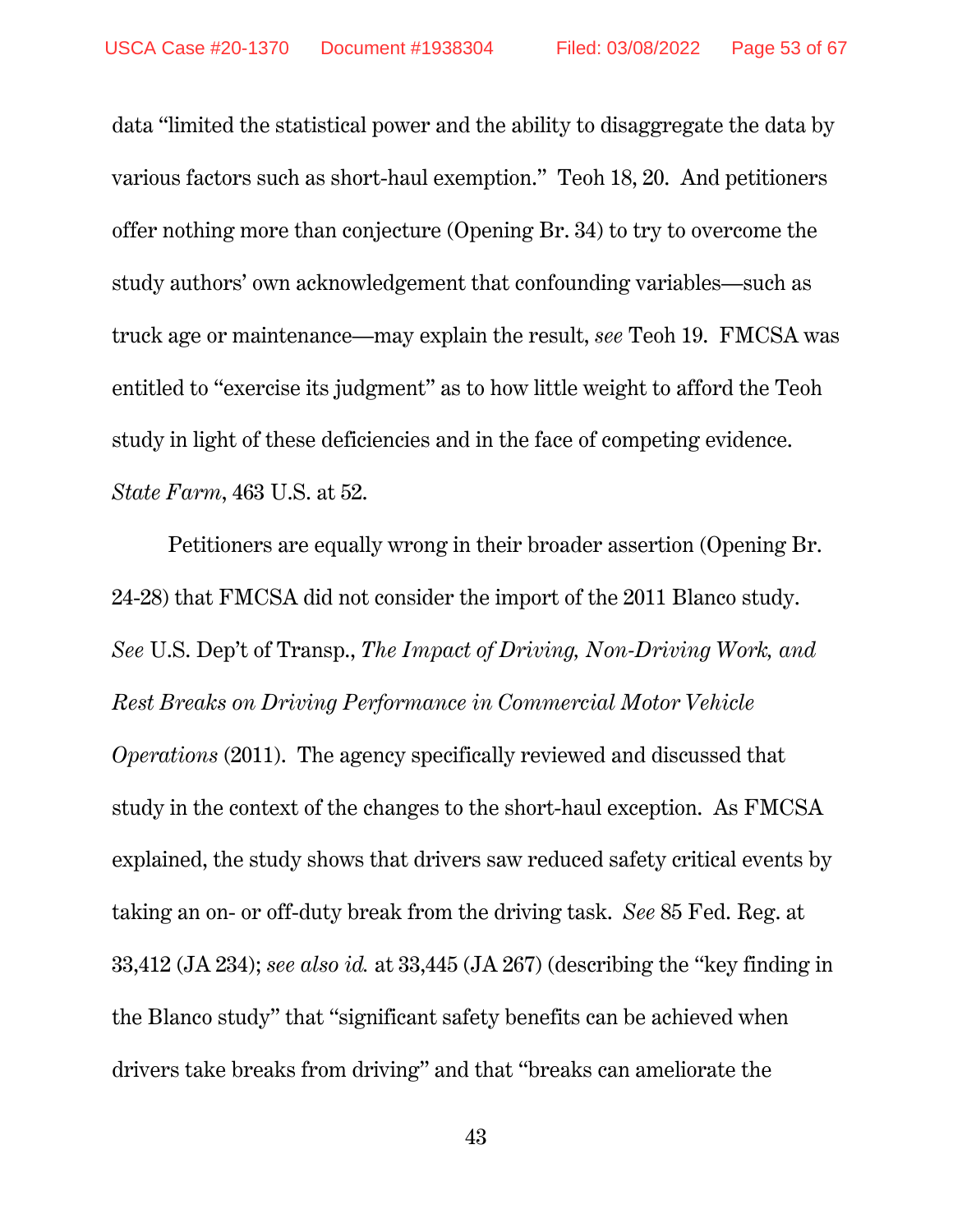data "limited the statistical power and the ability to disaggregate the data by various factors such as short-haul exemption." Teoh 18, 20. And petitioners offer nothing more than conjecture (Opening Br. 34) to try to overcome the study authors' own acknowledgement that confounding variables—such as truck age or maintenance—may explain the result, *see* Teoh 19. FMCSA was entitled to "exercise its judgment" as to how little weight to afford the Teoh study in light of these deficiencies and in the face of competing evidence. *State Farm*, 463 U.S. at 52.

Petitioners are equally wrong in their broader assertion (Opening Br. 24-28) that FMCSA did not consider the import of the 2011 Blanco study. *See* U.S. Dep't of Transp., *The Impact of Driving, Non-Driving Work, and Rest Breaks on Driving Performance in Commercial Motor Vehicle Operations* (2011). The agency specifically reviewed and discussed that study in the context of the changes to the short-haul exception. As FMCSA explained, the study shows that drivers saw reduced safety critical events by taking an on- or off-duty break from the driving task. *See* 85 Fed. Reg. at 33,412 (JA 234); *see also id.* at 33,445 (JA 267) (describing the "key finding in the Blanco study" that "significant safety benefits can be achieved when drivers take breaks from driving" and that "breaks can ameliorate the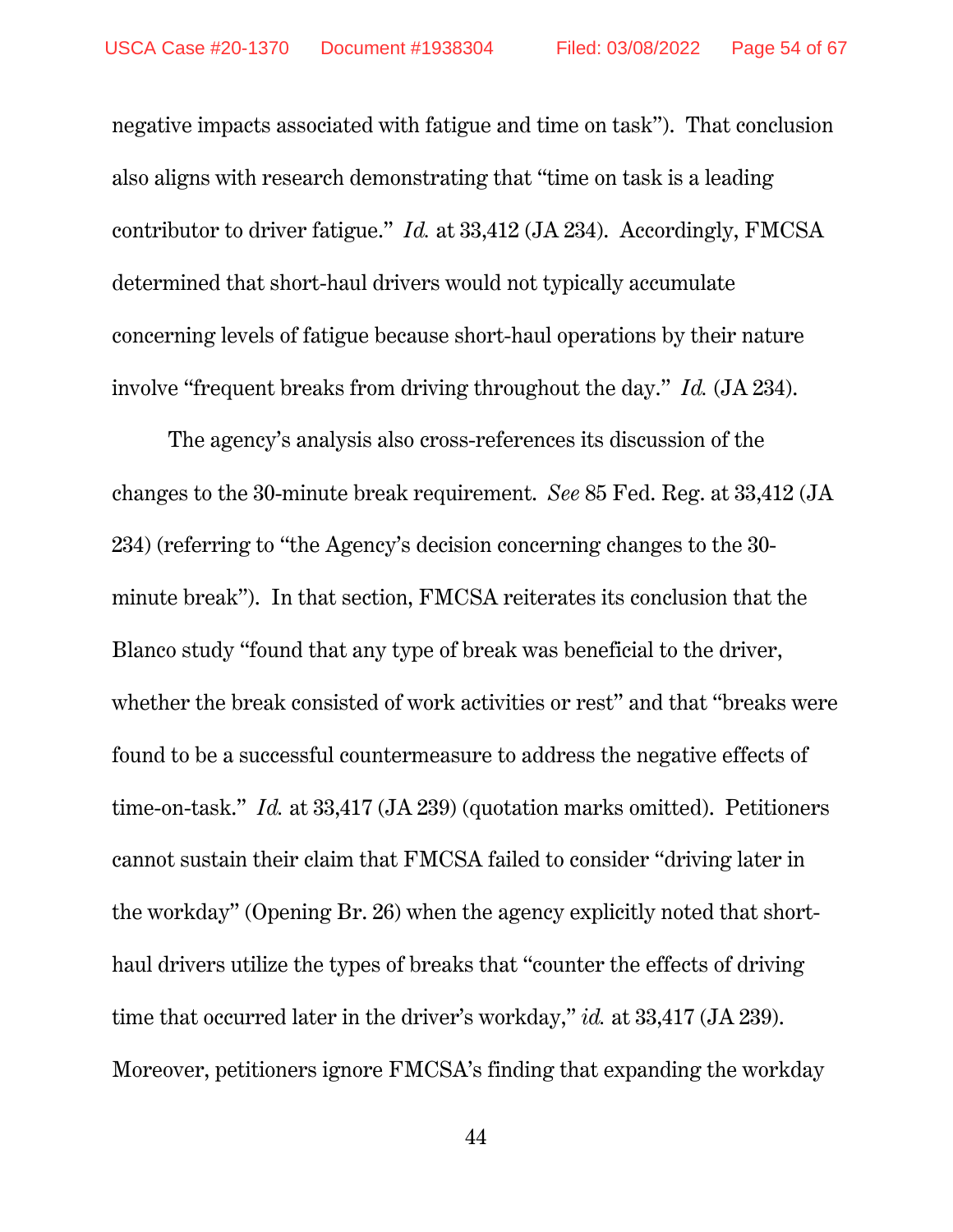negative impacts associated with fatigue and time on task"). That conclusion also aligns with research demonstrating that "time on task is a leading contributor to driver fatigue." *Id.* at 33,412 (JA 234). Accordingly, FMCSA determined that short-haul drivers would not typically accumulate concerning levels of fatigue because short-haul operations by their nature involve "frequent breaks from driving throughout the day." *Id.* (JA 234).

The agency's analysis also cross-references its discussion of the changes to the 30-minute break requirement. *See* 85 Fed. Reg. at 33,412 (JA 234) (referring to "the Agency's decision concerning changes to the 30 minute break"). In that section, FMCSA reiterates its conclusion that the Blanco study "found that any type of break was beneficial to the driver, whether the break consisted of work activities or rest" and that "breaks were found to be a successful countermeasure to address the negative effects of time-on-task." *Id.* at 33,417 (JA 239) (quotation marks omitted). Petitioners cannot sustain their claim that FMCSA failed to consider "driving later in the workday" (Opening Br. 26) when the agency explicitly noted that shorthaul drivers utilize the types of breaks that "counter the effects of driving time that occurred later in the driver's workday," *id.* at 33,417 (JA 239). Moreover, petitioners ignore FMCSA's finding that expanding the workday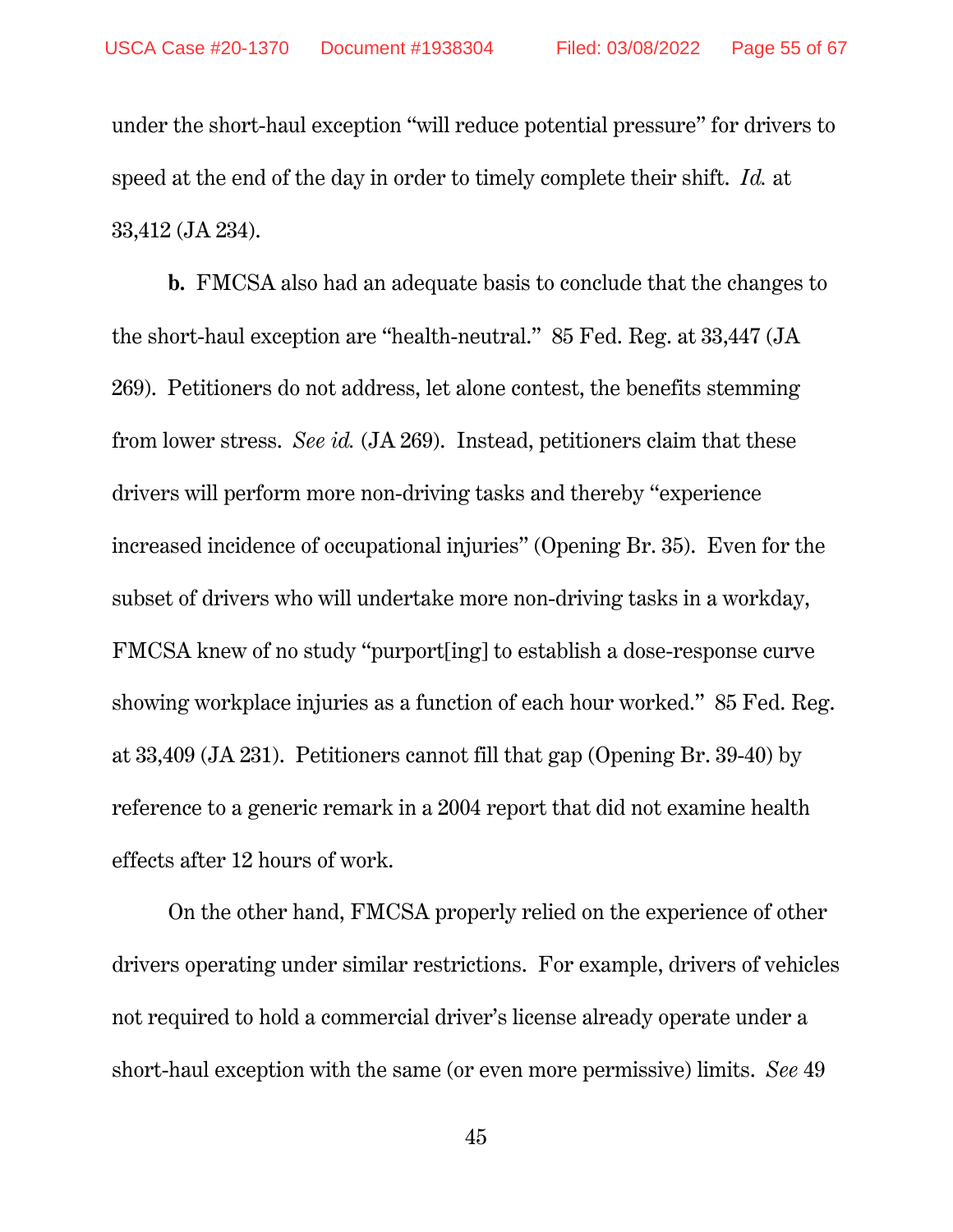under the short-haul exception "will reduce potential pressure" for drivers to speed at the end of the day in order to timely complete their shift. *Id.* at 33,412 (JA 234).

**b.** FMCSA also had an adequate basis to conclude that the changes to the short-haul exception are "health-neutral." 85 Fed. Reg. at 33,447 (JA 269). Petitioners do not address, let alone contest, the benefits stemming from lower stress. *See id.* (JA 269). Instead, petitioners claim that these drivers will perform more non-driving tasks and thereby "experience increased incidence of occupational injuries" (Opening Br. 35). Even for the subset of drivers who will undertake more non-driving tasks in a workday, FMCSA knew of no study "purport[ing] to establish a dose-response curve showing workplace injuries as a function of each hour worked." 85 Fed. Reg. at 33,409 (JA 231). Petitioners cannot fill that gap (Opening Br. 39-40) by reference to a generic remark in a 2004 report that did not examine health effects after 12 hours of work.

On the other hand, FMCSA properly relied on the experience of other drivers operating under similar restrictions. For example, drivers of vehicles not required to hold a commercial driver's license already operate under a short-haul exception with the same (or even more permissive) limits. *See* 49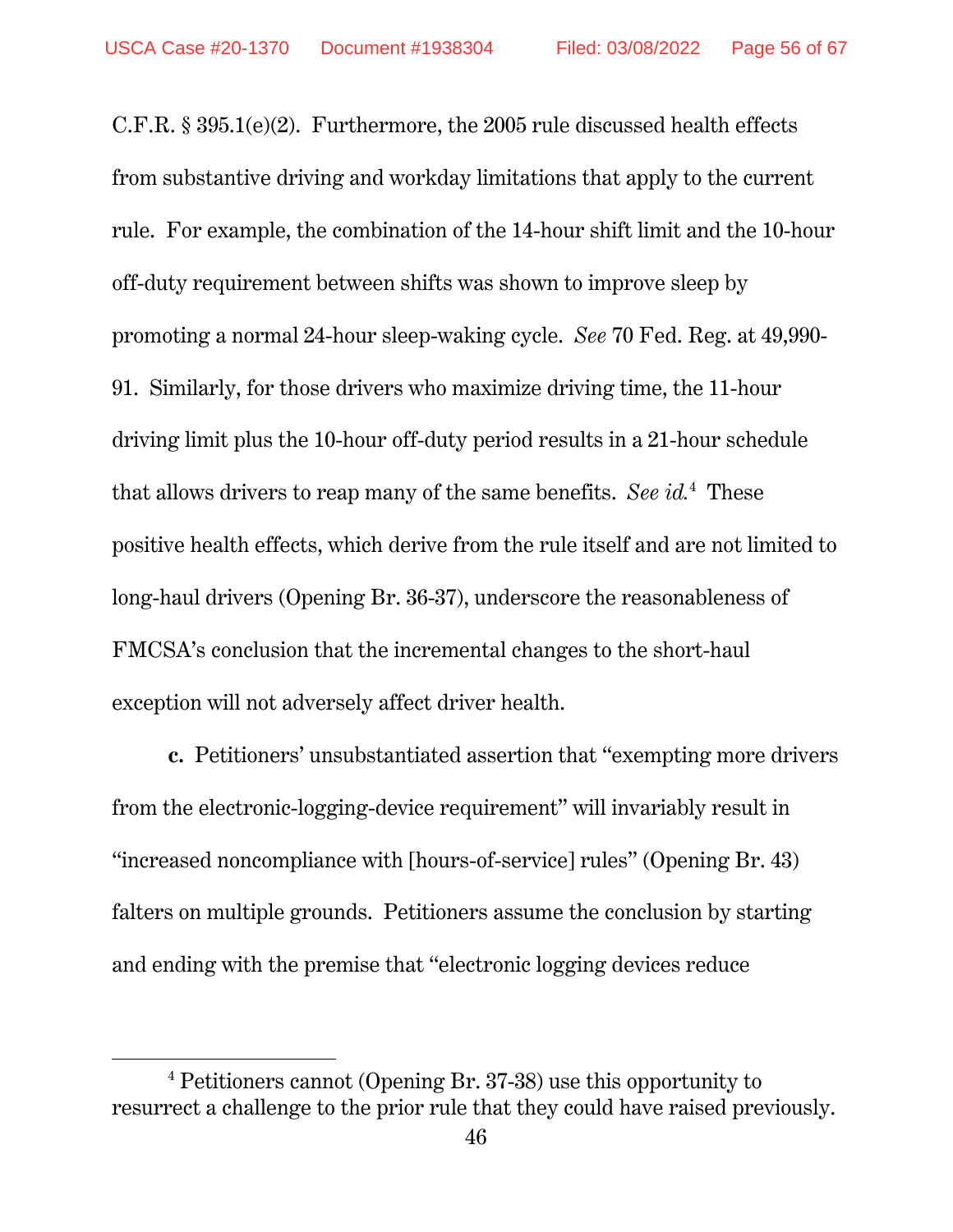C.F.R. § 395.1(e)(2). Furthermore, the 2005 rule discussed health effects from substantive driving and workday limitations that apply to the current rule. For example, the combination of the 14-hour shift limit and the 10-hour off-duty requirement between shifts was shown to improve sleep by promoting a normal 24-hour sleep-waking cycle. *See* 70 Fed. Reg. at 49,990- 91. Similarly, for those drivers who maximize driving time, the 11-hour driving limit plus the 10-hour off-duty period results in a 21-hour schedule that allows drivers to reap many of the same benefits. *See id.*<sup>4</sup> These positive health effects, which derive from the rule itself and are not limited to long-haul drivers (Opening Br. 36-37), underscore the reasonableness of FMCSA's conclusion that the incremental changes to the short-haul exception will not adversely affect driver health.

**c.** Petitioners' unsubstantiated assertion that "exempting more drivers from the electronic-logging-device requirement" will invariably result in "increased noncompliance with [hours-of-service] rules" (Opening Br. 43) falters on multiple grounds. Petitioners assume the conclusion by starting and ending with the premise that "electronic logging devices reduce

 $\overline{a}$ 

<sup>4</sup> Petitioners cannot (Opening Br. 37-38) use this opportunity to resurrect a challenge to the prior rule that they could have raised previously.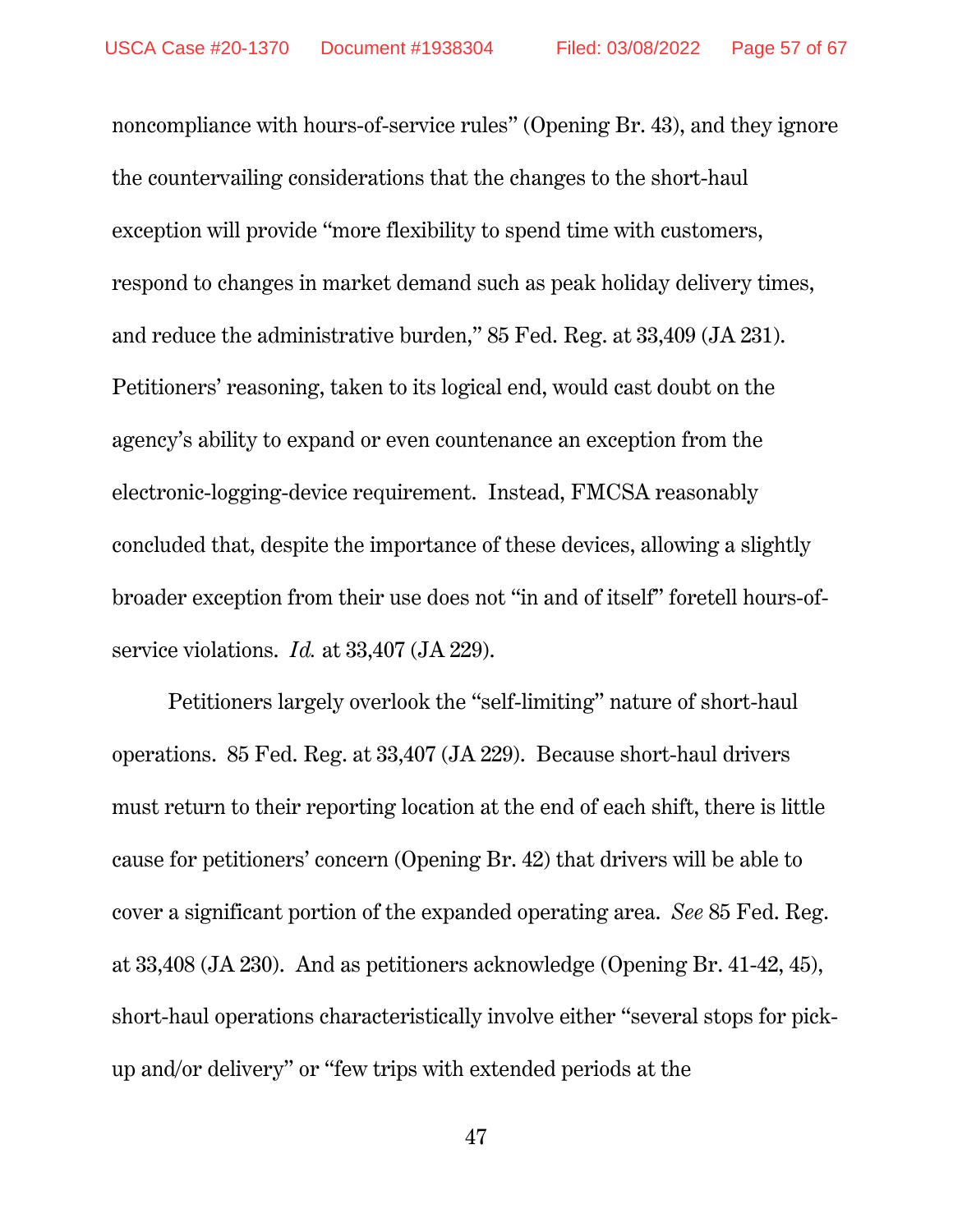noncompliance with hours-of-service rules" (Opening Br. 43), and they ignore the countervailing considerations that the changes to the short-haul exception will provide "more flexibility to spend time with customers, respond to changes in market demand such as peak holiday delivery times, and reduce the administrative burden," 85 Fed. Reg. at 33,409 (JA 231). Petitioners' reasoning, taken to its logical end, would cast doubt on the agency's ability to expand or even countenance an exception from the electronic-logging-device requirement. Instead, FMCSA reasonably concluded that, despite the importance of these devices, allowing a slightly broader exception from their use does not "in and of itself" foretell hours-ofservice violations. *Id.* at 33,407 (JA 229).

Petitioners largely overlook the "self-limiting" nature of short-haul operations. 85 Fed. Reg. at 33,407 (JA 229). Because short-haul drivers must return to their reporting location at the end of each shift, there is little cause for petitioners' concern (Opening Br. 42) that drivers will be able to cover a significant portion of the expanded operating area. *See* 85 Fed. Reg. at 33,408 (JA 230). And as petitioners acknowledge (Opening Br. 41-42, 45), short-haul operations characteristically involve either "several stops for pickup and/or delivery" or "few trips with extended periods at the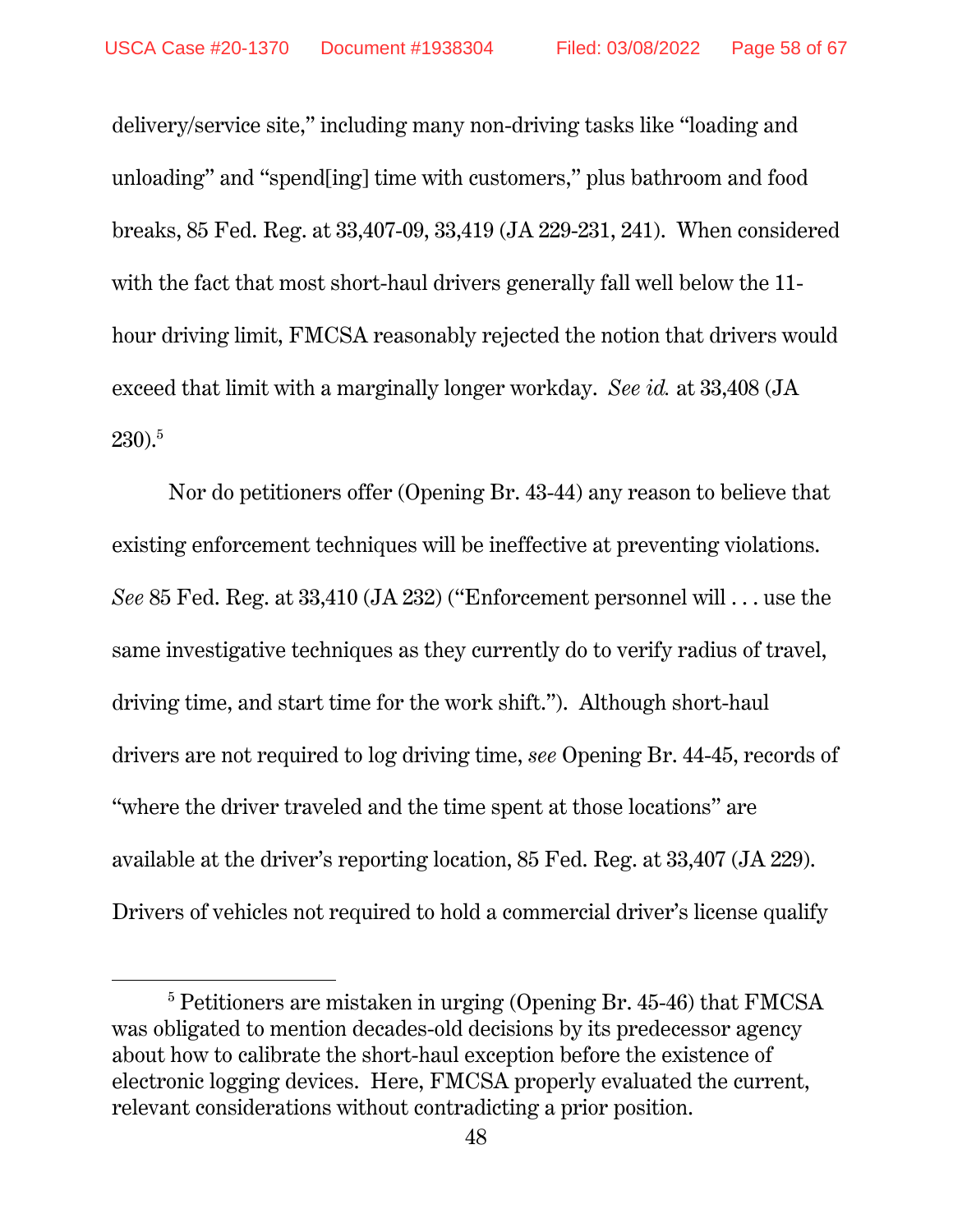delivery/service site," including many non-driving tasks like "loading and unloading" and "spend[ing] time with customers," plus bathroom and food breaks, 85 Fed. Reg. at 33,407-09, 33,419 (JA 229-231, 241). When considered with the fact that most short-haul drivers generally fall well below the 11 hour driving limit, FMCSA reasonably rejected the notion that drivers would exceed that limit with a marginally longer workday. *See id.* at 33,408 (JA 230).5

Nor do petitioners offer (Opening Br. 43-44) any reason to believe that existing enforcement techniques will be ineffective at preventing violations. *See* 85 Fed. Reg. at 33,410 (JA 232) ("Enforcement personnel will . . . use the same investigative techniques as they currently do to verify radius of travel, driving time, and start time for the work shift."). Although short-haul drivers are not required to log driving time, *see* Opening Br. 44-45, records of "where the driver traveled and the time spent at those locations" are available at the driver's reporting location, 85 Fed. Reg. at 33,407 (JA 229). Drivers of vehicles not required to hold a commercial driver's license qualify

 $\overline{a}$ 

<sup>&</sup>lt;sup>5</sup> Petitioners are mistaken in urging (Opening Br. 45-46) that FMCSA was obligated to mention decades-old decisions by its predecessor agency about how to calibrate the short-haul exception before the existence of electronic logging devices. Here, FMCSA properly evaluated the current, relevant considerations without contradicting a prior position.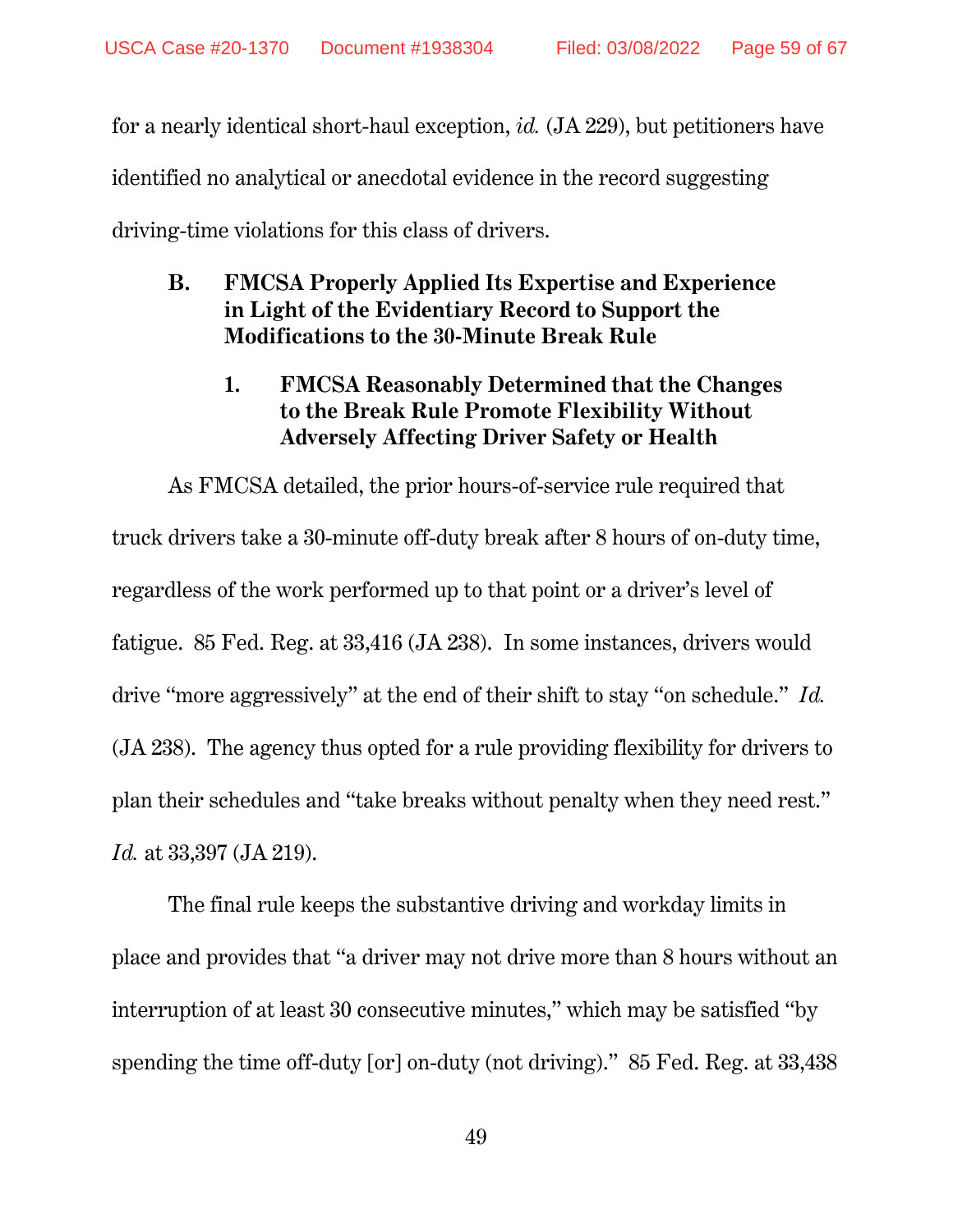for a nearly identical short-haul exception, *id.* (JA 229), but petitioners have identified no analytical or anecdotal evidence in the record suggesting driving-time violations for this class of drivers.

## **B. FMCSA Properly Applied Its Expertise and Experience in Light of the Evidentiary Record to Support the Modifications to the 30-Minute Break Rule**

## **1. FMCSA Reasonably Determined that the Changes to the Break Rule Promote Flexibility Without Adversely Affecting Driver Safety or Health**

As FMCSA detailed, the prior hours-of-service rule required that truck drivers take a 30-minute off-duty break after 8 hours of on-duty time, regardless of the work performed up to that point or a driver's level of fatigue. 85 Fed. Reg. at 33,416 (JA 238). In some instances, drivers would drive "more aggressively" at the end of their shift to stay "on schedule." *Id.* (JA 238). The agency thus opted for a rule providing flexibility for drivers to plan their schedules and "take breaks without penalty when they need rest." *Id.* at 33,397 (JA 219).

The final rule keeps the substantive driving and workday limits in place and provides that "a driver may not drive more than 8 hours without an interruption of at least 30 consecutive minutes," which may be satisfied "by spending the time off-duty [or] on-duty (not driving)." 85 Fed. Reg. at 33,438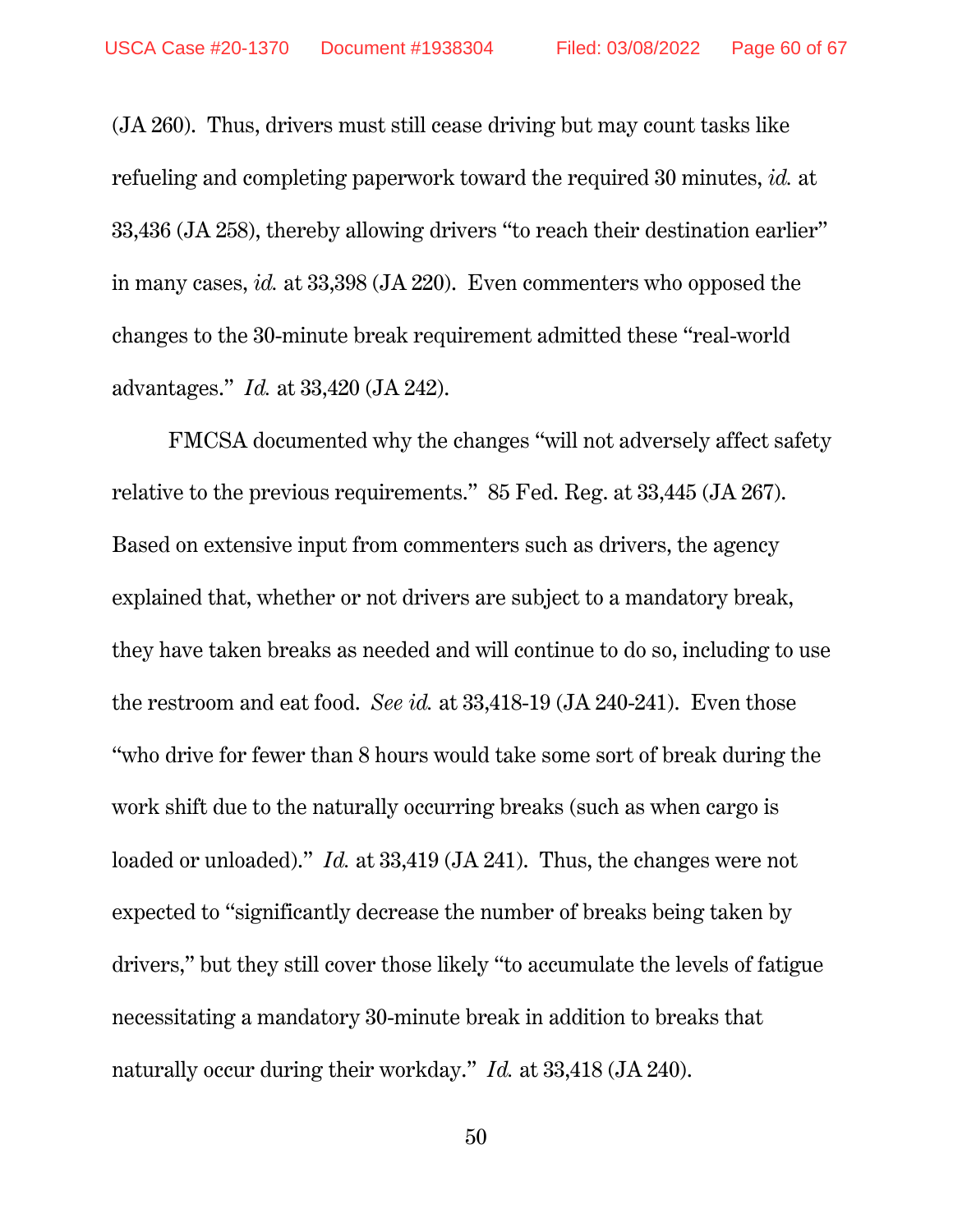(JA 260). Thus, drivers must still cease driving but may count tasks like refueling and completing paperwork toward the required 30 minutes, *id.* at 33,436 (JA 258), thereby allowing drivers "to reach their destination earlier" in many cases, *id.* at 33,398 (JA 220). Even commenters who opposed the changes to the 30-minute break requirement admitted these "real-world advantages." *Id.* at 33,420 (JA 242).

FMCSA documented why the changes "will not adversely affect safety relative to the previous requirements." 85 Fed. Reg. at 33,445 (JA 267). Based on extensive input from commenters such as drivers, the agency explained that, whether or not drivers are subject to a mandatory break, they have taken breaks as needed and will continue to do so, including to use the restroom and eat food. *See id.* at 33,418-19 (JA 240-241). Even those "who drive for fewer than 8 hours would take some sort of break during the work shift due to the naturally occurring breaks (such as when cargo is loaded or unloaded)." *Id.* at 33,419 (JA 241). Thus, the changes were not expected to "significantly decrease the number of breaks being taken by drivers," but they still cover those likely "to accumulate the levels of fatigue necessitating a mandatory 30-minute break in addition to breaks that naturally occur during their workday." *Id.* at 33,418 (JA 240).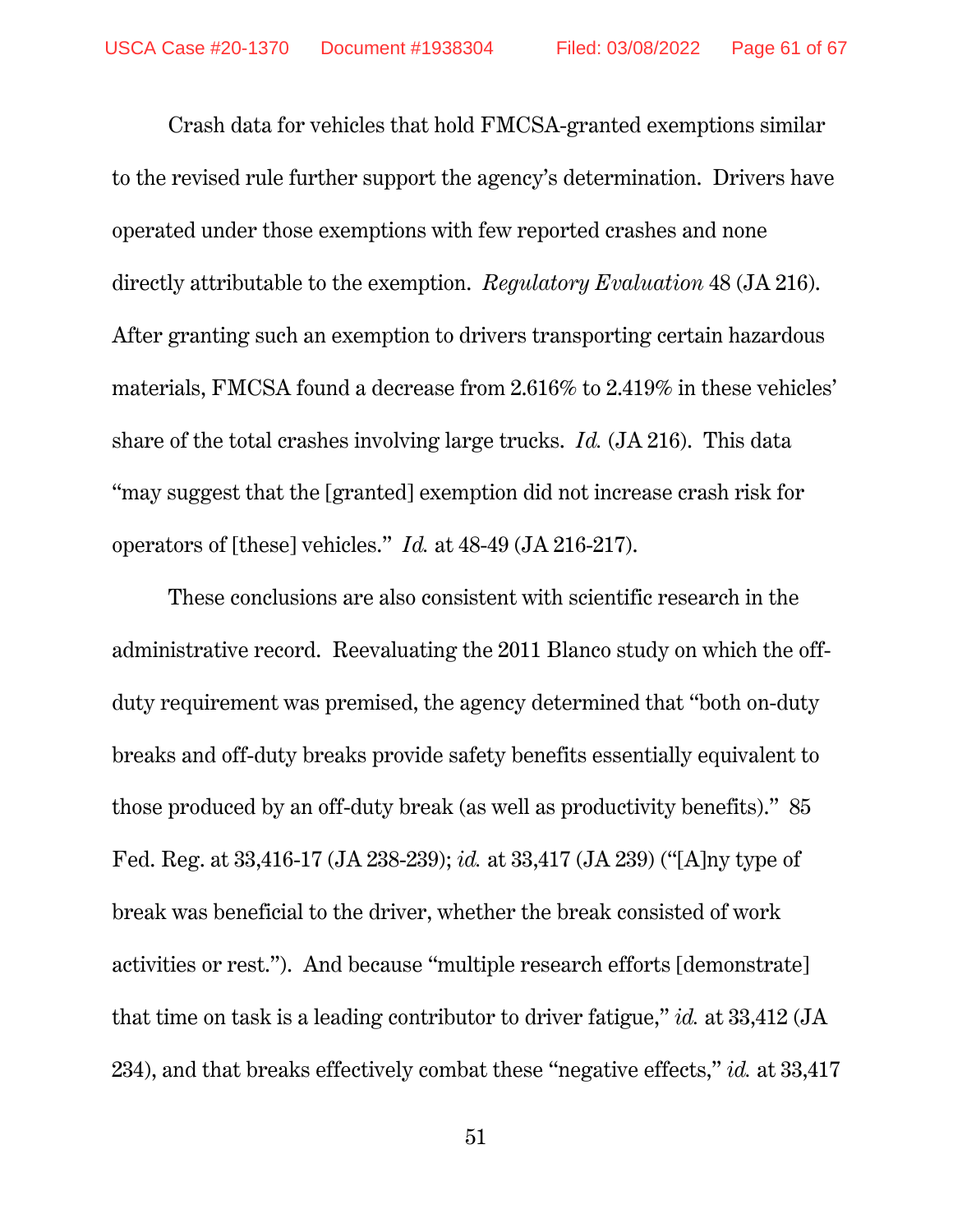Crash data for vehicles that hold FMCSA-granted exemptions similar to the revised rule further support the agency's determination. Drivers have operated under those exemptions with few reported crashes and none directly attributable to the exemption. *Regulatory Evaluation* 48 (JA 216). After granting such an exemption to drivers transporting certain hazardous materials, FMCSA found a decrease from 2.616% to 2.419% in these vehicles' share of the total crashes involving large trucks. *Id.* (JA 216). This data "may suggest that the [granted] exemption did not increase crash risk for operators of [these] vehicles." *Id.* at 48-49 (JA 216-217).

These conclusions are also consistent with scientific research in the administrative record. Reevaluating the 2011 Blanco study on which the offduty requirement was premised, the agency determined that "both on-duty breaks and off-duty breaks provide safety benefits essentially equivalent to those produced by an off-duty break (as well as productivity benefits)." 85 Fed. Reg. at 33,416-17 (JA 238-239); *id.* at 33,417 (JA 239) ("[A]ny type of break was beneficial to the driver, whether the break consisted of work activities or rest."). And because "multiple research efforts [demonstrate] that time on task is a leading contributor to driver fatigue," *id.* at 33,412 (JA 234), and that breaks effectively combat these "negative effects," *id.* at 33,417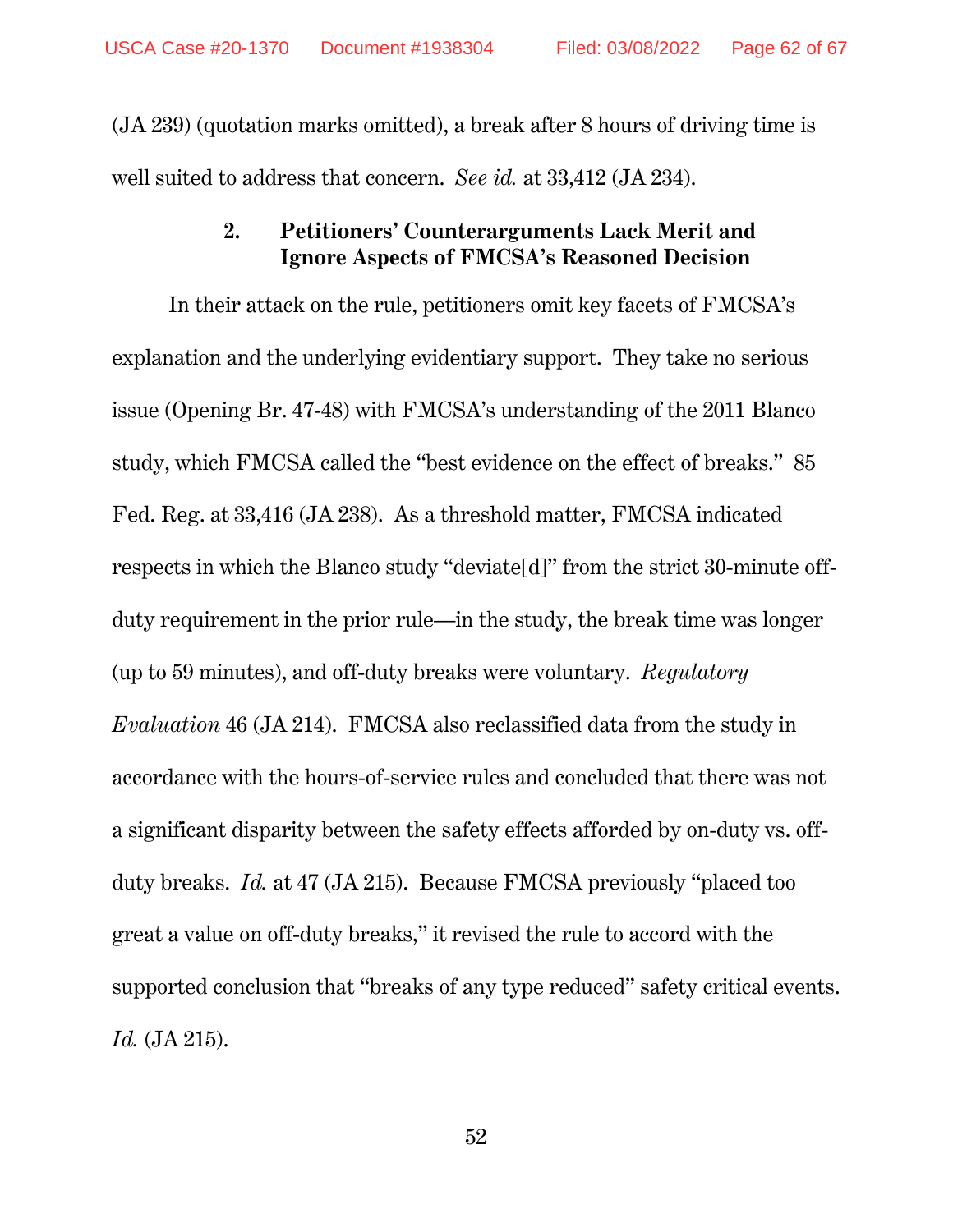(JA 239) (quotation marks omitted), a break after 8 hours of driving time is well suited to address that concern. *See id.* at 33,412 (JA 234).

## **2. Petitioners' Counterarguments Lack Merit and Ignore Aspects of FMCSA's Reasoned Decision**

In their attack on the rule, petitioners omit key facets of FMCSA's explanation and the underlying evidentiary support. They take no serious issue (Opening Br. 47-48) with FMCSA's understanding of the 2011 Blanco study, which FMCSA called the "best evidence on the effect of breaks." 85 Fed. Reg. at 33,416 (JA 238). As a threshold matter, FMCSA indicated respects in which the Blanco study "deviate[d]" from the strict 30-minute offduty requirement in the prior rule—in the study, the break time was longer (up to 59 minutes), and off-duty breaks were voluntary. *Regulatory Evaluation* 46 (JA 214). FMCSA also reclassified data from the study in accordance with the hours-of-service rules and concluded that there was not a significant disparity between the safety effects afforded by on-duty vs. offduty breaks. *Id.* at 47 (JA 215). Because FMCSA previously "placed too great a value on off-duty breaks," it revised the rule to accord with the supported conclusion that "breaks of any type reduced" safety critical events. *Id.* (JA 215).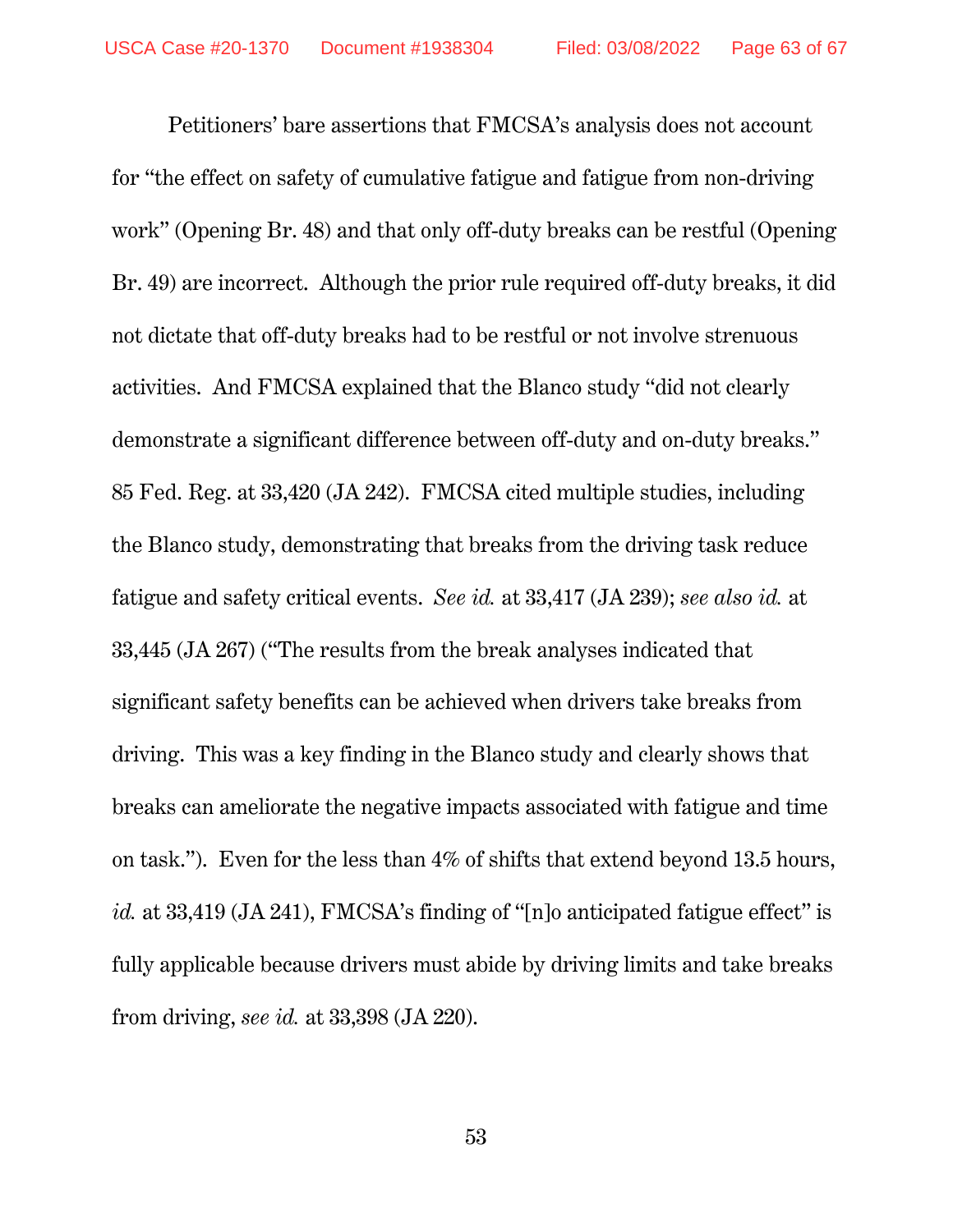Petitioners' bare assertions that FMCSA's analysis does not account for "the effect on safety of cumulative fatigue and fatigue from non-driving work" (Opening Br. 48) and that only off-duty breaks can be restful (Opening Br. 49) are incorrect. Although the prior rule required off-duty breaks, it did not dictate that off-duty breaks had to be restful or not involve strenuous activities. And FMCSA explained that the Blanco study "did not clearly demonstrate a significant difference between off-duty and on-duty breaks." 85 Fed. Reg. at 33,420 (JA 242). FMCSA cited multiple studies, including the Blanco study, demonstrating that breaks from the driving task reduce fatigue and safety critical events. *See id.* at 33,417 (JA 239); *see also id.* at 33,445 (JA 267) ("The results from the break analyses indicated that significant safety benefits can be achieved when drivers take breaks from driving. This was a key finding in the Blanco study and clearly shows that breaks can ameliorate the negative impacts associated with fatigue and time on task."). Even for the less than 4% of shifts that extend beyond 13.5 hours, *id.* at 33,419 (JA 241), FMCSA's finding of "[n]o anticipated fatigue effect" is fully applicable because drivers must abide by driving limits and take breaks from driving, *see id.* at 33,398 (JA 220).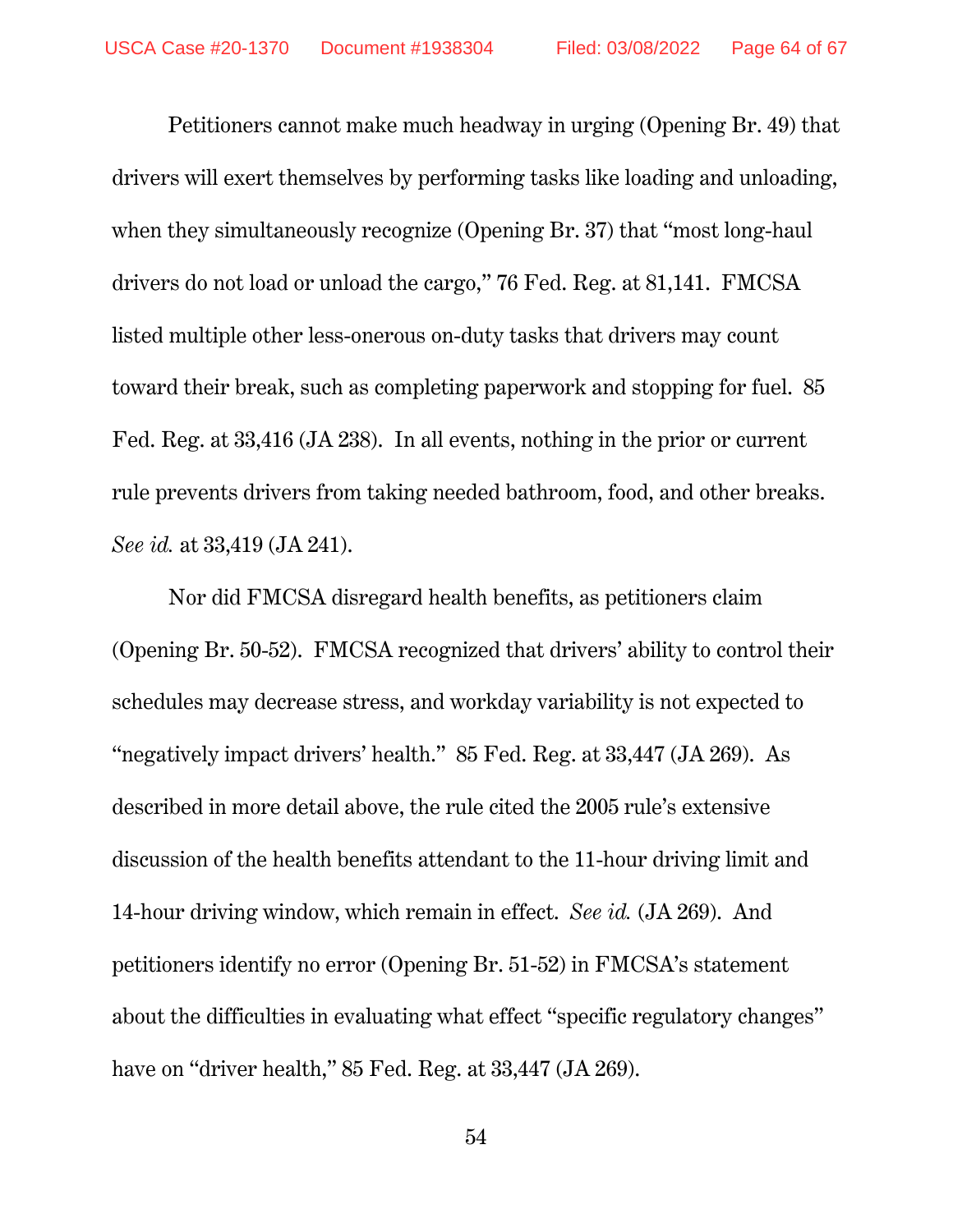Petitioners cannot make much headway in urging (Opening Br. 49) that drivers will exert themselves by performing tasks like loading and unloading, when they simultaneously recognize (Opening Br. 37) that "most long-haul drivers do not load or unload the cargo," 76 Fed. Reg. at 81,141. FMCSA listed multiple other less-onerous on-duty tasks that drivers may count toward their break, such as completing paperwork and stopping for fuel. 85 Fed. Reg. at 33,416 (JA 238). In all events, nothing in the prior or current rule prevents drivers from taking needed bathroom, food, and other breaks. *See id.* at 33,419 (JA 241).

Nor did FMCSA disregard health benefits, as petitioners claim (Opening Br. 50-52). FMCSA recognized that drivers' ability to control their schedules may decrease stress, and workday variability is not expected to "negatively impact drivers' health." 85 Fed. Reg. at 33,447 (JA 269). As described in more detail above, the rule cited the 2005 rule's extensive discussion of the health benefits attendant to the 11-hour driving limit and 14-hour driving window, which remain in effect. *See id.* (JA 269). And petitioners identify no error (Opening Br. 51-52) in FMCSA's statement about the difficulties in evaluating what effect "specific regulatory changes" have on "driver health," 85 Fed. Reg. at 33,447 (JA 269).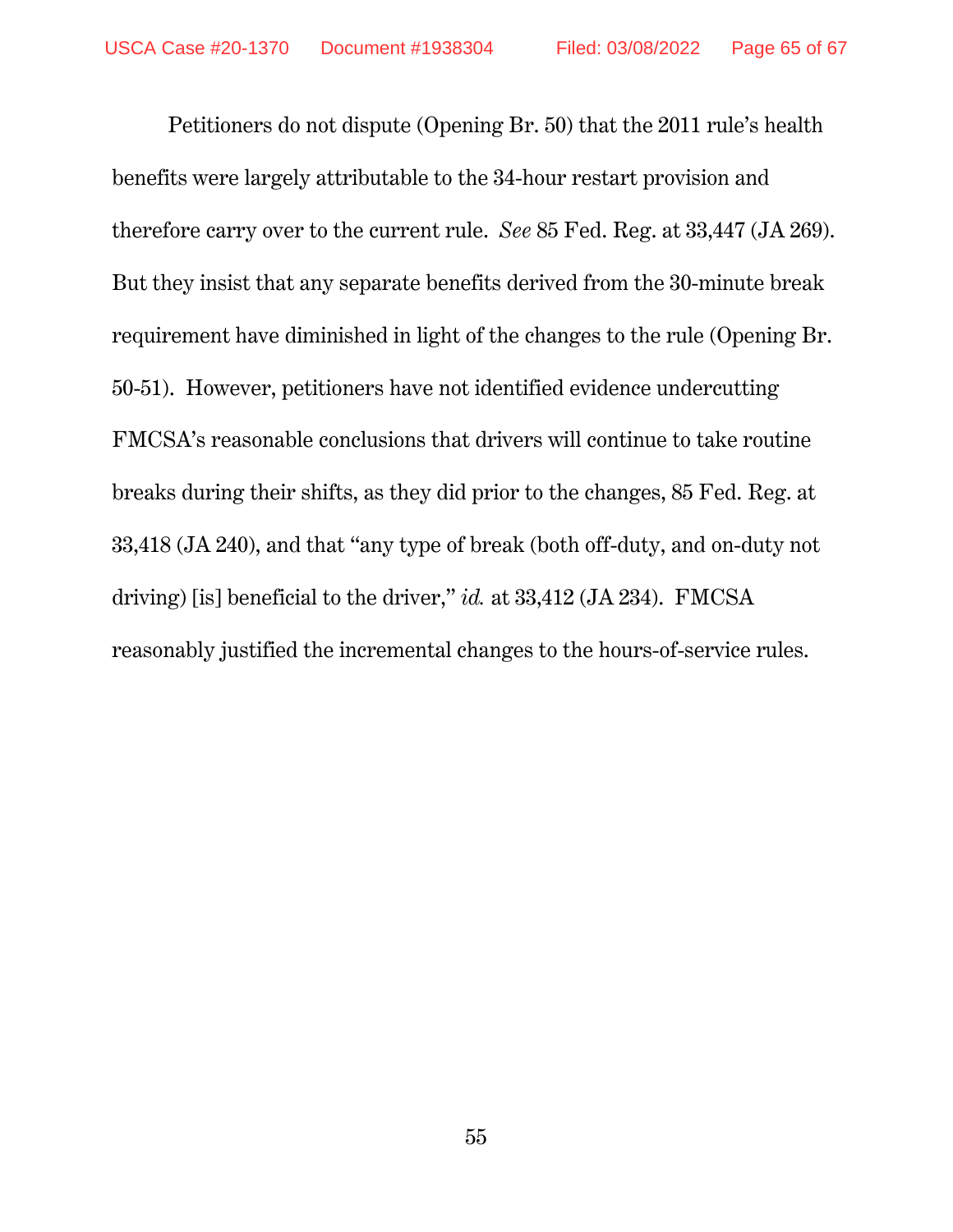Petitioners do not dispute (Opening Br. 50) that the 2011 rule's health benefits were largely attributable to the 34-hour restart provision and therefore carry over to the current rule. *See* 85 Fed. Reg. at 33,447 (JA 269). But they insist that any separate benefits derived from the 30-minute break requirement have diminished in light of the changes to the rule (Opening Br. 50-51). However, petitioners have not identified evidence undercutting FMCSA's reasonable conclusions that drivers will continue to take routine breaks during their shifts, as they did prior to the changes, 85 Fed. Reg. at 33,418 (JA 240), and that "any type of break (both off-duty, and on-duty not driving) [is] beneficial to the driver," *id.* at 33,412 (JA 234). FMCSA reasonably justified the incremental changes to the hours-of-service rules.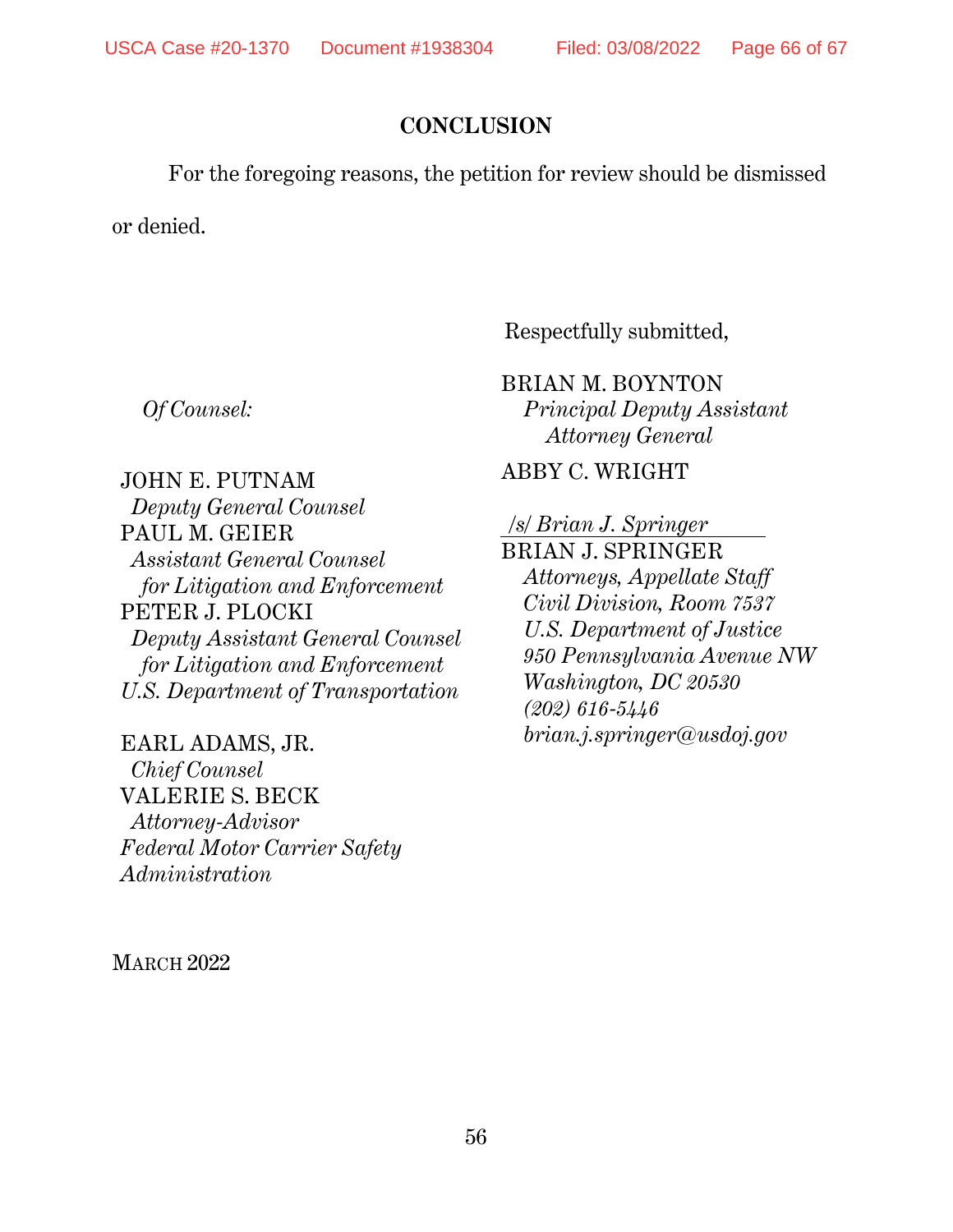## **CONCLUSION**

For the foregoing reasons, the petition for review should be dismissed

or denied.

*Of Counsel:* 

Respectfully submitted,

BRIAN M. BOYNTON *Principal Deputy Assistant Attorney General* 

ABBY C. WRIGHT

JOHN E. PUTNAM *Deputy General Counsel*  PAUL M. GEIER *Assistant General Counsel for Litigation and Enforcement* PETER J. PLOCKI *Deputy Assistant General Counsel for Litigation and Enforcement U.S. Department of Transportation* 

EARL ADAMS, JR. *Chief Counsel*  VALERIE S. BECK *Attorney-Advisor Federal Motor Carrier Safety Administration* 

MARCH 2022

*/s/ Brian J. Springer* 

BRIAN J. SPRINGER *Attorneys, Appellate Staff Civil Division, Room 7537 U.S. Department of Justice 950 Pennsylvania Avenue NW Washington, DC 20530 (202) 616-5446 brian.j.springer@usdoj.gov*